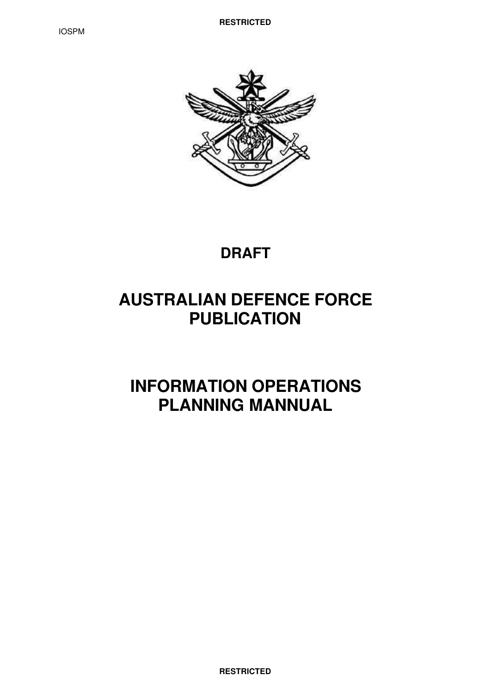

# **DRAFT**

# **AUSTRALIAN DEFENCE FORCE PUBLICATION**

# **INFORMATION OPERATIONS PLANNING MANNUAL**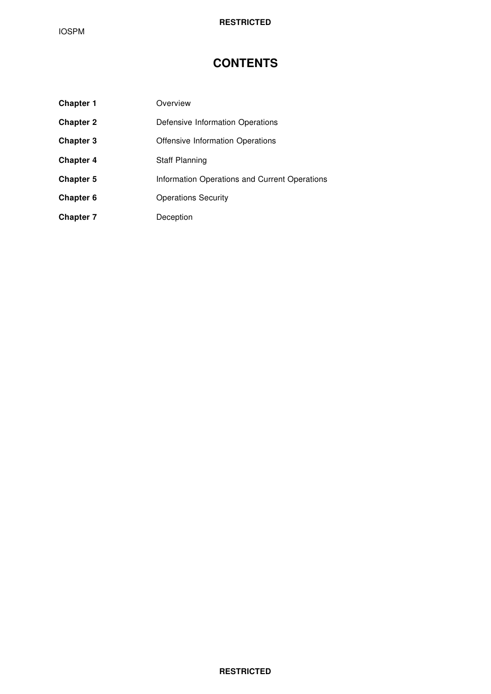# **CONTENTS**

| <b>Chapter 1</b> | Overview                                      |
|------------------|-----------------------------------------------|
| <b>Chapter 2</b> | Defensive Information Operations              |
| <b>Chapter 3</b> | Offensive Information Operations              |
| <b>Chapter 4</b> | <b>Staff Planning</b>                         |
| <b>Chapter 5</b> | Information Operations and Current Operations |
| Chapter 6        | <b>Operations Security</b>                    |
| <b>Chapter 7</b> | Deception                                     |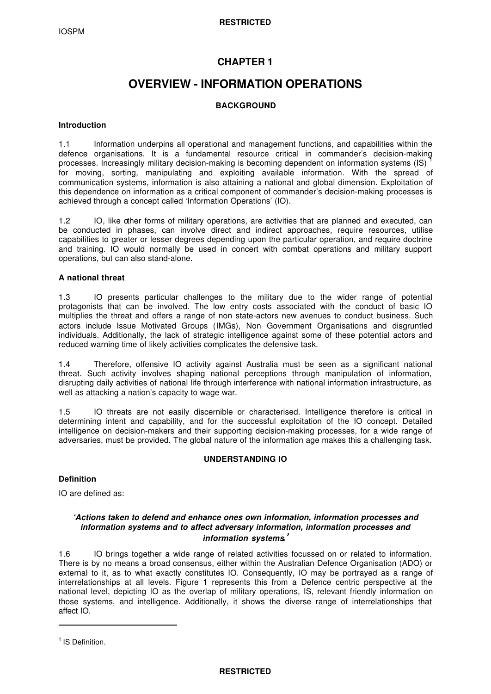# **CHAPTER 1**

# **OVERVIEW - INFORMATION OPERATIONS**

# **BACKGROUND**

#### **Introduction**

1.1 Information underpins all operational and management functions, and capabilities within the defence organisations. It is a fundamental resource critical in commander's decision-making processes. Increasingly military decision-making is becoming dependent on information systems (IS) for moving, sorting, manipulating and exploiting available information. With the spread of communication systems, information is also attaining a national and global dimension. Exploitation of this dependence on information as a critical component of commander's decision-making processes is achieved through a concept called 'Information Operations' (IO).

1.2 IO, like other forms of military operations, are activities that are planned and executed, can be conducted in phases, can involve direct and indirect approaches, require resources, utilise capabilities to greater or lesser degrees depending upon the particular operation, and require doctrine and training. IO would normally be used in concert with combat operations and military support operations, but can also stand-alone.

#### **A national threat**

1.3 IO presents particular challenges to the military due to the wider range of potential protagonists that can be involved. The low entry costs associated with the conduct of basic IO multiplies the threat and offers a range of non state-actors new avenues to conduct business. Such actors include Issue Motivated Groups (IMGs), Non Government Organisations and disgruntled individuals. Additionally, the lack of strategic intelligence against some of these potential actors and reduced warning time of likely activities complicates the defensive task.

1.4 Therefore, offensive IO activity against Australia must be seen as a significant national threat. Such activity involves shaping national perceptions through manipulation of information, disrupting daily activities of national life through interference with national information infrastructure, as well as attacking a nation's capacity to wage war.

1.5 IO threats are not easily discernible or characterised. Intelligence therefore is critical in determining intent and capability, and for the successful exploitation of the IO concept. Detailed intelligence on decision-makers and their supporting decision-making processes, for a wide range of adversaries, must be provided. The global nature of the information age makes this a challenging task.

# **UNDERSTANDING IO**

#### **Definition**

IO are defined as:

### *'Actions taken to defend and enhance ones own information, information processes and information systems and to affect adversary information, information processes and information systems.'*

1.6 IO brings together a wide range of related activities focussed on or related to information. There is by no means a broad consensus, either within the Australian Defence Organisation (ADO) or external to it, as to what exactly constitutes IO. Consequently, IO may be portrayed as a range of interrelationships at all levels. Figure 1 represents this from a Defence centric perspective at the national level, depicting IO as the overlap of military operations, IS, relevant friendly information on those systems, and intelligence. Additionally, it shows the diverse range of interrelationships that affect IO.

ı

<sup>&</sup>lt;sup>1</sup> IS Definition.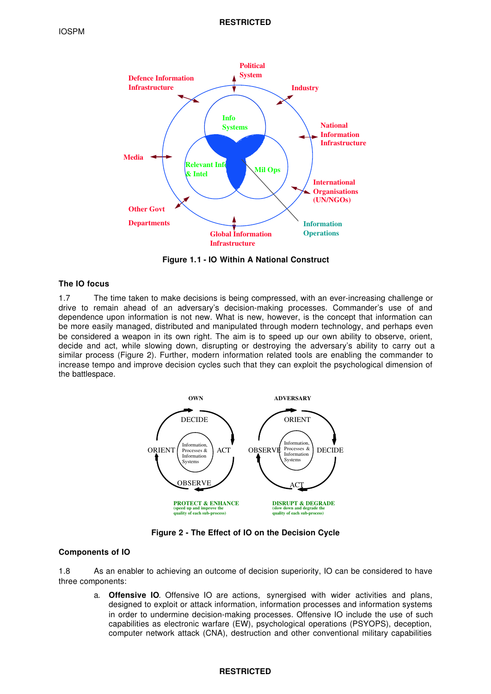

**Figure 1.1 - IO Within A National Construct**

#### **The IO focus**

1.7 The time taken to make decisions is being compressed, with an ever-increasing challenge or drive to remain ahead of an adversary's decision-making processes. Commander's use of and dependence upon information is not new. What is new, however, is the concept that information can be more easily managed, distributed and manipulated through modern technology, and perhaps even be considered a weapon in its own right. The aim is to speed up our own ability to observe, orient, decide and act, while slowing down, disrupting or destroying the adversary's ability to carry out a similar process (Figure 2). Further, modern information related tools are enabling the commander to increase tempo and improve decision cycles such that they can exploit the psychological dimension of the battlespace.



**Figure 2 - The Effect of IO on the Decision Cycle**

#### **Components of IO**

1.8 As an enabler to achieving an outcome of decision superiority, IO can be considered to have three components:

a. **Offensive IO**. Offensive IO are actions, synergised with wider activities and plans, designed to exploit or attack information, information processes and information systems in order to undermine decision-making processes. Offensive IO include the use of such capabilities as electronic warfare (EW), psychological operations (PSYOPS), deception, computer network attack (CNA), destruction and other conventional military capabilities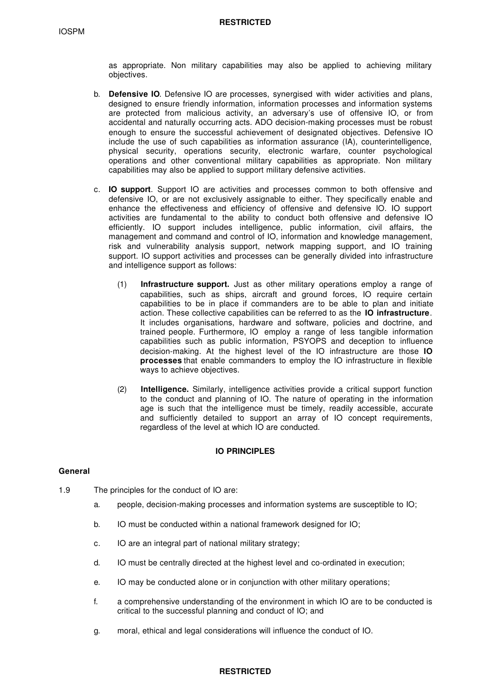as appropriate. Non military capabilities may also be applied to achieving military objectives.

- b. **Defensive IO**. Defensive IO are processes, synergised with wider activities and plans, designed to ensure friendly information, information processes and information systems are protected from malicious activity, an adversary's use of offensive IO, or from accidental and naturally occurring acts. ADO decision-making processes must be robust enough to ensure the successful achievement of designated objectives. Defensive IO include the use of such capabilities as information assurance (IA), counterintelligence, physical security, operations security, electronic warfare, counter psychological operations and other conventional military capabilities as appropriate. Non military capabilities may also be applied to support military defensive activities.
- c. **IO support**. Support IO are activities and processes common to both offensive and defensive IO, or are not exclusively assignable to either. They specifically enable and enhance the effectiveness and efficiency of offensive and defensive IO. IO support activities are fundamental to the ability to conduct both offensive and defensive IO efficiently. IO support includes intelligence, public information, civil affairs, the management and command and control of IO, information and knowledge management, risk and vulnerability analysis support, network mapping support, and IO training support. IO support activities and processes can be generally divided into infrastructure and intelligence support as follows:
	- (1) **Infrastructure support.** Just as other military operations employ a range of capabilities, such as ships, aircraft and ground forces, IO require certain capabilities to be in place if commanders are to be able to plan and initiate action. These collective capabilities can be referred to as the **IO infrastructure**. It includes organisations, hardware and software, policies and doctrine, and trained people. Furthermore, IO employ a range of less tangible information capabilities such as public information, PSYOPS and deception to influence decision-making. At the highest level of the IO infrastructure are those **IO processes** that enable commanders to employ the IO infrastructure in flexible ways to achieve objectives.
	- (2) **Intelligence.** Similarly, intelligence activities provide a critical support function to the conduct and planning of IO. The nature of operating in the information age is such that the intelligence must be timely, readily accessible, accurate and sufficiently detailed to support an array of IO concept requirements, regardless of the level at which IO are conducted.

#### **IO PRINCIPLES**

#### **General**

- 1.9 The principles for the conduct of IO are:
	- a. people, decision-making processes and information systems are susceptible to IO;
	- b. IO must be conducted within a national framework designed for IO;
	- c. IO are an integral part of national military strategy;
	- d. IO must be centrally directed at the highest level and co-ordinated in execution;
	- e. IO may be conducted alone or in conjunction with other military operations;
	- f. a comprehensive understanding of the environment in which IO are to be conducted is critical to the successful planning and conduct of IO; and
	- g. moral, ethical and legal considerations will influence the conduct of IO.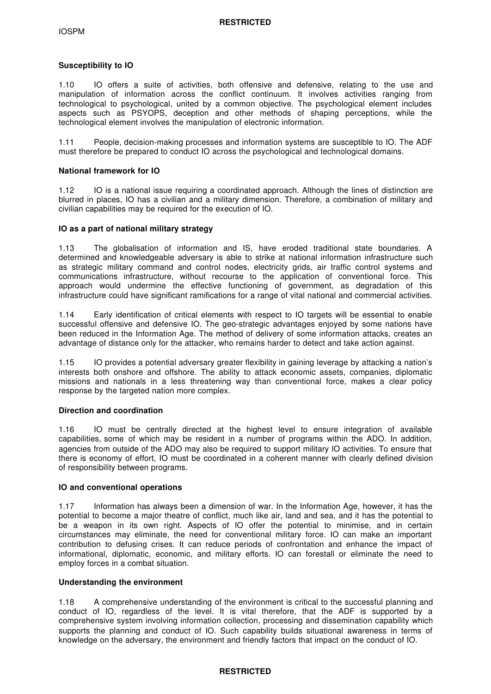### **Susceptibility to IO**

1.10 IO offers a suite of activities, both offensive and defensive, relating to the use and manipulation of information across the conflict continuum. It involves activities ranging from technological to psychological, united by a common objective. The psychological element includes aspects such as PSYOPS, deception and other methods of shaping perceptions, while the technological element involves the manipulation of electronic information.

1.11 People, decision-making processes and information systems are susceptible to IO. The ADF must therefore be prepared to conduct IO across the psychological and technological domains.

#### **National framework for IO**

1.12 IO is a national issue requiring a coordinated approach. Although the lines of distinction are blurred in places, IO has a civilian and a military dimension. Therefore, a combination of military and civilian capabilities may be required for the execution of IO.

#### **IO as a part of national military strategy**

1.13 The globalisation of information and IS, have eroded traditional state boundaries. A determined and knowledgeable adversary is able to strike at national information infrastructure such as strategic military command and control nodes, electricity grids, air traffic control systems and communications infrastructure, without recourse to the application of conventional force. This approach would undermine the effective functioning of government, as degradation of this infrastructure could have significant ramifications for a range of vital national and commercial activities.

1.14 Early identification of critical elements with respect to IO targets will be essential to enable successful offensive and defensive IO. The geo-strategic advantages enjoyed by some nations have been reduced in the Information Age. The method of delivery of some information attacks, creates an advantage of distance only for the attacker, who remains harder to detect and take action against.

1.15 IO provides a potential adversary greater flexibility in gaining leverage by attacking a nation's interests both onshore and offshore. The ability to attack economic assets, companies, diplomatic missions and nationals in a less threatening way than conventional force, makes a clear policy response by the targeted nation more complex.

#### **Direction and coordination**

1.16 IO must be centrally directed at the highest level to ensure integration of available capabilities, some of which may be resident in a number of programs within the ADO. In addition, agencies from outside of the ADO may also be required to support military IO activities. To ensure that there is economy of effort, IO must be coordinated in a coherent manner with clearly defined division of responsibility between programs.

#### **IO and conventional operations**

1.17 Information has always been a dimension of war. In the Information Age, however, it has the potential to become a major theatre of conflict, much like air, land and sea, and it has the potential to be a weapon in its own right. Aspects of IO offer the potential to minimise, and in certain circumstances may eliminate, the need for conventional military force. IO can make an important contribution to defusing crises. It can reduce periods of confrontation and enhance the impact of informational, diplomatic, economic, and military efforts. IO can forestall or eliminate the need to employ forces in a combat situation.

#### **Understanding the environment**

1.18 A comprehensive understanding of the environment is critical to the successful planning and conduct of IO, regardless of the level. It is vital therefore, that the ADF is supported by a comprehensive system involving information collection, processing and dissemination capability which supports the planning and conduct of IO. Such capability builds situational awareness in terms of knowledge on the adversary, the environment and friendly factors that impact on the conduct of IO.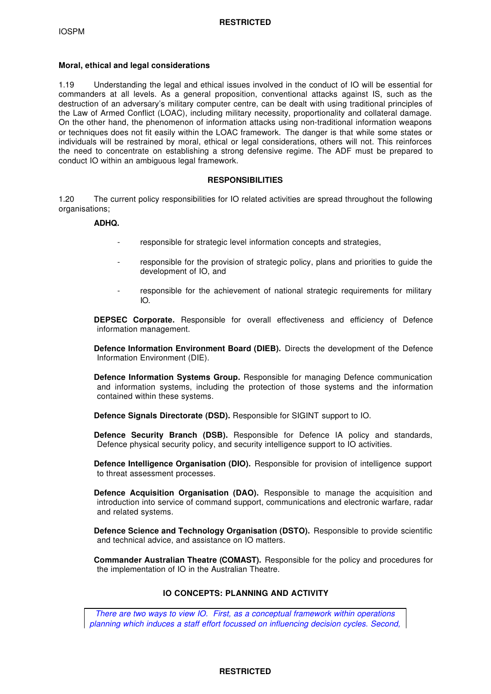#### **Moral, ethical and legal considerations**

1.19 Understanding the legal and ethical issues involved in the conduct of IO will be essential for commanders at all levels. As a general proposition, conventional attacks against IS, such as the destruction of an adversary's military computer centre, can be dealt with using traditional principles of the Law of Armed Conflict (LOAC), including military necessity, proportionality and collateral damage. On the other hand, the phenomenon of information attacks using non-traditional information weapons or techniques does not fit easily within the LOAC framework. The danger is that while some states or individuals will be restrained by moral, ethical or legal considerations, others will not. This reinforces the need to concentrate on establishing a strong defensive regime. The ADF must be prepared to conduct IO within an ambiguous legal framework.

#### **RESPONSIBILITIES**

1.20 The current policy responsibilities for IO related activities are spread throughout the following organisations;

# **ADHQ.**

- responsible for strategic level information concepts and strategies,
- responsible for the provision of strategic policy, plans and priorities to guide the development of IO, and
- responsible for the achievement of national strategic requirements for military IO.

**DEPSEC Corporate.** Responsible for overall effectiveness and efficiency of Defence information management.

**Defence Information Environment Board (DIEB).** Directs the development of the Defence Information Environment (DIE).

**Defence Information Systems Group.** Responsible for managing Defence communication and information systems, including the protection of those systems and the information contained within these systems.

**Defence Signals Directorate (DSD).** Responsible for SIGINT support to IO.

**Defence Security Branch (DSB).** Responsible for Defence IA policy and standards, Defence physical security policy, and security intelligence support to IO activities.

**Defence Intelligence Organisation (DIO).** Responsible for provision of intelligence support to threat assessment processes.

**Defence Acquisition Organisation (DAO).** Responsible to manage the acquisition and introduction into service of command support, communications and electronic warfare, radar and related systems.

**Defence Science and Technology Organisation (DSTO).** Responsible to provide scientific and technical advice, and assistance on IO matters.

**Commander Australian Theatre (COMAST).** Responsible for the policy and procedures for the implementation of IO in the Australian Theatre.

# **IO CONCEPTS: PLANNING AND ACTIVITY**

*There are two ways to view IO. First, as a conceptual framework within operations planning which induces a staff effort focussed on influencing decision cycles. Second,*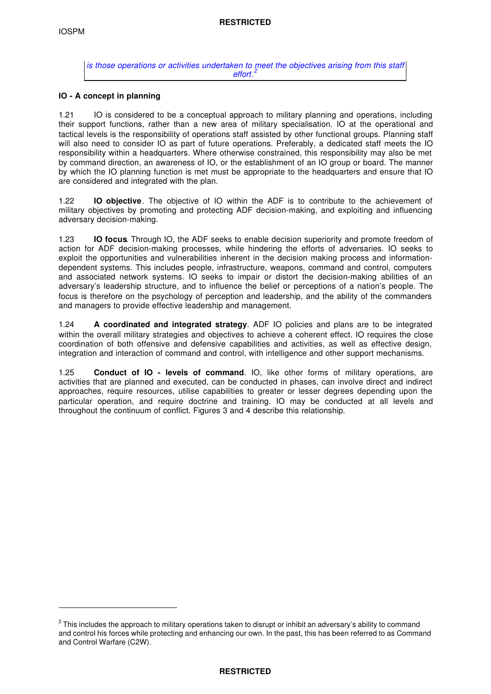ı

*is those operations or activities undertaken to meet the objectives arising from this staff 2 effort.*

### **IO - A concept in planning**

1.21 IO is considered to be a conceptual approach to military planning and operations, including their support functions, rather than a new area of military specialisation. IO at the operational and tactical levels is the responsibility of operations staff assisted by other functional groups. Planning staff will also need to consider IO as part of future operations. Preferably, a dedicated staff meets the IO responsibility within a headquarters. Where otherwise constrained, this responsibility may also be met by command direction, an awareness of IO, or the establishment of an IO group or board. The manner by which the IO planning function is met must be appropriate to the headquarters and ensure that IO are considered and integrated with the plan.

1.22 **IO objective**. The objective of IO within the ADF is to contribute to the achievement of military objectives by promoting and protecting ADF decision-making, and exploiting and influencing adversary decision-making.

1.23 **IO focus**. Through IO, the ADF seeks to enable decision superiority and promote freedom of action for ADF decision-making processes, while hindering the efforts of adversaries. IO seeks to exploit the opportunities and vulnerabilities inherent in the decision making process and informationdependent systems. This includes people, infrastructure, weapons, command and control, computers and associated network systems. IO seeks to impair or distort the decision-making abilities of an adversary's leadership structure, and to influence the belief or perceptions of a nation's people. The focus is therefore on the psychology of perception and leadership, and the ability of the commanders and managers to provide effective leadership and management.

1.24 **A coordinated and integrated strategy**. ADF IO policies and plans are to be integrated within the overall military strategies and objectives to achieve a coherent effect. IO requires the close coordination of both offensive and defensive capabilities and activities, as well as effective design, integration and interaction of command and control, with intelligence and other support mechanisms.

1.25 **Conduct of IO - levels of command**. IO, like other forms of military operations, are activities that are planned and executed, can be conducted in phases, can involve direct and indirect approaches, require resources, utilise capabilities to greater or lesser degrees depending upon the particular operation, and require doctrine and training. IO may be conducted at all levels and throughout the continuum of conflict. Figures 3 and 4 describe this relationship.

 $^{\rm 2}$  This includes the approach to military operations taken to disrupt or inhibit an adversary's ability to command and control his forces while protecting and enhancing our own. In the past, this has been referred to as Command and Control Warfare (C2W).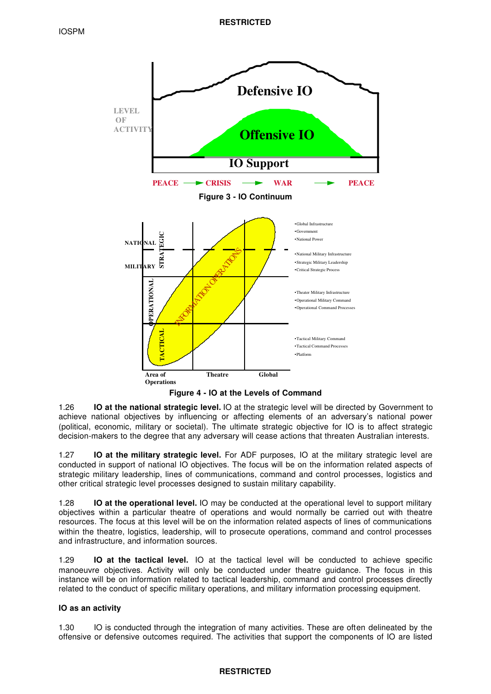

**Figure 4 - IO at the Levels of Command**

1.26 **IO at the national strategic level.** IO at the strategic level will be directed by Government to achieve national objectives by influencing or affecting elements of an adversary's national power (political, economic, military or societal). The ultimate strategic objective for IO is to affect strategic decision-makers to the degree that any adversary will cease actions that threaten Australian interests.

1.27 **IO at the military strategic level.** For ADF purposes, IO at the military strategic level are conducted in support of national IO objectives. The focus will be on the information related aspects of strategic military leadership, lines of communications, command and control processes, logistics and other critical strategic level processes designed to sustain military capability.

1.28 **IO at the operational level.** IO may be conducted at the operational level to support military objectives within a particular theatre of operations and would normally be carried out with theatre resources. The focus at this level will be on the information related aspects of lines of communications within the theatre, logistics, leadership, will to prosecute operations, command and control processes and infrastructure, and information sources.

1.29 **IO at the tactical level.** IO at the tactical level will be conducted to achieve specific manoeuvre objectives. Activity will only be conducted under theatre guidance. The focus in this instance will be on information related to tactical leadership, command and control processes directly related to the conduct of specific military operations, and military information processing equipment.

# **IO as an activity**

1.30 IO is conducted through the integration of many activities. These are often delineated by the offensive or defensive outcomes required. The activities that support the components of IO are listed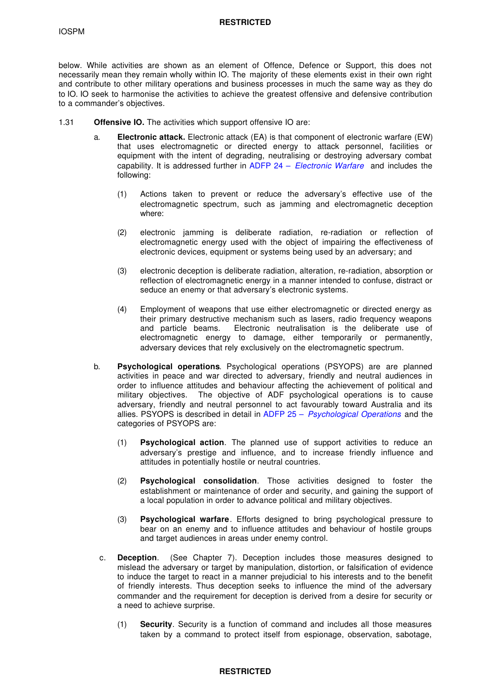#### **RESTRICTED**

below. While activities are shown as an element of Offence, Defence or Support, this does not necessarily mean they remain wholly within IO. The majority of these elements exist in their own right and contribute to other military operations and business processes in much the same way as they do to IO. IO seek to harmonise the activities to achieve the greatest offensive and defensive contribution to a commander's objectives.

- 1.31 **Offensive IO.** The activities which support offensive IO are:
	- a. **Electronic attack.** Electronic attack (EA) is that component of electronic warfare (EW) that uses electromagnetic or directed energy to attack personnel, facilities or equipment with the intent of degrading, neutralising or destroying adversary combat capability. It is addressed further in ADFP 24 – *Electronic Warfare* and includes the following:
		- (1) Actions taken to prevent or reduce the adversary's effective use of the electromagnetic spectrum, such as jamming and electromagnetic deception where:
		- (2) electronic jamming is deliberate radiation, re-radiation or reflection of electromagnetic energy used with the object of impairing the effectiveness of electronic devices, equipment or systems being used by an adversary; and
		- (3) electronic deception is deliberate radiation, alteration, re-radiation, absorption or reflection of electromagnetic energy in a manner intended to confuse, distract or seduce an enemy or that adversary's electronic systems.
		- (4) Employment of weapons that use either electromagnetic or directed energy as their primary destructive mechanism such as lasers, radio frequency weapons and particle beams. Electronic neutralisation is the deliberate use of electromagnetic energy to damage, either temporarily or permanently, adversary devices that rely exclusively on the electromagnetic spectrum.
	- b. **Psychological operations**. Psychological operations (PSYOPS) are are planned activities in peace and war directed to adversary, friendly and neutral audiences in order to influence attitudes and behaviour affecting the achievement of political and military objectives. The objective of ADF psychological operations is to cause adversary, friendly and neutral personnel to act favourably toward Australia and its allies. PSYOPS is described in detail in ADFP 25 – *Psychological Operations* and the categories of PSYOPS are:
		- (1) **Psychological action**. The planned use of support activities to reduce an adversary's prestige and influence, and to increase friendly influence and attitudes in potentially hostile or neutral countries.
		- (2) **Psychological consolidation**. Those activities designed to foster the establishment or maintenance of order and security, and gaining the support of a local population in order to advance political and military objectives.
		- (3) **Psychological warfare**. Efforts designed to bring psychological pressure to bear on an enemy and to influence attitudes and behaviour of hostile groups and target audiences in areas under enemy control.
		- c. **Deception**. (See Chapter 7). Deception includes those measures designed to mislead the adversary or target by manipulation, distortion, or falsification of evidence to induce the target to react in a manner prejudicial to his interests and to the benefit of friendly interests. Thus deception seeks to influence the mind of the adversary commander and the requirement for deception is derived from a desire for security or a need to achieve surprise.
			- (1) **Security**. Security is a function of command and includes all those measures taken by a command to protect itself from espionage, observation, sabotage,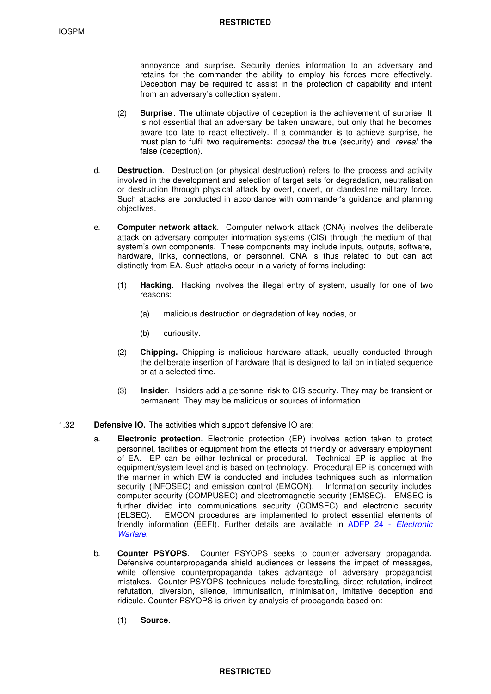annoyance and surprise. Security denies information to an adversary and retains for the commander the ability to employ his forces more effectively. Deception may be required to assist in the protection of capability and intent from an adversary's collection system.

- (2) **Surprise** . The ultimate objective of deception is the achievement of surprise. It is not essential that an adversary be taken unaware, but only that he becomes aware too late to react effectively. If a commander is to achieve surprise, he must plan to fulfil two requirements: *conceal* the true (security) and *reveal* the false (deception).
- d. **Destruction**. Destruction (or physical destruction) refers to the process and activity involved in the development and selection of target sets for degradation, neutralisation or destruction through physical attack by overt, covert, or clandestine military force. Such attacks are conducted in accordance with commander's guidance and planning objectives.
- e. **Computer network attack**. Computer network attack (CNA) involves the deliberate attack on adversary computer information systems (CIS) through the medium of that system's own components. These components may include inputs, outputs, software, hardware, links, connections, or personnel. CNA is thus related to but can act distinctly from EA. Such attacks occur in a variety of forms including:
	- (1) **Hacking**. Hacking involves the illegal entry of system, usually for one of two reasons:
		- (a) malicious destruction or degradation of key nodes, or
		- (b) curiousity.
	- (2) **Chipping.** Chipping is malicious hardware attack, usually conducted through the deliberate insertion of hardware that is designed to fail on initiated sequence or at a selected time.
	- (3) **Insider**. Insiders add a personnel risk to CIS security. They may be transient or permanent. They may be malicious or sources of information.
- 1.32 **Defensive IO.** The activities which support defensive IO are:
	- a. **Electronic protection**. Electronic protection (EP) involves action taken to protect personnel, facilities or equipment from the effects of friendly or adversary employment of EA. EP can be either technical or procedural. Technical EP is applied at the equipment/system level and is based on technology. Procedural EP is concerned with the manner in which EW is conducted and includes techniques such as information security (INFOSEC) and emission control (EMCON). Information security includes computer security (COMPUSEC) and electromagnetic security (EMSEC). EMSEC is further divided into communications security (COMSEC) and electronic security (ELSEC). EMCON procedures are implemented to protect essential elements of friendly information (EEFI). Further details are available in ADFP 24 - *Electronic Warfare*.
	- b. **Counter PSYOPS**. Counter PSYOPS seeks to counter adversary propaganda. Defensive counterpropaganda shield audiences or lessens the impact of messages, while offensive counterpropaganda takes advantage of adversary propagandist mistakes. Counter PSYOPS techniques include forestalling, direct refutation, indirect refutation, diversion, silence, immunisation, minimisation, imitative deception and ridicule. Counter PSYOPS is driven by analysis of propaganda based on:
		- (1) **Source**.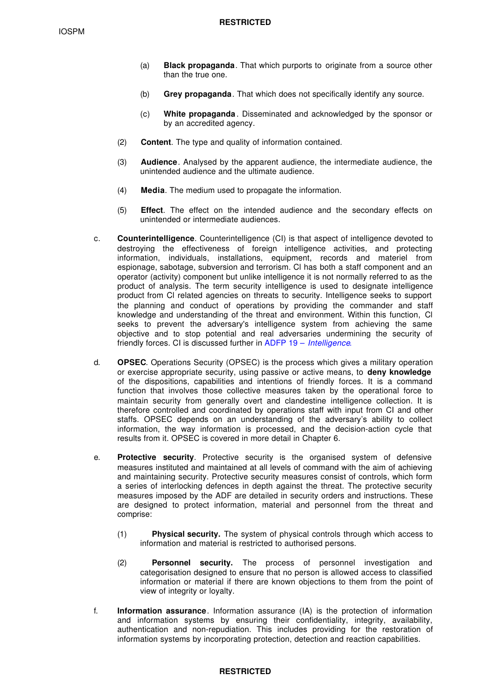- (a) **Black propaganda**. That which purports to originate from a source other than the true one.
- (b) **Grey propaganda**. That which does not specifically identify any source.
- (c) **White propaganda** . Disseminated and acknowledged by the sponsor or by an accredited agency.
- (2) **Content**. The type and quality of information contained.
- (3) **Audience**. Analysed by the apparent audience, the intermediate audience, the unintended audience and the ultimate audience.
- (4) **Media**. The medium used to propagate the information.
- (5) **Effect**. The effect on the intended audience and the secondary effects on unintended or intermediate audiences.
- c. **Counterintelligence**. Counterintelligence (CI) is that aspect of intelligence devoted to destroying the effectiveness of foreign intelligence activities, and protecting information, individuals, installations, equipment, records and materiel from espionage, sabotage, subversion and terrorism. Cl has both a staff component and an operator (activity) component but unlike intelligence it is not normally referred to as the product of analysis. The term security intelligence is used to designate intelligence product from Cl related agencies on threats to security. Intelligence seeks to support the planning and conduct of operations by providing the commander and staff knowledge and understanding of the threat and environment. Within this function, Cl seeks to prevent the adversary's intelligence system from achieving the same objective and to stop potential and real adversaries undermining the security of friendly forces. CI is discussed further in ADFP 19 – *Intelligence*.
- d. **OPSEC**. Operations Security (OPSEC) is the process which gives a military operation or exercise appropriate security, using passive or active means, to **deny knowledge** of the dispositions, capabilities and intentions of friendly forces. It is a command function that involves those collective measures taken by the operational force to maintain security from generally overt and clandestine intelligence collection. It is therefore controlled and coordinated by operations staff with input from CI and other staffs. OPSEC depends on an understanding of the adversary's ability to collect information, the way information is processed, and the decision-action cycle that results from it. OPSEC is covered in more detail in Chapter 6.
- e. **Protective security**. Protective security is the organised system of defensive measures instituted and maintained at all levels of command with the aim of achieving and maintaining security. Protective security measures consist of controls, which form a series of interlocking defences in depth against the threat. The protective security measures imposed by the ADF are detailed in security orders and instructions. These are designed to protect information, material and personnel from the threat and comprise:
	- (1) **Physical security.** The system of physical controls through which access to information and material is restricted to authorised persons.
	- (2) **Personnel security.** The process of personnel investigation and categorisation designed to ensure that no person is allowed access to classified information or material if there are known objections to them from the point of view of integrity or loyalty.
- f. **Information assurance**. Information assurance (IA) is the protection of information and information systems by ensuring their confidentiality, integrity, availability, authentication and non-repudiation. This includes providing for the restoration of information systems by incorporating protection, detection and reaction capabilities.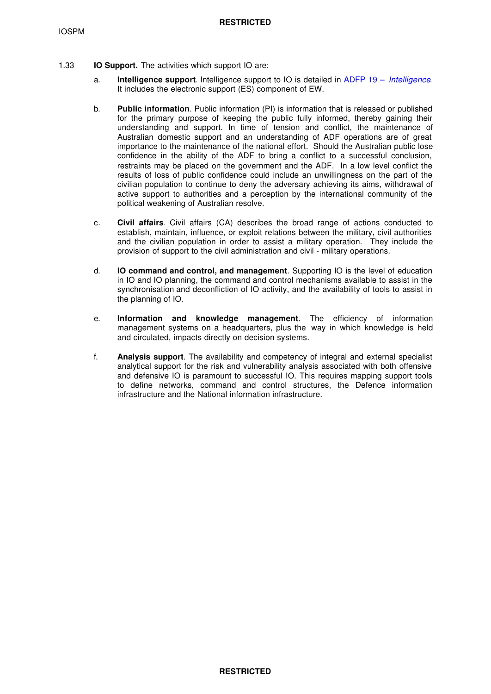- 1.33 **IO Support.** The activities which support IO are:
	- a. **Intelligence support**. Intelligence support to IO is detailed in ADFP 19 *Intelligence*. It includes the electronic support (ES) component of EW.
	- b. **Public information**. Public information (PI) is information that is released or published for the primary purpose of keeping the public fully informed, thereby gaining their understanding and support. In time of tension and conflict, the maintenance of Australian domestic support and an understanding of ADF operations are of great importance to the maintenance of the national effort. Should the Australian public lose confidence in the ability of the ADF to bring a conflict to a successful conclusion, restraints may be placed on the government and the ADF. In a low level conflict the results of loss of public confidence could include an unwillingness on the part of the civilian population to continue to deny the adversary achieving its aims, withdrawal of active support to authorities and a perception by the international community of the political weakening of Australian resolve.
	- c. **Civil affairs**. Civil affairs (CA) describes the broad range of actions conducted to establish, maintain, influence, or exploit relations between the military, civil authorities and the civilian population in order to assist a military operation. They include the provision of support to the civil administration and civil - military operations.
	- d. **IO command and control, and management**. Supporting IO is the level of education in IO and IO planning, the command and control mechanisms available to assist in the synchronisation and deconfliction of IO activity, and the availability of tools to assist in the planning of IO.
	- e. **Information and knowledge management**. The efficiency of information management systems on a headquarters, plus the way in which knowledge is held and circulated, impacts directly on decision systems.
	- f. **Analysis support**. The availability and competency of integral and external specialist analytical support for the risk and vulnerability analysis associated with both offensive and defensive IO is paramount to successful IO. This requires mapping support tools to define networks, command and control structures, the Defence information infrastructure and the National information infrastructure.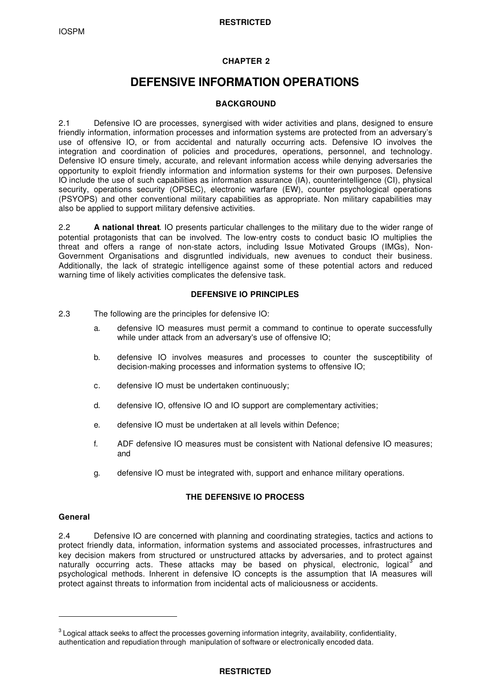# **CHAPTER 2**

# **DEFENSIVE INFORMATION OPERATIONS**

# **BACKGROUND**

2.1 Defensive IO are processes, synergised with wider activities and plans, designed to ensure friendly information, information processes and information systems are protected from an adversary's use of offensive IO, or from accidental and naturally occurring acts. Defensive IO involves the integration and coordination of policies and procedures, operations, personnel, and technology. Defensive IO ensure timely, accurate, and relevant information access while denying adversaries the opportunity to exploit friendly information and information systems for their own purposes. Defensive IO include the use of such capabilities as information assurance (IA), counterintelligence (CI), physical security, operations security (OPSEC), electronic warfare (EW), counter psychological operations (PSYOPS) and other conventional military capabilities as appropriate. Non military capabilities may also be applied to support military defensive activities.

2.2 **A national threat**. IO presents particular challenges to the military due to the wider range of potential protagonists that can be involved. The low-entry costs to conduct basic IO multiplies the threat and offers a range of non-state actors, including Issue Motivated Groups (IMGs), Non-Government Organisations and disgruntled individuals, new avenues to conduct their business. Additionally, the lack of strategic intelligence against some of these potential actors and reduced warning time of likely activities complicates the defensive task.

# **DEFENSIVE IO PRINCIPLES**

- 2.3 The following are the principles for defensive IO:
	- a. defensive IO measures must permit a command to continue to operate successfully while under attack from an adversary's use of offensive IO;
	- b. defensive IO involves measures and processes to counter the susceptibility of decision-making processes and information systems to offensive IO;
	- c. defensive IO must be undertaken continuously;
	- d. defensive IO, offensive IO and IO support are complementary activities;
	- e. defensive IO must be undertaken at all levels within Defence;
	- f. ADF defensive IO measures must be consistent with National defensive IO measures; and
	- g. defensive IO must be integrated with, support and enhance military operations.

# **THE DEFENSIVE IO PROCESS**

#### **General**

ı

2.4 Defensive IO are concerned with planning and coordinating strategies, tactics and actions to protect friendly data, information, information systems and associated processes, infrastructures and key decision makers from structured or unstructured attacks by adversaries, and to protect against naturally occurring acts. These attacks may be based on physical, electronic, logical<sup>3</sup> and psychological methods. Inherent in defensive IO concepts is the assumption that IA measures will protect against threats to information from incidental acts of maliciousness or accidents.

 $^{\rm 3}$  Logical attack seeks to affect the processes governing information integrity, availability, confidentiality, authentication and repudiation through manipulation of software or electronically encoded data.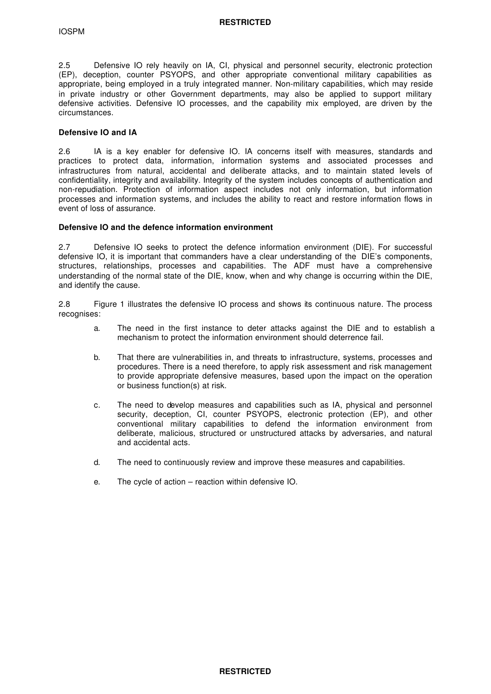2.5 Defensive IO rely heavily on IA, CI, physical and personnel security, electronic protection (EP), deception, counter PSYOPS, and other appropriate conventional military capabilities as appropriate, being employed in a truly integrated manner. Non-military capabilities, which may reside in private industry or other Government departments, may also be applied to support military defensive activities. Defensive IO processes, and the capability mix employed, are driven by the circumstances.

#### **Defensive IO and IA**

2.6 IA is a key enabler for defensive IO. IA concerns itself with measures, standards and practices to protect data, information, information systems and associated processes and infrastructures from natural, accidental and deliberate attacks, and to maintain stated levels of confidentiality, integrity and availability. Integrity of the system includes concepts of authentication and non-repudiation. Protection of information aspect includes not only information, but information processes and information systems, and includes the ability to react and restore information flows in event of loss of assurance.

#### **Defensive IO and the defence information environment**

2.7 Defensive IO seeks to protect the defence information environment (DIE). For successful defensive IO, it is important that commanders have a clear understanding of the DIE's components, structures, relationships, processes and capabilities. The ADF must have a comprehensive understanding of the normal state of the DIE, know, when and why change is occurring within the DIE, and identify the cause.

2.8 Figure 1 illustrates the defensive IO process and shows its continuous nature. The process recognises:

- a. The need in the first instance to deter attacks against the DIE and to establish a mechanism to protect the information environment should deterrence fail.
- b. That there are vulnerabilities in, and threats to infrastructure, systems, processes and procedures. There is a need therefore, to apply risk assessment and risk management to provide appropriate defensive measures, based upon the impact on the operation or business function(s) at risk.
- c. The need to develop measures and capabilities such as IA, physical and personnel security, deception, CI, counter PSYOPS, electronic protection (EP), and other conventional military capabilities to defend the information environment from deliberate, malicious, structured or unstructured attacks by adversaries, and natural and accidental acts.
- d. The need to continuously review and improve these measures and capabilities.
- e. The cycle of action reaction within defensive IO.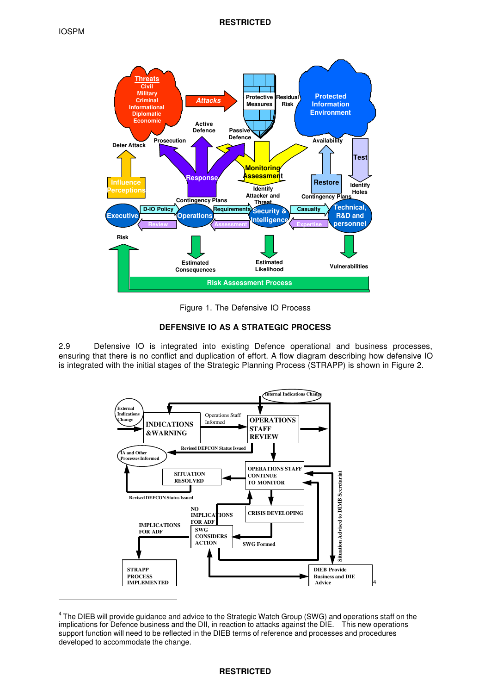ı



Figure 1. The Defensive IO Process

# **DEFENSIVE IO AS A STRATEGIC PROCESS**

2.9 Defensive IO is integrated into existing Defence operational and business processes, ensuring that there is no conflict and duplication of effort. A flow diagram describing how defensive IO is integrated with the initial stages of the Strategic Planning Process (STRAPP) is shown in Figure 2.



<sup>&</sup>lt;sup>4</sup> The DIEB will provide guidance and advice to the Strategic Watch Group (SWG) and operations staff on the implications for Defence business and the DII, in reaction to attacks against the DIE. This new operations support function will need to be reflected in the DIEB terms of reference and processes and procedures developed to accommodate the change.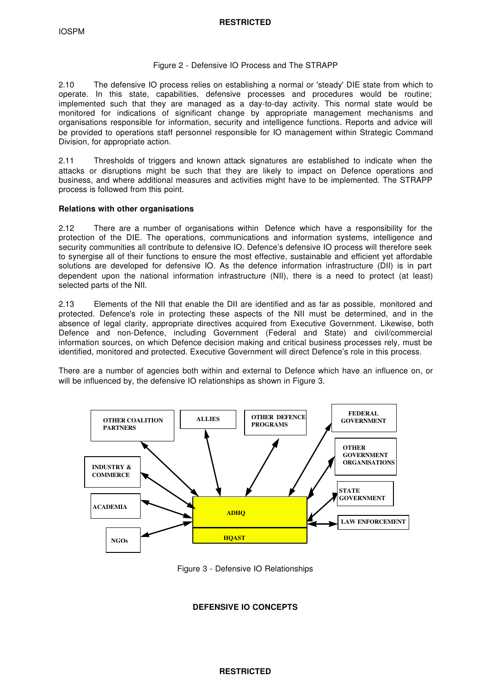#### Figure 2 - Defensive IO Process and The STRAPP

2.10 The defensive IO process relies on establishing a normal or 'steady' DIE state from which to operate. In this state, capabilities, defensive processes and procedures would be routine; implemented such that they are managed as a day-to-day activity. This normal state would be monitored for indications of significant change by appropriate management mechanisms and organisations responsible for information, security and intelligence functions. Reports and advice will be provided to operations staff personnel responsible for IO management within Strategic Command Division, for appropriate action.

2.11 Thresholds of triggers and known attack signatures are established to indicate when the attacks or disruptions might be such that they are likely to impact on Defence operations and business, and where additional measures and activities might have to be implemented. The STRAPP process is followed from this point.

#### **Relations with other organisations**

2.12 There are a number of organisations within Defence which have a responsibility for the protection of the DIE. The operations, communications and information systems, intelligence and security communities all contribute to defensive IO. Defence's defensive IO process will therefore seek to synergise all of their functions to ensure the most effective, sustainable and efficient yet affordable solutions are developed for defensive IO. As the defence information infrastructure (DII) is in part dependent upon the national information infrastructure (NII), there is a need to protect (at least) selected parts of the NII.

2.13 Elements of the NII that enable the DII are identified and as far as possible, monitored and protected. Defence's role in protecting these aspects of the NII must be determined, and in the absence of legal clarity, appropriate directives acquired from Executive Government. Likewise, both Defence and non-Defence, including Government (Federal and State) and civil/commercial information sources, on which Defence decision making and critical business processes rely, must be identified, monitored and protected. Executive Government will direct Defence's role in this process.

There are a number of agencies both within and external to Defence which have an influence on, or will be influenced by, the defensive IO relationships as shown in Figure 3.



Figure 3 - Defensive IO Relationships

# **DEFENSIVE IO CONCEPTS**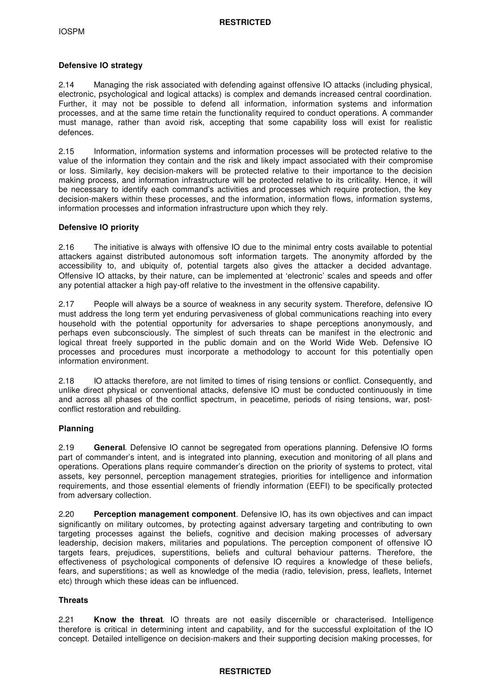#### **Defensive IO strategy**

2.14 Managing the risk associated with defending against offensive IO attacks (including physical, electronic, psychological and logical attacks) is complex and demands increased central coordination. Further, it may not be possible to defend all information, information systems and information processes, and at the same time retain the functionality required to conduct operations. A commander must manage, rather than avoid risk, accepting that some capability loss will exist for realistic defences.

2.15 Information, information systems and information processes will be protected relative to the value of the information they contain and the risk and likely impact associated with their compromise or loss. Similarly, key decision-makers will be protected relative to their importance to the decision making process, and information infrastructure will be protected relative to its criticality. Hence, it will be necessary to identify each command's activities and processes which require protection, the key decision-makers within these processes, and the information, information flows, information systems, information processes and information infrastructure upon which they rely.

#### **Defensive IO priority**

2.16 The initiative is always with offensive IO due to the minimal entry costs available to potential attackers against distributed autonomous soft information targets. The anonymity afforded by the accessibility to, and ubiquity of, potential targets also gives the attacker a decided advantage. Offensive IO attacks, by their nature, can be implemented at 'electronic' scales and speeds and offer any potential attacker a high pay-off relative to the investment in the offensive capability.

2.17 People will always be a source of weakness in any security system. Therefore, defensive IO must address the long term yet enduring pervasiveness of global communications reaching into every household with the potential opportunity for adversaries to shape perceptions anonymously, and perhaps even subconsciously. The simplest of such threats can be manifest in the electronic and logical threat freely supported in the public domain and on the World Wide Web. Defensive IO processes and procedures must incorporate a methodology to account for this potentially open information environment.

2.18 IO attacks therefore, are not limited to times of rising tensions or conflict. Consequently, and unlike direct physical or conventional attacks, defensive IO must be conducted continuously in time and across all phases of the conflict spectrum, in peacetime, periods of rising tensions, war, postconflict restoration and rebuilding.

# **Planning**

2.19 **General**. Defensive IO cannot be segregated from operations planning. Defensive IO forms part of commander's intent, and is integrated into planning, execution and monitoring of all plans and operations. Operations plans require commander's direction on the priority of systems to protect, vital assets, key personnel, perception management strategies, priorities for intelligence and information requirements, and those essential elements of friendly information (EEFI) to be specifically protected from adversary collection.

2.20 **Perception management component**. Defensive IO, has its own objectives and can impact significantly on military outcomes, by protecting against adversary targeting and contributing to own targeting processes against the beliefs, cognitive and decision making processes of adversary leadership, decision makers, militaries and populations. The perception component of offensive IO targets fears, prejudices, superstitions, beliefs and cultural behaviour patterns. Therefore, the effectiveness of psychological components of defensive IO requires a knowledge of these beliefs, fears, and superstitions; as well as knowledge of the media (radio, television, press, leaflets, Internet etc) through which these ideas can be influenced.

# **Threats**

2.21 **Know the threat**. IO threats are not easily discernible or characterised. Intelligence therefore is critical in determining intent and capability, and for the successful exploitation of the IO concept. Detailed intelligence on decision-makers and their supporting decision making processes, for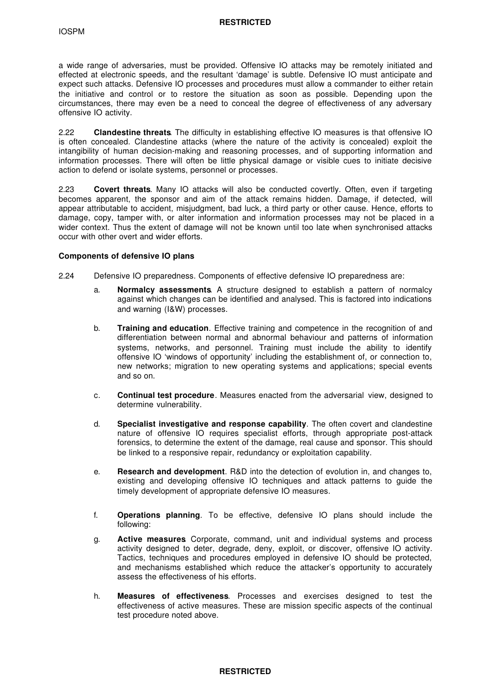a wide range of adversaries, must be provided. Offensive IO attacks may be remotely initiated and effected at electronic speeds, and the resultant 'damage' is subtle. Defensive IO must anticipate and expect such attacks. Defensive IO processes and procedures must allow a commander to either retain the initiative and control or to restore the situation as soon as possible. Depending upon the circumstances, there may even be a need to conceal the degree of effectiveness of any adversary offensive IO activity.

2.22 **Clandestine threats**. The difficulty in establishing effective IO measures is that offensive IO is often concealed. Clandestine attacks (where the nature of the activity is concealed) exploit the intangibility of human decision-making and reasoning processes, and of supporting information and information processes. There will often be little physical damage or visible cues to initiate decisive action to defend or isolate systems, personnel or processes.

2.23 **Covert threats**. Many IO attacks will also be conducted covertly. Often, even if targeting becomes apparent, the sponsor and aim of the attack remains hidden. Damage, if detected, will appear attributable to accident, misjudgment, bad luck, a third party or other cause. Hence, efforts to damage, copy, tamper with, or alter information and information processes may not be placed in a wider context. Thus the extent of damage will not be known until too late when synchronised attacks occur with other overt and wider efforts.

#### **Components of defensive IO plans**

- 2.24 Defensive IO preparedness. Components of effective defensive IO preparedness are:
	- a. **Normalcy assessments**. A structure designed to establish a pattern of normalcy against which changes can be identified and analysed. This is factored into indications and warning (I&W) processes.
	- b. **Training and education**. Effective training and competence in the recognition of and differentiation between normal and abnormal behaviour and patterns of information systems, networks, and personnel. Training must include the ability to identify offensive IO 'windows of opportunity' including the establishment of, or connection to, new networks; migration to new operating systems and applications; special events and so on.
	- c. **Continual test procedure**. Measures enacted from the adversarial view, designed to determine vulnerability.
	- d. **Specialist investigative and response capability**. The often covert and clandestine nature of offensive IO requires specialist efforts, through appropriate post-attack forensics, to determine the extent of the damage, real cause and sponsor. This should be linked to a responsive repair, redundancy or exploitation capability.
	- e. **Research and development**. R&D into the detection of evolution in, and changes to, existing and developing offensive IO techniques and attack patterns to guide the timely development of appropriate defensive IO measures.
	- f. **Operations planning**. To be effective, defensive IO plans should include the following:
	- g. **Active measures**. Corporate, command, unit and individual systems and process activity designed to deter, degrade, deny, exploit, or discover, offensive IO activity. Tactics, techniques and procedures employed in defensive IO should be protected, and mechanisms established which reduce the attacker's opportunity to accurately assess the effectiveness of his efforts.
	- h. **Measures of effectiveness**. Processes and exercises designed to test the effectiveness of active measures. These are mission specific aspects of the continual test procedure noted above.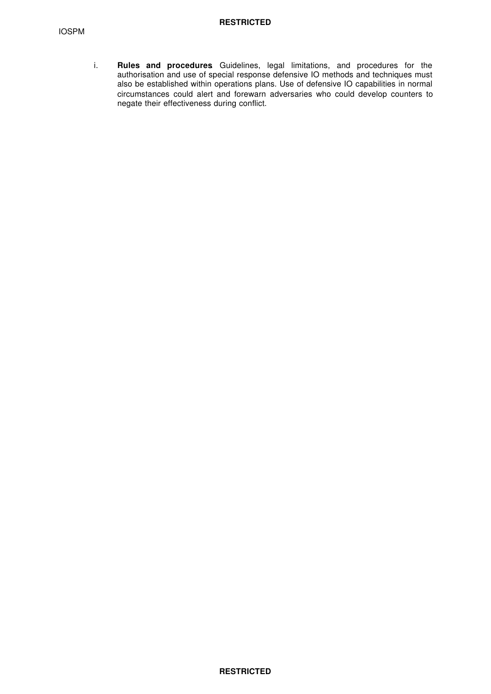i. **Rules and procedures**. Guidelines, legal limitations, and procedures for the authorisation and use of special response defensive IO methods and techniques must also be established within operations plans. Use of defensive IO capabilities in normal circumstances could alert and forewarn adversaries who could develop counters to negate their effectiveness during conflict.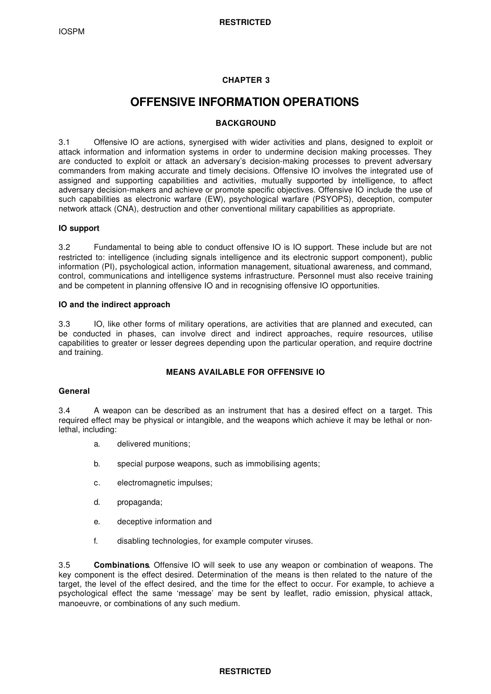# **CHAPTER 3**

# **OFFENSIVE INFORMATION OPERATIONS**

### **BACKGROUND**

3.1 Offensive IO are actions, synergised with wider activities and plans, designed to exploit or attack information and information systems in order to undermine decision making processes. They are conducted to exploit or attack an adversary's decision-making processes to prevent adversary commanders from making accurate and timely decisions. Offensive IO involves the integrated use of assigned and supporting capabilities and activities, mutually supported by intelligence, to affect adversary decision-makers and achieve or promote specific objectives. Offensive IO include the use of such capabilities as electronic warfare (EW), psychological warfare (PSYOPS), deception, computer network attack (CNA), destruction and other conventional military capabilities as appropriate.

#### **IO support**

3.2 Fundamental to being able to conduct offensive IO is IO support. These include but are not restricted to: intelligence (including signals intelligence and its electronic support component), public information (PI), psychological action, information management, situational awareness, and command, control, communications and intelligence systems infrastructure. Personnel must also receive training and be competent in planning offensive IO and in recognising offensive IO opportunities.

#### **IO and the indirect approach**

3.3 IO, like other forms of military operations, are activities that are planned and executed, can be conducted in phases, can involve direct and indirect approaches, require resources, utilise capabilities to greater or lesser degrees depending upon the particular operation, and require doctrine and training.

# **MEANS AVAILABLE FOR OFFENSIVE IO**

#### **General**

3.4 A weapon can be described as an instrument that has a desired effect on a target. This required effect may be physical or intangible, and the weapons which achieve it may be lethal or nonlethal, including:

- a. delivered munitions;
- b. special purpose weapons, such as immobilising agents;
- c. electromagnetic impulses;
- d. propaganda;
- e. deceptive information and
- f. disabling technologies, for example computer viruses.

3.5 **Combinations**. Offensive IO will seek to use any weapon or combination of weapons. The key component is the effect desired. Determination of the means is then related to the nature of the target, the level of the effect desired, and the time for the effect to occur. For example, to achieve a psychological effect the same 'message' may be sent by leaflet, radio emission, physical attack, manoeuvre, or combinations of any such medium.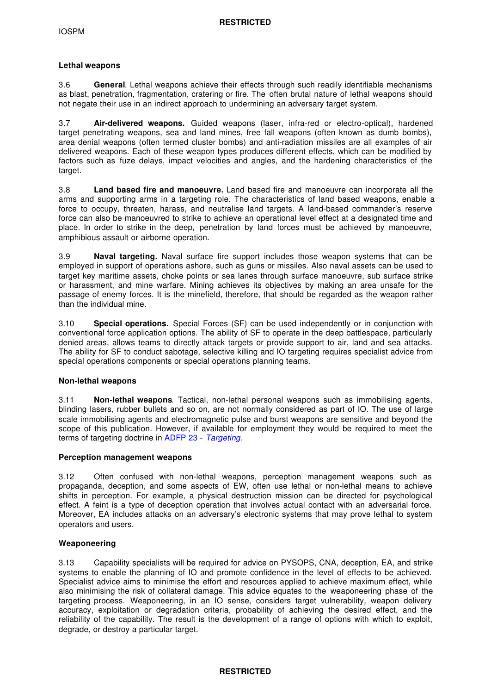### **Lethal weapons**

3.6 **General**. Lethal weapons achieve their effects through such readily identifiable mechanisms as blast, penetration, fragmentation, cratering or fire. The often brutal nature of lethal weapons should not negate their use in an indirect approach to undermining an adversary target system.

3.7 **Air-delivered weapons.** Guided weapons (laser, infra-red or electro-optical), hardened target penetrating weapons, sea and land mines, free fall weapons (often known as dumb bombs), area denial weapons (often termed cluster bombs) and anti-radiation missiles are all examples of air delivered weapons. Each of these weapon types produces different effects, which can be modified by factors such as fuze delays, impact velocities and angles, and the hardening characteristics of the target.

3.8 **Land based fire and manoeuvre.** Land based fire and manoeuvre can incorporate all the arms and supporting arms in a targeting role. The characteristics of land based weapons, enable a force to occupy, threaten, harass, and neutralise land targets. A land-based commander's reserve force can also be manoeuvred to strike to achieve an operational level effect at a designated time and place. In order to strike in the deep, penetration by land forces must be achieved by manoeuvre, amphibious assault or airborne operation.

3.9 **Naval targeting.** Naval surface fire support includes those weapon systems that can be employed in support of operations ashore, such as guns or missiles. Also naval assets can be used to target key maritime assets, choke points or sea lanes through surface manoeuvre, sub surface strike or harassment, and mine warfare. Mining achieves its objectives by making an area unsafe for the passage of enemy forces. It is the minefield, therefore, that should be regarded as the weapon rather than the individual mine.

3.10 **Special operations.** Special Forces (SF) can be used independently or in conjunction with conventional force application options. The ability of SF to operate in the deep battlespace, particularly denied areas, allows teams to directly attack targets or provide support to air, land and sea attacks. The ability for SF to conduct sabotage, selective killing and IO targeting requires specialist advice from special operations components or special operations planning teams.

#### **Non-lethal weapons**

3.11 **Non-lethal weapons**. Tactical, non-lethal personal weapons such as immobilising agents, blinding lasers, rubber bullets and so on, are not normally considered as part of IO. The use of large scale immobilising agents and electromagnetic pulse and burst weapons are sensitive and beyond the scope of this publication. However, if available for employment they would be required to meet the terms of targeting doctrine in ADFP 23 - *Targeting*.

#### **Perception management weapons**

3.12 Often confused with non-lethal weapons, perception management weapons such as propaganda, deception, and some aspects of EW, often use lethal or non-lethal means to achieve shifts in perception. For example, a physical destruction mission can be directed for psychological effect. A feint is a type of deception operation that involves actual contact with an adversarial force. Moreover, EA includes attacks on an adversary's electronic systems that may prove lethal to system operators and users.

# **Weaponeering**

3.13 Capability specialists will be required for advice on PYSOPS, CNA, deception, EA, and strike systems to enable the planning of IO and promote confidence in the level of effects to be achieved. Specialist advice aims to minimise the effort and resources applied to achieve maximum effect, while also minimising the risk of collateral damage. This advice equates to the weaponeering phase of the targeting process. Weaponeering, in an IO sense, considers target vulnerability, weapon delivery accuracy, exploitation or degradation criteria, probability of achieving the desired effect, and the reliability of the capability. The result is the development of a range of options with which to exploit, degrade, or destroy a particular target.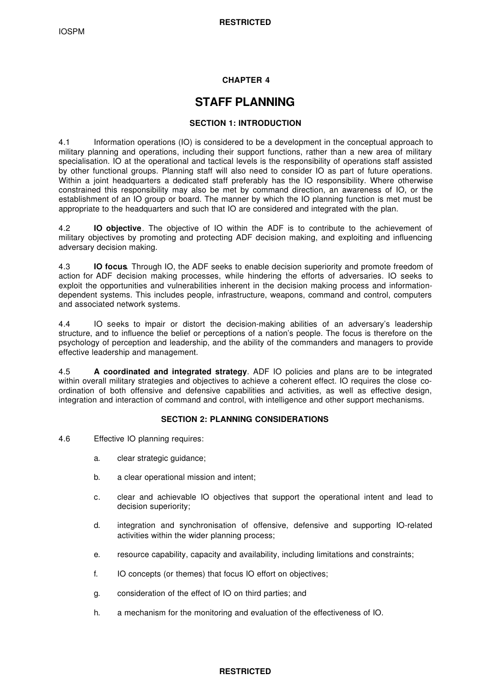# **CHAPTER 4**

# **STAFF PLANNING**

### **SECTION 1: INTRODUCTION**

4.1 Information operations (IO) is considered to be a development in the conceptual approach to military planning and operations, including their support functions, rather than a new area of military specialisation. IO at the operational and tactical levels is the responsibility of operations staff assisted by other functional groups. Planning staff will also need to consider IO as part of future operations. Within a joint headquarters a dedicated staff preferably has the IO responsibility. Where otherwise constrained this responsibility may also be met by command direction, an awareness of IO, or the establishment of an IO group or board. The manner by which the IO planning function is met must be appropriate to the headquarters and such that IO are considered and integrated with the plan.

4.2 **IO objective**. The objective of IO within the ADF is to contribute to the achievement of military objectives by promoting and protecting ADF decision making, and exploiting and influencing adversary decision making.

4.3 **IO focus**. Through IO, the ADF seeks to enable decision superiority and promote freedom of action for ADF decision making processes, while hindering the efforts of adversaries. IO seeks to exploit the opportunities and vulnerabilities inherent in the decision making process and informationdependent systems. This includes people, infrastructure, weapons, command and control, computers and associated network systems.

4.4 IO seeks to impair or distort the decision-making abilities of an adversary's leadership structure, and to influence the belief or perceptions of a nation's people. The focus is therefore on the psychology of perception and leadership, and the ability of the commanders and managers to provide effective leadership and management.

4.5 **A coordinated and integrated strategy**. ADF IO policies and plans are to be integrated within overall military strategies and objectives to achieve a coherent effect. IO requires the close coordination of both offensive and defensive capabilities and activities, as well as effective design, integration and interaction of command and control, with intelligence and other support mechanisms.

# **SECTION 2: PLANNING CONSIDERATIONS**

- 4.6 Effective IO planning requires:
	- a. clear strategic guidance;
	- b. a clear operational mission and intent;
	- c. clear and achievable IO objectives that support the operational intent and lead to decision superiority;
	- d. integration and synchronisation of offensive, defensive and supporting IO-related activities within the wider planning process;
	- e. resource capability, capacity and availability, including limitations and constraints;
	- f. IO concepts (or themes) that focus IO effort on objectives;
	- g. consideration of the effect of IO on third parties; and
	- h. a mechanism for the monitoring and evaluation of the effectiveness of IO.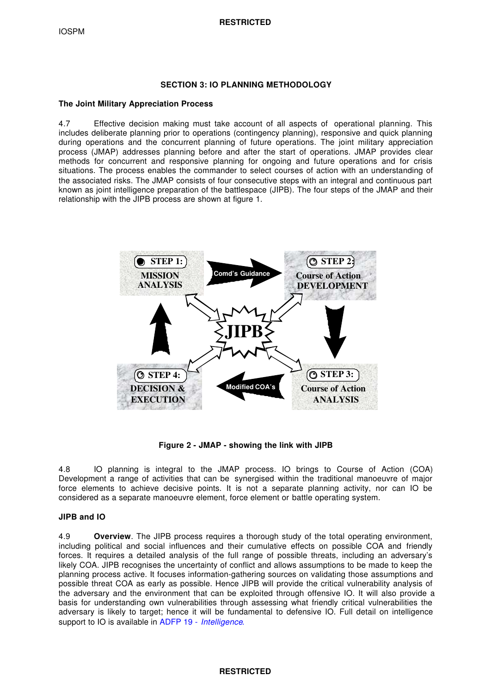#### **SECTION 3: IO PLANNING METHODOLOGY**

#### **The Joint Military Appreciation Process**

4.7 Effective decision making must take account of all aspects of operational planning. This includes deliberate planning prior to operations (contingency planning), responsive and quick planning during operations and the concurrent planning of future operations. The joint military appreciation process (JMAP) addresses planning before and after the start of operations. JMAP provides clear methods for concurrent and responsive planning for ongoing and future operations and for crisis situations. The process enables the commander to select courses of action with an understanding of the associated risks. The JMAP consists of four consecutive steps with an integral and continuous part known as joint intelligence preparation of the battlespace (JIPB). The four steps of the JMAP and their relationship with the JIPB process are shown at figure 1.



**Figure 2 - JMAP - showing the link with JIPB**

4.8 IO planning is integral to the JMAP process. IO brings to Course of Action (COA) Development a range of activities that can be synergised within the traditional manoeuvre of major force elements to achieve decisive points. It is not a separate planning activity, nor can IO be considered as a separate manoeuvre element, force element or battle operating system.

# **JIPB and IO**

4.9 **Overview**. The JIPB process requires a thorough study of the total operating environment, including political and social influences and their cumulative effects on possible COA and friendly forces. It requires a detailed analysis of the full range of possible threats, including an adversary's likely COA. JIPB recognises the uncertainty of conflict and allows assumptions to be made to keep the planning process active. It focuses information-gathering sources on validating those assumptions and possible threat COA as early as possible. Hence JIPB will provide the critical vulnerability analysis of the adversary and the environment that can be exploited through offensive IO. It will also provide a basis for understanding own vulnerabilities through assessing what friendly critical vulnerabilities the adversary is likely to target; hence it will be fundamental to defensive IO. Full detail on intelligence support to IO is available in ADFP 19 - *Intelligence*.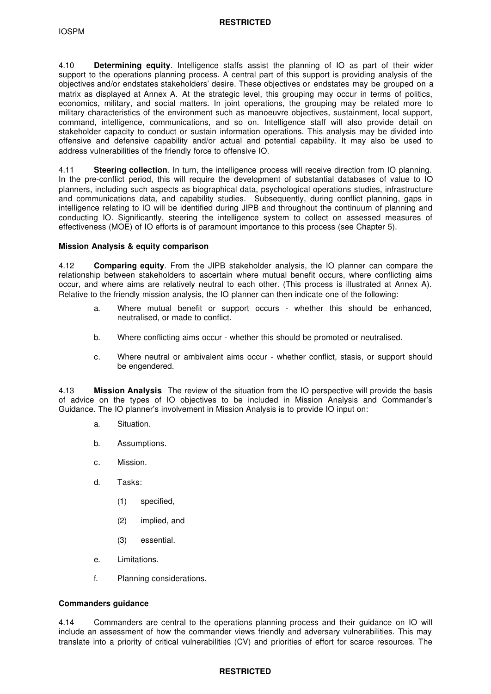4.10 **Determining equity**. Intelligence staffs assist the planning of IO as part of their wider support to the operations planning process. A central part of this support is providing analysis of the objectives and/or endstates stakeholders' desire. These objectives or endstates may be grouped on a matrix as displayed at Annex A. At the strategic level, this grouping may occur in terms of politics, economics, military, and social matters. In joint operations, the grouping may be related more to military characteristics of the environment such as manoeuvre objectives, sustainment, local support, command, intelligence, communications, and so on. Intelligence staff will also provide detail on stakeholder capacity to conduct or sustain information operations. This analysis may be divided into offensive and defensive capability and/or actual and potential capability. It may also be used to address vulnerabilities of the friendly force to offensive IO.

4.11 **Steering collection**. In turn, the intelligence process will receive direction from IO planning. In the pre-conflict period, this will require the development of substantial databases of value to IO planners, including such aspects as biographical data, psychological operations studies, infrastructure and communications data, and capability studies. Subsequently, during conflict planning, gaps in intelligence relating to IO will be identified during JIPB and throughout the continuum of planning and conducting IO. Significantly, steering the intelligence system to collect on assessed measures of effectiveness (MOE) of IO efforts is of paramount importance to this process (see Chapter 5).

#### **Mission Analysis & equity comparison**

4.12 **Comparing equity**. From the JIPB stakeholder analysis, the IO planner can compare the relationship between stakeholders to ascertain where mutual benefit occurs, where conflicting aims occur, and where aims are relatively neutral to each other. (This process is illustrated at Annex A). Relative to the friendly mission analysis, the IO planner can then indicate one of the following:

- a. Where mutual benefit or support occurs whether this should be enhanced, neutralised, or made to conflict.
- b. Where conflicting aims occur whether this should be promoted or neutralised.
- c. Where neutral or ambivalent aims occur whether conflict, stasis, or support should be engendered.

4.13 **Mission Analysis**. The review of the situation from the IO perspective will provide the basis of advice on the types of IO objectives to be included in Mission Analysis and Commander's Guidance. The IO planner's involvement in Mission Analysis is to provide IO input on:

- a. Situation.
- b. Assumptions.
- c. Mission.
- d. Tasks:
	- (1) specified,
	- (2) implied, and
	- (3) essential.
- e. Limitations.
- f. Planning considerations.

#### **Commanders guidance**

4.14 Commanders are central to the operations planning process and their guidance on IO will include an assessment of how the commander views friendly and adversary vulnerabilities. This may translate into a priority of critical vulnerabilities (CV) and priorities of effort for scarce resources. The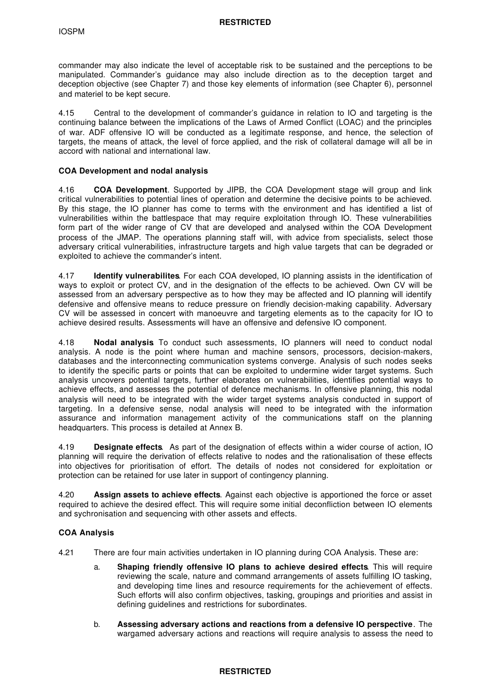commander may also indicate the level of acceptable risk to be sustained and the perceptions to be manipulated. Commander's guidance may also include direction as to the deception target and deception objective (see Chapter 7) and those key elements of information (see Chapter 6), personnel and materiel to be kept secure.

4.15 Central to the development of commander's guidance in relation to IO and targeting is the continuing balance between the implications of the Laws of Armed Conflict (LOAC) and the principles of war. ADF offensive IO will be conducted as a legitimate response, and hence, the selection of targets, the means of attack, the level of force applied, and the risk of collateral damage will all be in accord with national and international law.

#### **COA Development and nodal analysis**

4.16 **COA Development**. Supported by JIPB, the COA Development stage will group and link critical vulnerabilities to potential lines of operation and determine the decisive points to be achieved. By this stage, the IO planner has come to terms with the environment and has identified a list of vulnerabilities within the battlespace that may require exploitation through IO. These vulnerabilities form part of the wider range of CV that are developed and analysed within the COA Development process of the JMAP. The operations planning staff will, with advice from specialists, select those adversary critical vulnerabilities, infrastructure targets and high value targets that can be degraded or exploited to achieve the commander's intent.

4.17 **Identify vulnerabilites**. For each COA developed, IO planning assists in the identification of ways to exploit or protect CV, and in the designation of the effects to be achieved. Own CV will be assessed from an adversary perspective as to how they may be affected and IO planning will identify defensive and offensive means to reduce pressure on friendly decision-making capability. Adversary CV will be assessed in concert with manoeuvre and targeting elements as to the capacity for IO to achieve desired results. Assessments will have an offensive and defensive IO component.

4.18 **Nodal analysis**. To conduct such assessments, IO planners will need to conduct nodal analysis. A node is the point where human and machine sensors, processors, decision-makers, databases and the interconnecting communication systems converge. Analysis of such nodes seeks to identify the specific parts or points that can be exploited to undermine wider target systems. Such analysis uncovers potential targets, further elaborates on vulnerabilities, identifies potential ways to achieve effects, and assesses the potential of defence mechanisms. In offensive planning, this nodal analysis will need to be integrated with the wider target systems analysis conducted in support of targeting. In a defensive sense, nodal analysis will need to be integrated with the information assurance and information management activity of the communications staff on the planning headquarters. This process is detailed at Annex B.

4.19 **Designate effects**. As part of the designation of effects within a wider course of action, IO planning will require the derivation of effects relative to nodes and the rationalisation of these effects into objectives for prioritisation of effort. The details of nodes not considered for exploitation or protection can be retained for use later in support of contingency planning.

4.20 **Assign assets to achieve effects**. Against each objective is apportioned the force or asset required to achieve the desired effect. This will require some initial deconfliction between IO elements and sychronisation and sequencing with other assets and effects.

# **COA Analysis**

4.21 There are four main activities undertaken in IO planning during COA Analysis. These are:

- a. **Shaping friendly offensive IO plans to achieve desired effects**. This will require reviewing the scale, nature and command arrangements of assets fulfilling IO tasking, and developing time lines and resource requirements for the achievement of effects. Such efforts will also confirm objectives, tasking, groupings and priorities and assist in defining guidelines and restrictions for subordinates.
- b. **Assessing adversary actions and reactions from a defensive IO perspective**. The wargamed adversary actions and reactions will require analysis to assess the need to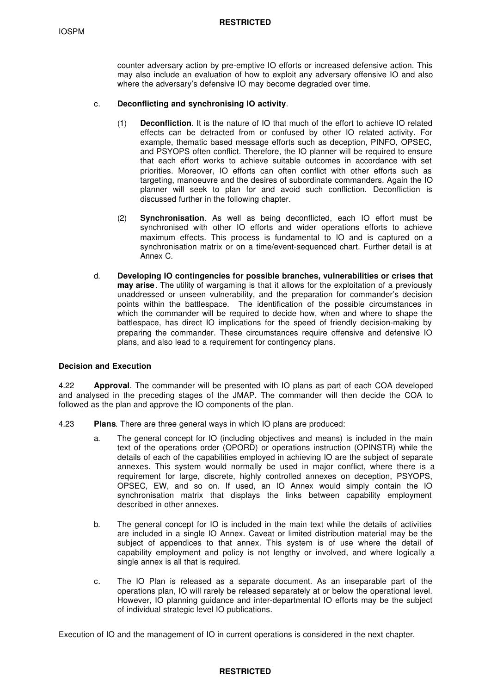counter adversary action by pre-emptive IO efforts or increased defensive action. This may also include an evaluation of how to exploit any adversary offensive IO and also where the adversary's defensive IO may become degraded over time.

#### c. **Deconflicting and synchronising IO activity**.

- (1) **Deconfliction**. It is the nature of IO that much of the effort to achieve IO related effects can be detracted from or confused by other IO related activity. For example, thematic based message efforts such as deception, PINFO, OPSEC, and PSYOPS often conflict. Therefore, the IO planner will be required to ensure that each effort works to achieve suitable outcomes in accordance with set priorities. Moreover, IO efforts can often conflict with other efforts such as targeting, manoeuvre and the desires of subordinate commanders. Again the IO planner will seek to plan for and avoid such confliction. Deconfliction is discussed further in the following chapter.
- (2) **Synchronisation**. As well as being deconflicted, each IO effort must be synchronised with other IO efforts and wider operations efforts to achieve maximum effects. This process is fundamental to IO and is captured on a synchronisation matrix or on a time/event-sequenced chart. Further detail is at Annex C.
- d. **Developing IO contingencies for possible branches, vulnerabilities or crises that may arise** . The utility of wargaming is that it allows for the exploitation of a previously unaddressed or unseen vulnerability, and the preparation for commander's decision points within the battlespace. The identification of the possible circumstances in which the commander will be required to decide how, when and where to shape the battlespace, has direct IO implications for the speed of friendly decision-making by preparing the commander. These circumstances require offensive and defensive IO plans, and also lead to a requirement for contingency plans.

#### **Decision and Execution**

4.22 **Approval**. The commander will be presented with IO plans as part of each COA developed and analysed in the preceding stages of the JMAP. The commander will then decide the COA to followed as the plan and approve the IO components of the plan.

- 4.23 **Plans**. There are three general ways in which IO plans are produced:
	- a. The general concept for IO (including objectives and means) is included in the main text of the operations order (OPORD) or operations instruction (OPINSTR) while the details of each of the capabilities employed in achieving IO are the subject of separate annexes. This system would normally be used in major conflict, where there is a requirement for large, discrete, highly controlled annexes on deception, PSYOPS, OPSEC, EW, and so on. If used, an IO Annex would simply contain the IO synchronisation matrix that displays the links between capability employment described in other annexes.
	- b. The general concept for IO is included in the main text while the details of activities are included in a single IO Annex. Caveat or limited distribution material may be the subject of appendices to that annex. This system is of use where the detail of capability employment and policy is not lengthy or involved, and where logically a single annex is all that is required.
	- c. The IO Plan is released as a separate document. As an inseparable part of the operations plan, IO will rarely be released separately at or below the operational level. However, IO planning guidance and inter-departmental IO efforts may be the subject of individual strategic level IO publications.

Execution of IO and the management of IO in current operations is considered in the next chapter.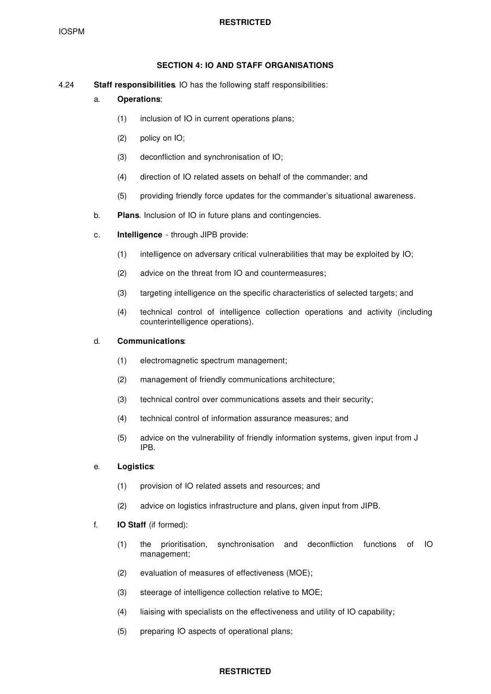### **SECTION 4: IO AND STAFF ORGANISATIONS**

4.24 **Staff responsibilities**. IO has the following staff responsibilities:

# a. **Operations**:

- (1) inclusion of IO in current operations plans;
- (2) policy on IO;
- (3) deconfliction and synchronisation of IO;
- (4) direction of IO related assets on behalf of the commander; and
- (5) providing friendly force updates for the commander's situational awareness.
- b. **Plans**. Inclusion of IO in future plans and contingencies.
- c. **Intelligence** through JIPB provide:
	- (1) intelligence on adversary critical vulnerabilities that may be exploited by IO;
	- (2) advice on the threat from IO and countermeasures;
	- (3) targeting intelligence on the specific characteristics of selected targets; and
	- (4) technical control of intelligence collection operations and activity (including counterintelligence operations).

#### d. **Communications**:

- (1) electromagnetic spectrum management;
- (2) management of friendly communications architecture;
- (3) technical control over communications assets and their security;
- (4) technical control of information assurance measures; and
- (5) advice on the vulnerability of friendly information systems, given input from J IPB.

#### e. **Logistics**:

- (1) provision of IO related assets and resources; and
- (2) advice on logistics infrastructure and plans, given input from JIPB.
- f. **IO Staff** (if formed):
	- (1) the prioritisation, synchronisation and deconfliction functions of IO management;
	- (2) evaluation of measures of effectiveness (MOE);
	- (3) steerage of intelligence collection relative to MOE;
	- (4) liaising with specialists on the effectiveness and utility of IO capability;
	- (5) preparing IO aspects of operational plans;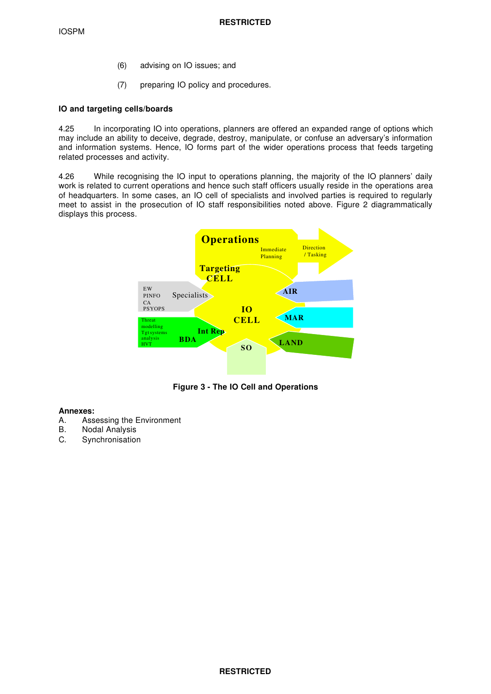IOSPM

- (6) advising on IO issues; and
- (7) preparing IO policy and procedures.

# **IO and targeting cells/boards**

4.25 In incorporating IO into operations, planners are offered an expanded range of options which may include an ability to deceive, degrade, destroy, manipulate, or confuse an adversary's information and information systems. Hence, IO forms part of the wider operations process that feeds targeting related processes and activity.

4.26 While recognising the IO input to operations planning, the majority of the IO planners' daily work is related to current operations and hence such staff officers usually reside in the operations area of headquarters. In some cases, an IO cell of specialists and involved parties is required to regularly meet to assist in the prosecution of IO staff responsibilities noted above. Figure 2 diagrammatically displays this process.



**Figure 3 - The IO Cell and Operations**

# **Annexes:**

- A. Assessing the Environment<br>B. Nodal Analysis
- **Nodal Analysis**
- C. Synchronisation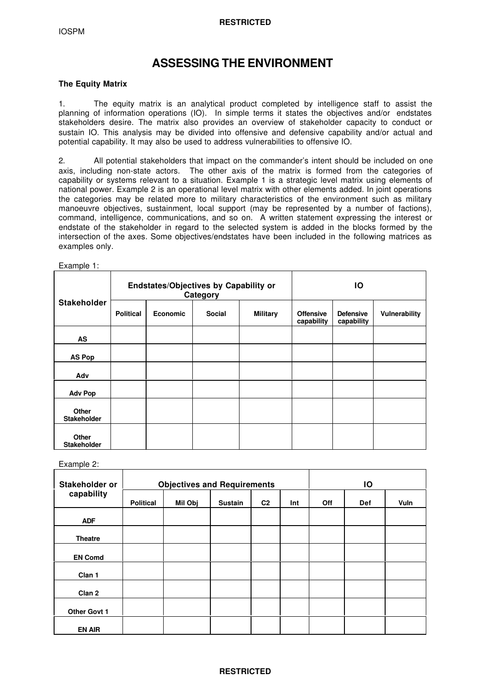# **ASSESSING THE ENVIRONMENT**

### **The Equity Matrix**

1. The equity matrix is an analytical product completed by intelligence staff to assist the planning of information operations (IO). In simple terms it states the objectives and/or endstates stakeholders desire. The matrix also provides an overview of stakeholder capacity to conduct or sustain IO. This analysis may be divided into offensive and defensive capability and/or actual and potential capability. It may also be used to address vulnerabilities to offensive IO.

2. All potential stakeholders that impact on the commander's intent should be included on one axis, including non-state actors. The other axis of the matrix is formed from the categories of capability or systems relevant to a situation. Example 1 is a strategic level matrix using elements of national power. Example 2 is an operational level matrix with other elements added. In joint operations the categories may be related more to military characteristics of the environment such as military manoeuvre objectives, sustainment, local support (may be represented by a number of factions), command, intelligence, communications, and so on. A written statement expressing the interest or endstate of the stakeholder in regard to the selected system is added in the blocks formed by the intersection of the axes. Some objectives/endstates have been included in the following matrices as examples only.

| Example 1:                         |                  |                                       |               |                 |                                |                                |               |
|------------------------------------|------------------|---------------------------------------|---------------|-----------------|--------------------------------|--------------------------------|---------------|
|                                    |                  | Endstates/Objectives by Capability or | Category      | IO              |                                |                                |               |
| <b>Stakeholder</b>                 | <b>Political</b> | <b>Economic</b>                       | <b>Social</b> | <b>Military</b> | <b>Offensive</b><br>capability | <b>Defensive</b><br>capability | Vulnerability |
| AS                                 |                  |                                       |               |                 |                                |                                |               |
| <b>AS Pop</b>                      |                  |                                       |               |                 |                                |                                |               |
| Adv                                |                  |                                       |               |                 |                                |                                |               |
| <b>Adv Pop</b>                     |                  |                                       |               |                 |                                |                                |               |
| <b>Other</b><br><b>Stakeholder</b> |                  |                                       |               |                 |                                |                                |               |
| <b>Other</b><br><b>Stakeholder</b> |                  |                                       |               |                 |                                |                                |               |

Example 2:

| Stakeholder or    |                  | <b>Objectives and Requirements</b> | IO             |                |     |            |            |             |
|-------------------|------------------|------------------------------------|----------------|----------------|-----|------------|------------|-------------|
| capability        | <b>Political</b> | Mil Obj                            | <b>Sustain</b> | C <sub>2</sub> | Int | <b>Off</b> | <b>Def</b> | <b>Vuln</b> |
| <b>ADF</b>        |                  |                                    |                |                |     |            |            |             |
| <b>Theatre</b>    |                  |                                    |                |                |     |            |            |             |
| <b>EN Comd</b>    |                  |                                    |                |                |     |            |            |             |
| Clan 1            |                  |                                    |                |                |     |            |            |             |
| Clan <sub>2</sub> |                  |                                    |                |                |     |            |            |             |
| Other Govt 1      |                  |                                    |                |                |     |            |            |             |
| <b>EN AIR</b>     |                  |                                    |                |                |     |            |            |             |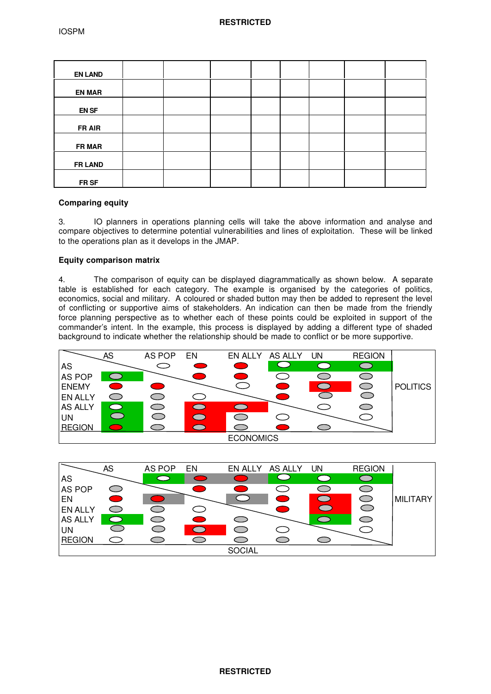| <b>EN LAND</b> |  |  |  |  |
|----------------|--|--|--|--|
| <b>EN MAR</b>  |  |  |  |  |
| <b>EN SF</b>   |  |  |  |  |
| FR AIR         |  |  |  |  |
| <b>FR MAR</b>  |  |  |  |  |
| <b>FR LAND</b> |  |  |  |  |
| FR SF          |  |  |  |  |

# **Comparing equity**

3. IO planners in operations planning cells will take the above information and analyse and compare objectives to determine potential vulnerabilities and lines of exploitation. These will be linked to the operations plan as it develops in the JMAP.

# **Equity comparison matrix**

4. The comparison of equity can be displayed diagrammatically as shown below. A separate table is established for each category. The example is organised by the categories of politics, economics, social and military. A coloured or shaded button may then be added to represent the level of conflicting or supportive aims of stakeholders. An indication can then be made from the friendly force planning perspective as to whether each of these points could be exploited in support of the commander's intent. In the example, this process is displayed by adding a different type of shaded background to indicate whether the relationship should be made to conflict or be more supportive.



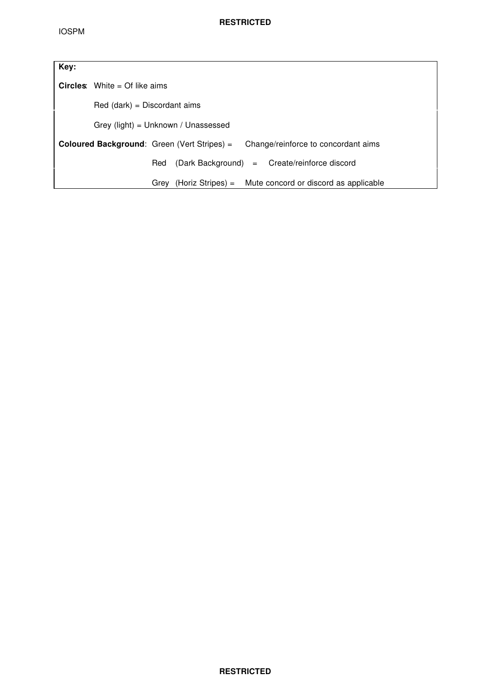| Key: |                                                                                           |  |  |  |  |  |
|------|-------------------------------------------------------------------------------------------|--|--|--|--|--|
|      | <b>Circles:</b> White = Of like aims                                                      |  |  |  |  |  |
|      | $Red$ (dark) = Discordant aims                                                            |  |  |  |  |  |
|      | Grey (light) = $Unknown / Unassessed$                                                     |  |  |  |  |  |
|      | <b>Coloured Background:</b> Green (Vert Stripes) =<br>Change/reinforce to concordant aims |  |  |  |  |  |
|      | (Dark Background) = Create/reinforce discord<br>Red                                       |  |  |  |  |  |
|      | (Horiz Stripes) = Mute concord or discord as applicable<br>Grev                           |  |  |  |  |  |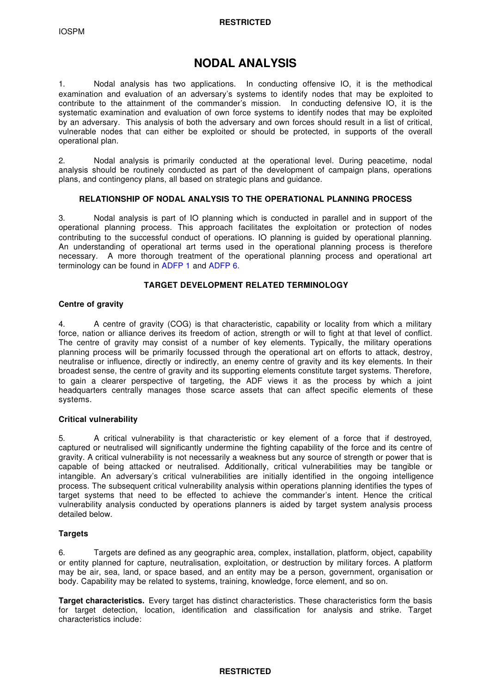# **NODAL ANALYSIS**

1. Nodal analysis has two applications. In conducting offensive IO, it is the methodical examination and evaluation of an adversary's systems to identify nodes that may be exploited to contribute to the attainment of the commander's mission. In conducting defensive IO, it is the systematic examination and evaluation of own force systems to identify nodes that may be exploited by an adversary. This analysis of both the adversary and own forces should result in a list of critical, vulnerable nodes that can either be exploited or should be protected, in supports of the overall operational plan.

2. Nodal analysis is primarily conducted at the operational level. During peacetime, nodal analysis should be routinely conducted as part of the development of campaign plans, operations plans, and contingency plans, all based on strategic plans and guidance.

# **RELATIONSHIP OF NODAL ANALYSIS TO THE OPERATIONAL PLANNING PROCESS**

3. Nodal analysis is part of IO planning which is conducted in parallel and in support of the operational planning process. This approach facilitates the exploitation or protection of nodes contributing to the successful conduct of operations. IO planning is guided by operational planning. An understanding of operational art terms used in the operational planning process is therefore necessary. A more thorough treatment of the operational planning process and operational art terminology can be found in ADFP 1 and ADFP 6.

#### **TARGET DEVELOPMENT RELATED TERMINOLOGY**

#### **Centre of gravity**

4. A centre of gravity (COG) is that characteristic, capability or locality from which a military force, nation or alliance derives its freedom of action, strength or will to fight at that level of conflict. The centre of gravity may consist of a number of key elements. Typically, the military operations planning process will be primarily focussed through the operational art on efforts to attack, destroy, neutralise or influence, directly or indirectly, an enemy centre of gravity and its key elements. In their broadest sense, the centre of gravity and its supporting elements constitute target systems. Therefore, to gain a clearer perspective of targeting, the ADF views it as the process by which a joint headquarters centrally manages those scarce assets that can affect specific elements of these systems.

#### **Critical vulnerability**

5. A critical vulnerability is that characteristic or key element of a force that if destroyed, captured or neutralised will significantly undermine the fighting capability of the force and its centre of gravity. A critical vulnerability is not necessarily a weakness but any source of strength or power that is capable of being attacked or neutralised. Additionally, critical vulnerabilities may be tangible or intangible. An adversary's critical vulnerabilities are initially identified in the ongoing intelligence process. The subsequent critical vulnerability analysis within operations planning identifies the types of target systems that need to be effected to achieve the commander's intent. Hence the critical vulnerability analysis conducted by operations planners is aided by target system analysis process detailed below.

# **Targets**

6. Targets are defined as any geographic area, complex, installation, platform, object, capability or entity planned for capture, neutralisation, exploitation, or destruction by military forces. A platform may be air, sea, land, or space based, and an entity may be a person, government, organisation or body. Capability may be related to systems, training, knowledge, force element, and so on.

**Target characteristics.** Every target has distinct characteristics. These characteristics form the basis for target detection, location, identification and classification for analysis and strike. Target characteristics include: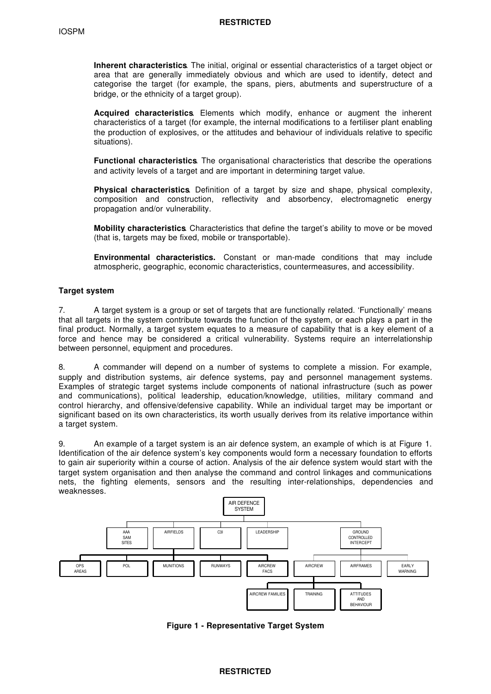**Inherent characteristics**. The initial, original or essential characteristics of a target object or area that are generally immediately obvious and which are used to identify, detect and categorise the target (for example, the spans, piers, abutments and superstructure of a bridge, or the ethnicity of a target group).

**Acquired characteristics**. Elements which modify, enhance or augment the inherent characteristics of a target (for example, the internal modifications to a fertiliser plant enabling the production of explosives, or the attitudes and behaviour of individuals relative to specific situations).

**Functional characteristics**. The organisational characteristics that describe the operations and activity levels of a target and are important in determining target value.

**Physical characteristics**. Definition of a target by size and shape, physical complexity, composition and construction, reflectivity and absorbency, electromagnetic energy propagation and/or vulnerability.

**Mobility characteristics**. Characteristics that define the target's ability to move or be moved (that is, targets may be fixed, mobile or transportable).

**Environmental characteristics.** Constant or man-made conditions that may include atmospheric, geographic, economic characteristics, countermeasures, and accessibility.

#### **Target system**

7. A target system is a group or set of targets that are functionally related. 'Functionally' means that all targets in the system contribute towards the function of the system, or each plays a part in the final product. Normally, a target system equates to a measure of capability that is a key element of a force and hence may be considered a critical vulnerability. Systems require an interrelationship between personnel, equipment and procedures.

8. A commander will depend on a number of systems to complete a mission. For example, supply and distribution systems, air defence systems, pay and personnel management systems. Examples of strategic target systems include components of national infrastructure (such as power and communications), political leadership, education/knowledge, utilities, military command and control hierarchy, and offensive/defensive capability. While an individual target may be important or significant based on its own characteristics, its worth usually derives from its relative importance within a target system.

9. An example of a target system is an air defence system, an example of which is at Figure 1. Identification of the air defence system's key components would form a necessary foundation to efforts to gain air superiority within a course of action. Analysis of the air defence system would start with the target system organisation and then analyse the command and control linkages and communications nets, the fighting elements, sensors and the resulting inter-relationships, dependencies and weaknesses.



**Figure 1 - Representative Target System**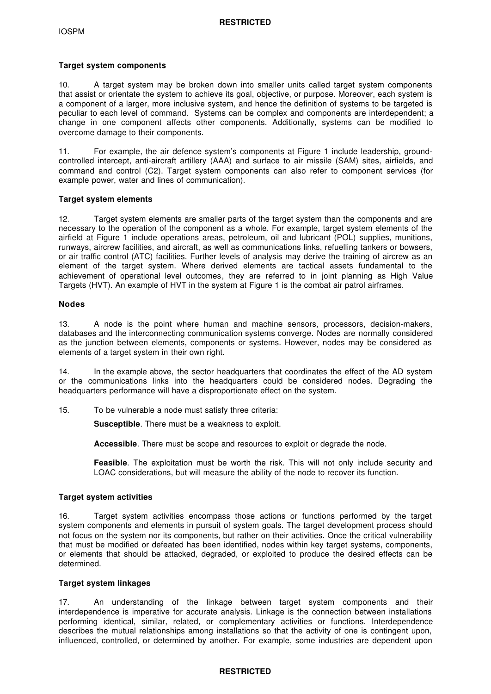#### **Target system components**

10. A target system may be broken down into smaller units called target system components that assist or orientate the system to achieve its goal, objective, or purpose. Moreover, each system is a component of a larger, more inclusive system, and hence the definition of systems to be targeted is peculiar to each level of command. Systems can be complex and components are interdependent; a change in one component affects other components. Additionally, systems can be modified to overcome damage to their components.

11. For example, the air defence system's components at Figure 1 include leadership, groundcontrolled intercept, anti-aircraft artillery (AAA) and surface to air missile (SAM) sites, airfields, and command and control (C2). Target system components can also refer to component services (for example power, water and lines of communication).

#### **Target system elements**

12. Target system elements are smaller parts of the target system than the components and are necessary to the operation of the component as a whole. For example, target system elements of the airfield at Figure 1 include operations areas, petroleum, oil and lubricant (POL) supplies, munitions, runways, aircrew facilities, and aircraft, as well as communications links, refuelling tankers or bowsers, or air traffic control (ATC) facilities. Further levels of analysis may derive the training of aircrew as an element of the target system. Where derived elements are tactical assets fundamental to the achievement of operational level outcomes, they are referred to in joint planning as High Value Targets (HVT). An example of HVT in the system at Figure 1 is the combat air patrol airframes.

### **Nodes**

13. A node is the point where human and machine sensors, processors, decision-makers, databases and the interconnecting communication systems converge. Nodes are normally considered as the junction between elements, components or systems. However, nodes may be considered as elements of a target system in their own right.

14. In the example above, the sector headquarters that coordinates the effect of the AD system or the communications links into the headquarters could be considered nodes. Degrading the headquarters performance will have a disproportionate effect on the system.

15. To be vulnerable a node must satisfy three criteria:

**Susceptible**. There must be a weakness to exploit.

**Accessible**. There must be scope and resources to exploit or degrade the node.

**Feasible**. The exploitation must be worth the risk. This will not only include security and LOAC considerations, but will measure the ability of the node to recover its function.

#### **Target system activities**

16. Target system activities encompass those actions or functions performed by the target system components and elements in pursuit of system goals. The target development process should not focus on the system nor its components, but rather on their activities. Once the critical vulnerability that must be modified or defeated has been identified, nodes within key target systems, components, or elements that should be attacked, degraded, or exploited to produce the desired effects can be determined.

# **Target system linkages**

17. An understanding of the linkage between target system components and their interdependence is imperative for accurate analysis. Linkage is the connection between installations performing identical, similar, related, or complementary activities or functions. Interdependence describes the mutual relationships among installations so that the activity of one is contingent upon, influenced, controlled, or determined by another. For example, some industries are dependent upon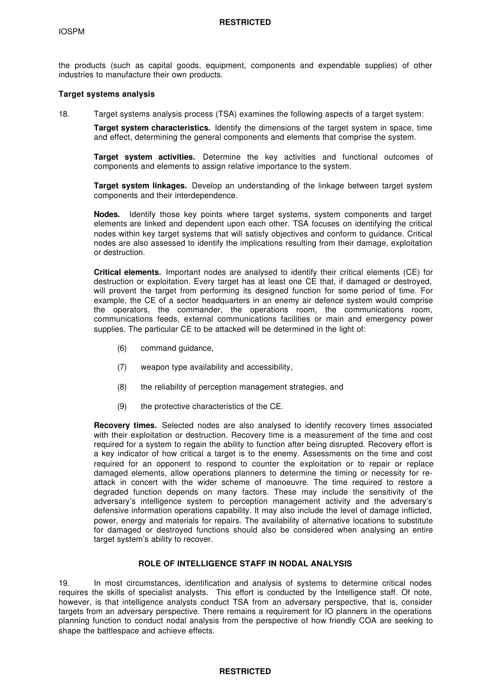the products (such as capital goods, equipment, components and expendable supplies) of other industries to manufacture their own products.

#### **Target systems analysis**

18. Target systems analysis process (TSA) examines the following aspects of a target system:

**Target system characteristics.** Identify the dimensions of the target system in space, time and effect, determining the general components and elements that comprise the system.

**Target system activities.** Determine the key activities and functional outcomes of components and elements to assign relative importance to the system.

**Target system linkages.** Develop an understanding of the linkage between target system components and their interdependence.

**Nodes.** Identify those key points where target systems, system components and target elements are linked and dependent upon each other. TSA focuses on identifying the critical nodes within key target systems that will satisfy objectives and conform to guidance. Critical nodes are also assessed to identify the implications resulting from their damage, exploitation or destruction.

**Critical elements.** Important nodes are analysed to identify their critical elements (CE) for destruction or exploitation. Every target has at least one CE that, if damaged or destroyed, will prevent the target from performing its designed function for some period of time. For example, the CE of a sector headquarters in an enemy air defence system would comprise the operators, the commander, the operations room, the communications room, communications feeds, external communications facilities or main and emergency power supplies. The particular CE to be attacked will be determined in the light of:

- (6) command guidance,
- (7) weapon type availability and accessibility,
- (8) the reliability of perception management strategies, and
- (9) the protective characteristics of the CE.

**Recovery times.** Selected nodes are also analysed to identify recovery times associated with their exploitation or destruction. Recovery time is a measurement of the time and cost required for a system to regain the ability to function after being disrupted. Recovery effort is a key indicator of how critical a target is to the enemy. Assessments on the time and cost required for an opponent to respond to counter the exploitation or to repair or replace damaged elements, allow operations planners to determine the timing or necessity for reattack in concert with the wider scheme of manoeuvre. The time required to restore a degraded function depends on many factors. These may include the sensitivity of the adversary's intelligence system to perception management activity and the adversary's defensive information operations capability. It may also include the level of damage inflicted, power, energy and materials for repairs. The availability of alternative locations to substitute for damaged or destroyed functions should also be considered when analysing an entire target system's ability to recover.

### **ROLE OF INTELLIGENCE STAFF IN NODAL ANALYSIS**

19. In most circumstances, identification and analysis of systems to determine critical nodes requires the skills of specialist analysts. This effort is conducted by the Intelligence staff. Of note, however, is that intelligence analysts conduct TSA from an adversary perspective, that is, consider targets from an adversary perspective. There remains a requirement for IO planners in the operations planning function to conduct nodal analysis from the perspective of how friendly COA are seeking to shape the battlespace and achieve effects.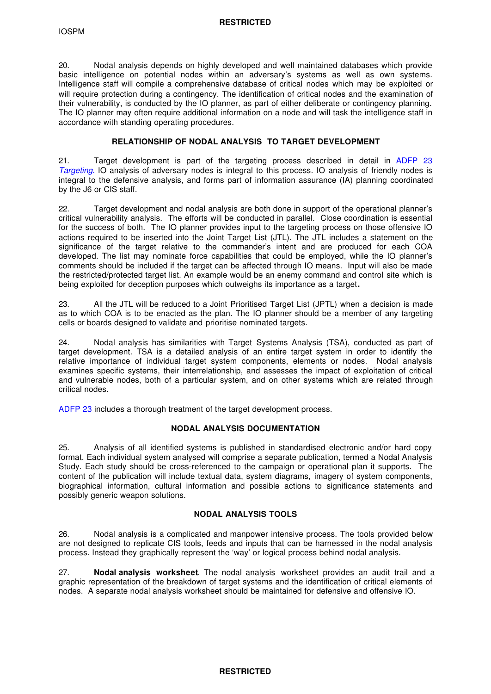20. Nodal analysis depends on highly developed and well maintained databases which provide basic intelligence on potential nodes within an adversary's systems as well as own systems. Intelligence staff will compile a comprehensive database of critical nodes which may be exploited or will require protection during a contingency. The identification of critical nodes and the examination of their vulnerability, is conducted by the IO planner, as part of either deliberate or contingency planning. The IO planner may often require additional information on a node and will task the intelligence staff in accordance with standing operating procedures.

# **RELATIONSHIP OF NODAL ANALYSIS TO TARGET DEVELOPMENT**

21. Target development is part of the targeting process described in detail in ADFP 23 *Targeting*. IO analysis of adversary nodes is integral to this process. IO analysis of friendly nodes is integral to the defensive analysis, and forms part of information assurance (IA) planning coordinated by the J6 or CIS staff.

22. Target development and nodal analysis are both done in support of the operational planner's critical vulnerability analysis. The efforts will be conducted in parallel. Close coordination is essential for the success of both. The IO planner provides input to the targeting process on those offensive IO actions required to be inserted into the Joint Target List (JTL). The JTL includes a statement on the significance of the target relative to the commander's intent and are produced for each COA developed. The list may nominate force capabilities that could be employed, while the IO planner's comments should be included if the target can be affected through IO means. Input will also be made the restricted/protected target list. An example would be an enemy command and control site which is being exploited for deception purposes which outweighs its importance as a target**.**

23. All the JTL will be reduced to a Joint Prioritised Target List (JPTL) when a decision is made as to which COA is to be enacted as the plan. The IO planner should be a member of any targeting cells or boards designed to validate and prioritise nominated targets.

24. Nodal analysis has similarities with Target Systems Analysis (TSA), conducted as part of target development. TSA is a detailed analysis of an entire target system in order to identify the relative importance of individual target system components, elements or nodes. Nodal analysis examines specific systems, their interrelationship, and assesses the impact of exploitation of critical and vulnerable nodes, both of a particular system, and on other systems which are related through critical nodes.

ADFP 23 includes a thorough treatment of the target development process.

## **NODAL ANALYSIS DOCUMENTATION**

25. Analysis of all identified systems is published in standardised electronic and/or hard copy format. Each individual system analysed will comprise a separate publication, termed a Nodal Analysis Study. Each study should be cross-referenced to the campaign or operational plan it supports. The content of the publication will include textual data, system diagrams, imagery of system components, biographical information, cultural information and possible actions to significance statements and possibly generic weapon solutions.

## **NODAL ANALYSIS TOOLS**

26. Nodal analysis is a complicated and manpower intensive process. The tools provided below are not designed to replicate CIS tools, feeds and inputs that can be harnessed in the nodal analysis process. Instead they graphically represent the 'way' or logical process behind nodal analysis.

27. **Nodal analysis worksheet**. The nodal analysis worksheet provides an audit trail and a graphic representation of the breakdown of target systems and the identification of critical elements of nodes. A separate nodal analysis worksheet should be maintained for defensive and offensive IO.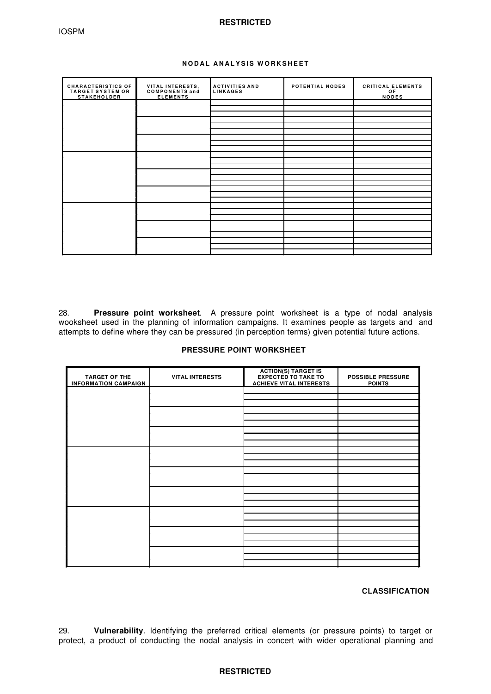## **NODAL ANALYSIS WORKSHEET**

| <b>CHARACTERISTICS OF</b><br><b>TARGET SYSTEM OR</b><br><b>STAKEHOLDER</b> | VITAL INTERESTS,<br><b>COMPONENTS and</b><br><b>ELEMENTS</b> | <b>ACTIVITIES AND</b><br><b>LINKAGES</b> | POTENTIAL NODES | <b>CRITICAL ELEMENTS</b><br>OF<br><b>NODES</b> |
|----------------------------------------------------------------------------|--------------------------------------------------------------|------------------------------------------|-----------------|------------------------------------------------|
|                                                                            |                                                              |                                          |                 |                                                |
|                                                                            |                                                              |                                          |                 |                                                |
|                                                                            |                                                              |                                          |                 |                                                |
|                                                                            |                                                              |                                          |                 |                                                |
|                                                                            |                                                              |                                          |                 |                                                |
|                                                                            |                                                              |                                          |                 |                                                |
|                                                                            |                                                              |                                          |                 |                                                |
|                                                                            |                                                              |                                          |                 |                                                |
|                                                                            |                                                              |                                          |                 |                                                |
|                                                                            |                                                              |                                          |                 |                                                |
|                                                                            |                                                              |                                          |                 |                                                |
|                                                                            |                                                              |                                          |                 |                                                |
|                                                                            |                                                              |                                          |                 |                                                |
|                                                                            |                                                              |                                          |                 |                                                |
|                                                                            |                                                              |                                          |                 |                                                |
|                                                                            |                                                              |                                          |                 |                                                |
|                                                                            |                                                              |                                          |                 |                                                |
|                                                                            |                                                              |                                          |                 |                                                |
|                                                                            |                                                              |                                          |                 |                                                |
|                                                                            |                                                              |                                          |                 |                                                |
|                                                                            |                                                              |                                          |                 |                                                |
|                                                                            |                                                              |                                          |                 |                                                |
|                                                                            |                                                              |                                          |                 |                                                |
|                                                                            |                                                              |                                          |                 |                                                |

28. **Pressure point worksheet**. A pressure point worksheet is a type of nodal analysis wooksheet used in the planning of information campaigns. It examines people as targets and and attempts to define where they can be pressured (in perception terms) given potential future actions.

# **PRESSURE POINT WORKSHEET**

| <b>TARGET OF THE</b><br><b>INFORMATION CAMPAIGN</b> | <b>VITAL INTERESTS</b> | <b>ACTION(S) TARGET IS</b><br><b>EXPECTED TO TAKE TO</b><br><b>ACHIEVE VITAL INTERESTS</b> | <b>POSSIBLE PRESSURE</b><br><b>POINTS</b> |
|-----------------------------------------------------|------------------------|--------------------------------------------------------------------------------------------|-------------------------------------------|
|                                                     |                        |                                                                                            |                                           |
|                                                     |                        |                                                                                            |                                           |
|                                                     |                        |                                                                                            |                                           |
|                                                     |                        |                                                                                            |                                           |
|                                                     |                        |                                                                                            |                                           |
|                                                     |                        |                                                                                            |                                           |
|                                                     |                        |                                                                                            |                                           |
|                                                     |                        |                                                                                            |                                           |
|                                                     |                        |                                                                                            |                                           |
|                                                     |                        |                                                                                            |                                           |
|                                                     |                        |                                                                                            |                                           |
|                                                     |                        |                                                                                            |                                           |
|                                                     |                        |                                                                                            |                                           |
|                                                     |                        |                                                                                            |                                           |
|                                                     |                        |                                                                                            |                                           |
|                                                     |                        |                                                                                            |                                           |
|                                                     |                        |                                                                                            |                                           |
|                                                     |                        |                                                                                            |                                           |
|                                                     |                        |                                                                                            |                                           |
|                                                     |                        |                                                                                            |                                           |
|                                                     |                        |                                                                                            |                                           |
|                                                     |                        |                                                                                            |                                           |
|                                                     |                        |                                                                                            |                                           |
|                                                     |                        |                                                                                            |                                           |

# **CLASSIFICATION**

29. **Vulnerability**. Identifying the preferred critical elements (or pressure points) to target or protect, a product of conducting the nodal analysis in concert with wider operational planning and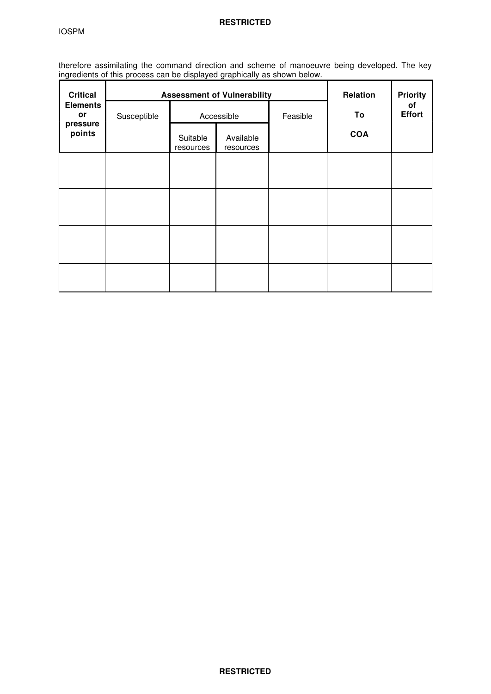therefore assimilating the command direction and scheme of manoeuvre being developed. The key ingredients of this process can be displayed graphically as shown below.

| <b>Critical</b>       |             | <b>Assessment of Vulnerability</b> |                        |          | Relation   | <b>Priority</b>     |
|-----------------------|-------------|------------------------------------|------------------------|----------|------------|---------------------|
| <b>Elements</b><br>or | Susceptible |                                    | Accessible             | Feasible | To         | of<br><b>Effort</b> |
| pressure<br>points    |             | Suitable<br>resources              | Available<br>resources |          | <b>COA</b> |                     |
|                       |             |                                    |                        |          |            |                     |
|                       |             |                                    |                        |          |            |                     |
|                       |             |                                    |                        |          |            |                     |
|                       |             |                                    |                        |          |            |                     |
|                       |             |                                    |                        |          |            |                     |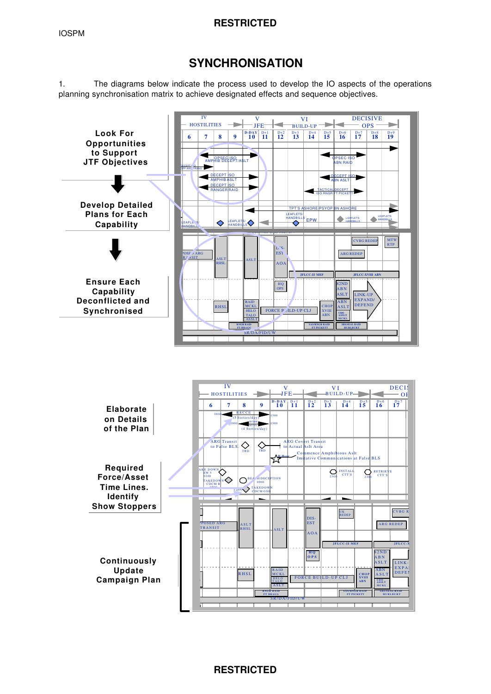# **SYNCHRONISATION**

1. The diagrams below indicate the process used to develop the IO aspects of the operations planning synchronisation matrix to achieve designated effects and sequence objectives.

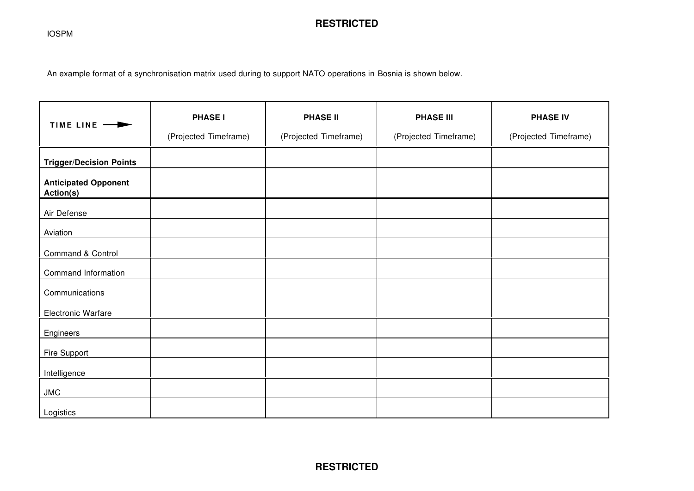IOSPM

# **RESTRICTED**

An example format of a synchronisation matrix used during to support NATO operations in Bosnia is shown below.

| TIME LINE -                              | <b>PHASE I</b><br>(Projected Timeframe) | <b>PHASE II</b><br>(Projected Timeframe) | <b>PHASE III</b><br>(Projected Timeframe) | <b>PHASE IV</b><br>(Projected Timeframe) |
|------------------------------------------|-----------------------------------------|------------------------------------------|-------------------------------------------|------------------------------------------|
| <b>Trigger/Decision Points</b>           |                                         |                                          |                                           |                                          |
| <b>Anticipated Opponent</b><br>Action(s) |                                         |                                          |                                           |                                          |
| Air Defense                              |                                         |                                          |                                           |                                          |
| Aviation                                 |                                         |                                          |                                           |                                          |
| Command & Control                        |                                         |                                          |                                           |                                          |
| Command Information                      |                                         |                                          |                                           |                                          |
| Communications                           |                                         |                                          |                                           |                                          |
| Electronic Warfare                       |                                         |                                          |                                           |                                          |
| Engineers                                |                                         |                                          |                                           |                                          |
| <b>Fire Support</b>                      |                                         |                                          |                                           |                                          |
| Intelligence                             |                                         |                                          |                                           |                                          |
| JMC                                      |                                         |                                          |                                           |                                          |
| Logistics                                |                                         |                                          |                                           |                                          |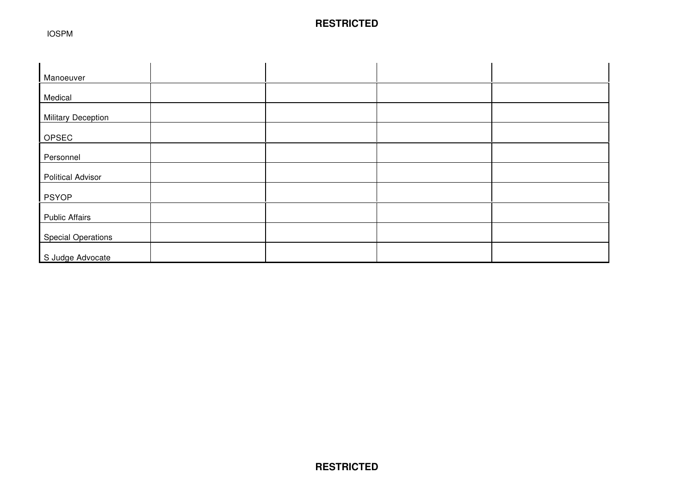IOSPM

| Manoeuver                 |  |  |
|---------------------------|--|--|
| Medical                   |  |  |
| <b>Military Deception</b> |  |  |
| OPSEC                     |  |  |
|                           |  |  |
| Personnel                 |  |  |
| <b>Political Advisor</b>  |  |  |
| <b>PSYOP</b>              |  |  |
| <b>Public Affairs</b>     |  |  |
| <b>Special Operations</b> |  |  |
| S Judge Advocate          |  |  |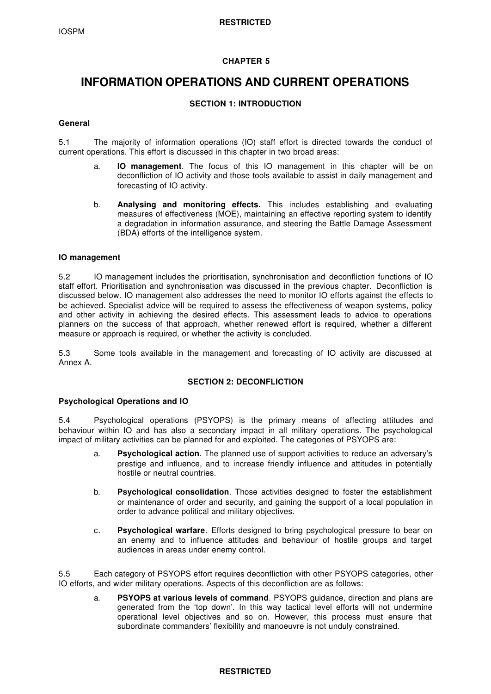# **CHAPTER 5**

# **INFORMATION OPERATIONS AND CURRENT OPERATIONS**

# **SECTION 1: INTRODUCTION**

# **General**

5.1 The majority of information operations (IO) staff effort is directed towards the conduct of current operations. This effort is discussed in this chapter in two broad areas:

- a. **IO management**. The focus of this IO management in this chapter will be on deconfliction of IO activity and those tools available to assist in daily management and forecasting of IO activity.
- b. **Analysing and monitoring effects.** This includes establishing and evaluating measures of effectiveness (MOE), maintaining an effective reporting system to identify a degradation in information assurance, and steering the Battle Damage Assessment (BDA) efforts of the intelligence system.

## **IO management**

5.2 IO management includes the prioritisation, synchronisation and deconfliction functions of IO staff effort. Prioritisation and synchronisation was discussed in the previous chapter. Deconfliction is discussed below. IO management also addresses the need to monitor IO efforts against the effects to be achieved. Specialist advice will be required to assess the effectiveness of weapon systems, policy and other activity in achieving the desired effects. This assessment leads to advice to operations planners on the success of that approach, whether renewed effort is required, whether a different measure or approach is required, or whether the activity is concluded.

5.3 Some tools available in the management and forecasting of IO activity are discussed at Annex A.

## **SECTION 2: DECONFLICTION**

## **Psychological Operations and IO**

5.4 Psychological operations (PSYOPS) is the primary means of affecting attitudes and behaviour within IO and has also a secondary impact in all military operations. The psychological impact of military activities can be planned for and exploited. The categories of PSYOPS are:

- a. **Psychological action**. The planned use of support activities to reduce an adversary's prestige and influence, and to increase friendly influence and attitudes in potentially hostile or neutral countries.
- b. **Psychological consolidation**. Those activities designed to foster the establishment or maintenance of order and security, and gaining the support of a local population in order to advance political and military objectives.
- c. **Psychological warfare**. Efforts designed to bring psychological pressure to bear on an enemy and to influence attitudes and behaviour of hostile groups and target audiences in areas under enemy control.

5.5 Each category of PSYOPS effort requires deconfliction with other PSYOPS categories, other IO efforts, and wider military operations. Aspects of this deconfliction are as follows:

a. **PSYOPS at various levels of command**. PSYOPS guidance, direction and plans are generated from the 'top down'. In this way tactical level efforts will not undermine operational level objectives and so on. However, this process must ensure that subordinate commanders' flexibility and manoeuvre is not unduly constrained.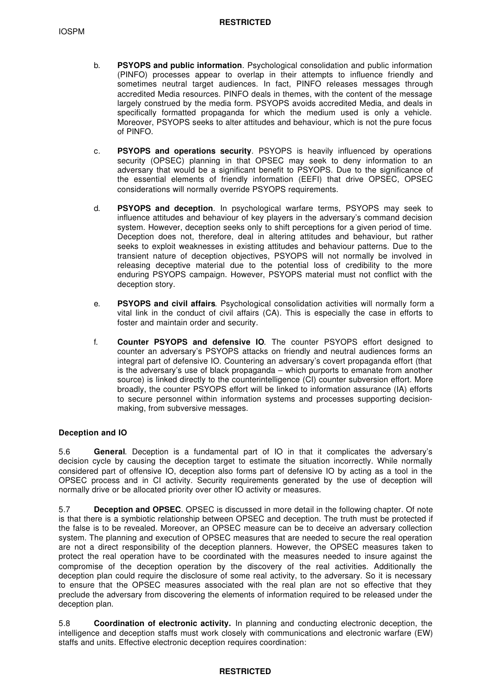- b. **PSYOPS and public information**. Psychological consolidation and public information (PINFO) processes appear to overlap in their attempts to influence friendly and sometimes neutral target audiences. In fact, PINFO releases messages through accredited Media resources. PINFO deals in themes, with the content of the message largely construed by the media form. PSYOPS avoids accredited Media, and deals in specifically formatted propaganda for which the medium used is only a vehicle. Moreover, PSYOPS seeks to alter attitudes and behaviour, which is not the pure focus of PINFO.
- c. **PSYOPS and operations security**. PSYOPS is heavily influenced by operations security (OPSEC) planning in that OPSEC may seek to deny information to an adversary that would be a significant benefit to PSYOPS. Due to the significance of the essential elements of friendly information (EEFI) that drive OPSEC, OPSEC considerations will normally override PSYOPS requirements.
- d. **PSYOPS and deception**. In psychological warfare terms, PSYOPS may seek to influence attitudes and behaviour of key players in the adversary's command decision system. However, deception seeks only to shift perceptions for a given period of time. Deception does not, therefore, deal in altering attitudes and behaviour, but rather seeks to exploit weaknesses in existing attitudes and behaviour patterns. Due to the transient nature of deception objectives, PSYOPS will not normally be involved in releasing deceptive material due to the potential loss of credibility to the more enduring PSYOPS campaign. However, PSYOPS material must not conflict with the deception story.
- e. **PSYOPS and civil affairs**. Psychological consolidation activities will normally form a vital link in the conduct of civil affairs (CA). This is especially the case in efforts to foster and maintain order and security.
- f. **Counter PSYOPS and defensive IO**. The counter PSYOPS effort designed to counter an adversary's PSYOPS attacks on friendly and neutral audiences forms an integral part of defensive IO. Countering an adversary's covert propaganda effort (that is the adversary's use of black propaganda – which purports to emanate from another source) is linked directly to the counterintelligence (CI) counter subversion effort. More broadly, the counter PSYOPS effort will be linked to information assurance (IA) efforts to secure personnel within information systems and processes supporting decisionmaking, from subversive messages.

# **Deception and IO**

5.6 **General**. Deception is a fundamental part of IO in that it complicates the adversary's decision cycle by causing the deception target to estimate the situation incorrectly. While normally considered part of offensive IO, deception also forms part of defensive IO by acting as a tool in the OPSEC process and in CI activity. Security requirements generated by the use of deception will normally drive or be allocated priority over other IO activity or measures.

5.7 **Deception and OPSEC**. OPSEC is discussed in more detail in the following chapter. Of note is that there is a symbiotic relationship between OPSEC and deception. The truth must be protected if the false is to be revealed. Moreover, an OPSEC measure can be to deceive an adversary collection system. The planning and execution of OPSEC measures that are needed to secure the real operation are not a direct responsibility of the deception planners. However, the OPSEC measures taken to protect the real operation have to be coordinated with the measures needed to insure against the compromise of the deception operation by the discovery of the real activities. Additionally the deception plan could require the disclosure of some real activity, to the adversary. So it is necessary to ensure that the OPSEC measures associated with the real plan are not so effective that they preclude the adversary from discovering the elements of information required to be released under the deception plan.

5.8 **Coordination of electronic activity.** In planning and conducting electronic deception, the intelligence and deception staffs must work closely with communications and electronic warfare (EW) staffs and units. Effective electronic deception requires coordination: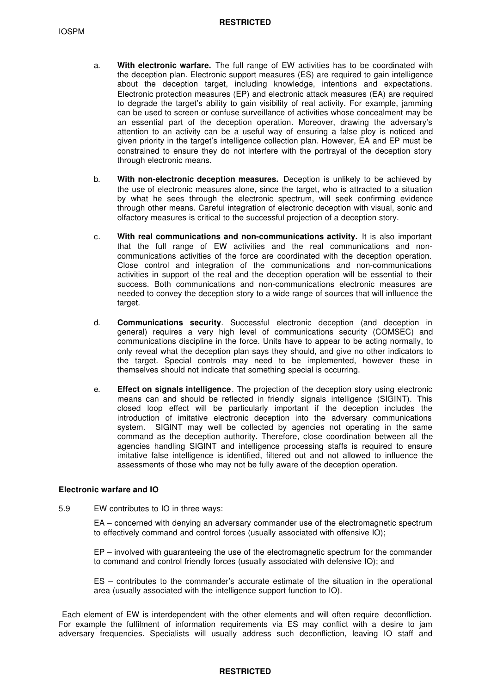- a. **With electronic warfare.** The full range of EW activities has to be coordinated with the deception plan. Electronic support measures (ES) are required to gain intelligence about the deception target, including knowledge, intentions and expectations. Electronic protection measures (EP) and electronic attack measures (EA) are required to degrade the target's ability to gain visibility of real activity. For example, jamming can be used to screen or confuse surveillance of activities whose concealment may be an essential part of the deception operation. Moreover, drawing the adversary's attention to an activity can be a useful way of ensuring a false ploy is noticed and given priority in the target's intelligence collection plan. However, EA and EP must be constrained to ensure they do not interfere with the portrayal of the deception story through electronic means.
- b. **With non-electronic deception measures.** Deception is unlikely to be achieved by the use of electronic measures alone, since the target, who is attracted to a situation by what he sees through the electronic spectrum, will seek confirming evidence through other means. Careful integration of electronic deception with visual, sonic and olfactory measures is critical to the successful projection of a deception story.
- c. **With real communications and non-communications activity.** It is also important that the full range of EW activities and the real communications and noncommunications activities of the force are coordinated with the deception operation. Close control and integration of the communications and non-communications activities in support of the real and the deception operation will be essential to their success. Both communications and non-communications electronic measures are needed to convey the deception story to a wide range of sources that will influence the target.
- d. **Communications security**. Successful electronic deception (and deception in general) requires a very high level of communications security (COMSEC) and communications discipline in the force. Units have to appear to be acting normally, to only reveal what the deception plan says they should, and give no other indicators to the target. Special controls may need to be implemented, however these in themselves should not indicate that something special is occurring.
- e. **Effect on signals intelligence**. The projection of the deception story using electronic means can and should be reflected in friendly signals intelligence (SIGINT). This closed loop effect will be particularly important if the deception includes the introduction of imitative electronic deception into the adversary communications system. SIGINT may well be collected by agencies not operating in the same command as the deception authority. Therefore, close coordination between all the agencies handling SIGINT and intelligence processing staffs is required to ensure imitative false intelligence is identified, filtered out and not allowed to influence the assessments of those who may not be fully aware of the deception operation.

## **Electronic warfare and IO**

5.9 EW contributes to IO in three ways:

EA – concerned with denying an adversary commander use of the electromagnetic spectrum to effectively command and control forces (usually associated with offensive IO);

EP – involved with guaranteeing the use of the electromagnetic spectrum for the commander to command and control friendly forces (usually associated with defensive IO); and

ES – contributes to the commander's accurate estimate of the situation in the operational area (usually associated with the intelligence support function to IO).

 Each element of EW is interdependent with the other elements and will often require deconfliction. For example the fulfilment of information requirements via ES may conflict with a desire to jam adversary frequencies. Specialists will usually address such deconfliction, leaving IO staff and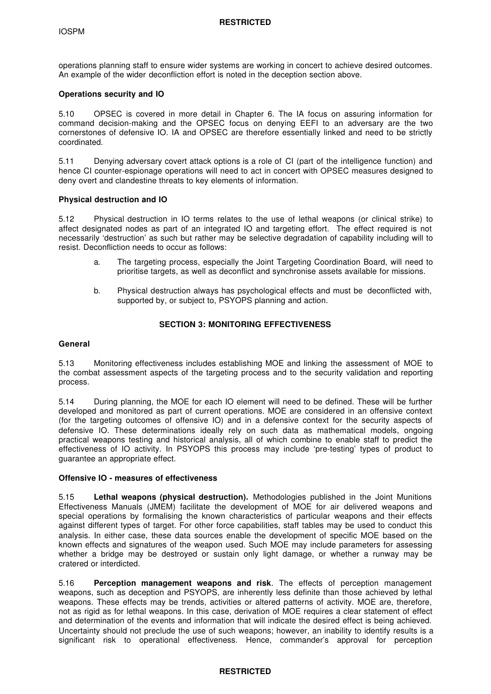operations planning staff to ensure wider systems are working in concert to achieve desired outcomes. An example of the wider deconfliction effort is noted in the deception section above.

## **Operations security and IO**

5.10 OPSEC is covered in more detail in Chapter 6. The IA focus on assuring information for command decision-making and the OPSEC focus on denying EEFI to an adversary are the two cornerstones of defensive IO. IA and OPSEC are therefore essentially linked and need to be strictly coordinated.

5.11 Denying adversary covert attack options is a role of CI (part of the intelligence function) and hence CI counter-espionage operations will need to act in concert with OPSEC measures designed to deny overt and clandestine threats to key elements of information.

## **Physical destruction and IO**

5.12 Physical destruction in IO terms relates to the use of lethal weapons (or clinical strike) to affect designated nodes as part of an integrated IO and targeting effort. The effect required is not necessarily 'destruction' as such but rather may be selective degradation of capability including will to resist. Deconfliction needs to occur as follows:

- a. The targeting process, especially the Joint Targeting Coordination Board, will need to prioritise targets, as well as deconflict and synchronise assets available for missions.
- b. Physical destruction always has psychological effects and must be deconflicted with, supported by, or subject to, PSYOPS planning and action.

# **SECTION 3: MONITORING EFFECTIVENESS**

## **General**

5.13 Monitoring effectiveness includes establishing MOE and linking the assessment of MOE to the combat assessment aspects of the targeting process and to the security validation and reporting process.

5.14 During planning, the MOE for each IO element will need to be defined. These will be further developed and monitored as part of current operations. MOE are considered in an offensive context (for the targeting outcomes of offensive IO) and in a defensive context for the security aspects of defensive IO. These determinations ideally rely on such data as mathematical models, ongoing practical weapons testing and historical analysis, all of which combine to enable staff to predict the effectiveness of IO activity. In PSYOPS this process may include 'pre-testing' types of product to guarantee an appropriate effect.

## **Offensive IO - measures of effectiveness**

5.15 **Lethal weapons (physical destruction).** Methodologies published in the Joint Munitions Effectiveness Manuals (JMEM) facilitate the development of MOE for air delivered weapons and special operations by formalising the known characteristics of particular weapons and their effects against different types of target. For other force capabilities, staff tables may be used to conduct this analysis. In either case, these data sources enable the development of specific MOE based on the known effects and signatures of the weapon used. Such MOE may include parameters for assessing whether a bridge may be destroyed or sustain only light damage, or whether a runway may be cratered or interdicted.

5.16 **Perception management weapons and risk**. The effects of perception management weapons, such as deception and PSYOPS, are inherently less definite than those achieved by lethal weapons. These effects may be trends, activities or altered patterns of activity. MOE are, therefore, not as rigid as for lethal weapons. In this case, derivation of MOE requires a clear statement of effect and determination of the events and information that will indicate the desired effect is being achieved. Uncertainty should not preclude the use of such weapons; however, an inability to identify results is a significant risk to operational effectiveness. Hence, commander's approval for perception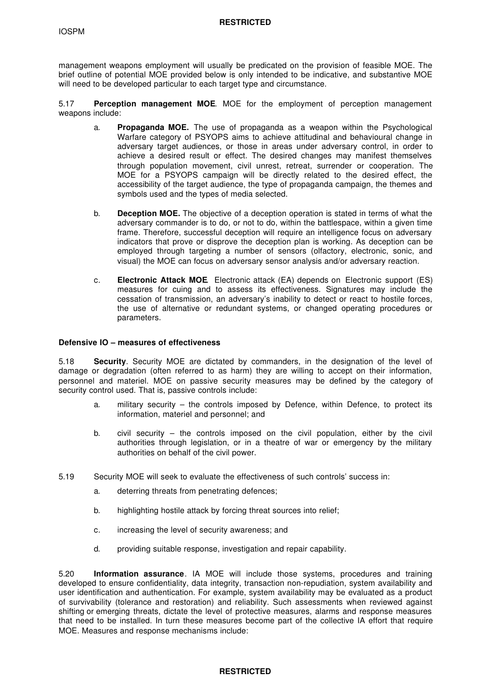management weapons employment will usually be predicated on the provision of feasible MOE. The brief outline of potential MOE provided below is only intended to be indicative, and substantive MOE will need to be developed particular to each target type and circumstance.

5.17 **Perception management MOE**. MOE for the employment of perception management weapons include:

- a. **Propaganda MOE.** The use of propaganda as a weapon within the Psychological Warfare category of PSYOPS aims to achieve attitudinal and behavioural change in adversary target audiences, or those in areas under adversary control, in order to achieve a desired result or effect. The desired changes may manifest themselves through population movement, civil unrest, retreat, surrender or cooperation. The MOE for a PSYOPS campaign will be directly related to the desired effect, the accessibility of the target audience, the type of propaganda campaign, the themes and symbols used and the types of media selected.
- b. **Deception MOE.** The objective of a deception operation is stated in terms of what the adversary commander is to do, or not to do, within the battlespace, within a given time frame. Therefore, successful deception will require an intelligence focus on adversary indicators that prove or disprove the deception plan is working. As deception can be employed through targeting a number of sensors (olfactory, electronic, sonic, and visual) the MOE can focus on adversary sensor analysis and/or adversary reaction.
- c. **Electronic Attack MOE**. Electronic attack (EA) depends on Electronic support (ES) measures for cuing and to assess its effectiveness. Signatures may include the cessation of transmission, an adversary's inability to detect or react to hostile forces, the use of alternative or redundant systems, or changed operating procedures or parameters.

#### **Defensive IO – measures of effectiveness**

5.18 **Security**. Security MOE are dictated by commanders, in the designation of the level of damage or degradation (often referred to as harm) they are willing to accept on their information, personnel and materiel. MOE on passive security measures may be defined by the category of security control used. That is, passive controls include:

- a. military security the controls imposed by Defence, within Defence, to protect its information, materiel and personnel; and
- b. civil security the controls imposed on the civil population, either by the civil authorities through legislation, or in a theatre of war or emergency by the military authorities on behalf of the civil power.
- 5.19 Security MOE will seek to evaluate the effectiveness of such controls' success in:
	- a. deterring threats from penetrating defences;
	- b. highlighting hostile attack by forcing threat sources into relief;
	- c. increasing the level of security awareness; and
	- d. providing suitable response, investigation and repair capability.

5.20 **Information assurance**. IA MOE will include those systems, procedures and training developed to ensure confidentiality, data integrity, transaction non-repudiation, system availability and user identification and authentication. For example, system availability may be evaluated as a product of survivability (tolerance and restoration) and reliability. Such assessments when reviewed against shifting or emerging threats, dictate the level of protective measures, alarms and response measures that need to be installed. In turn these measures become part of the collective IA effort that require MOE. Measures and response mechanisms include: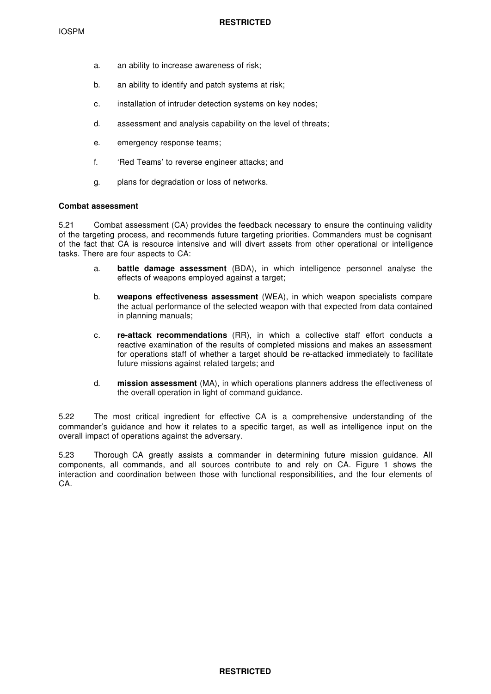- a. an ability to increase awareness of risk;
- b. an ability to identify and patch systems at risk;
- c. installation of intruder detection systems on key nodes;
- d. assessment and analysis capability on the level of threats;
- e. emergency response teams;
- f. 'Red Teams' to reverse engineer attacks; and
- g. plans for degradation or loss of networks.

## **Combat assessment**

5.21 Combat assessment (CA) provides the feedback necessary to ensure the continuing validity of the targeting process, and recommends future targeting priorities. Commanders must be cognisant of the fact that CA is resource intensive and will divert assets from other operational or intelligence tasks. There are four aspects to CA:

- a. **battle damage assessment** (BDA), in which intelligence personnel analyse the effects of weapons employed against a target;
- b. **weapons effectiveness assessment** (WEA), in which weapon specialists compare the actual performance of the selected weapon with that expected from data contained in planning manuals;
- c. **re-attack recommendations** (RR), in which a collective staff effort conducts a reactive examination of the results of completed missions and makes an assessment for operations staff of whether a target should be re-attacked immediately to facilitate future missions against related targets; and
- d. **mission assessment** (MA), in which operations planners address the effectiveness of the overall operation in light of command guidance.

5.22 The most critical ingredient for effective CA is a comprehensive understanding of the commander's guidance and how it relates to a specific target, as well as intelligence input on the overall impact of operations against the adversary.

5.23 Thorough CA greatly assists a commander in determining future mission guidance. All components, all commands, and all sources contribute to and rely on CA. Figure 1 shows the interaction and coordination between those with functional responsibilities, and the four elements of CA.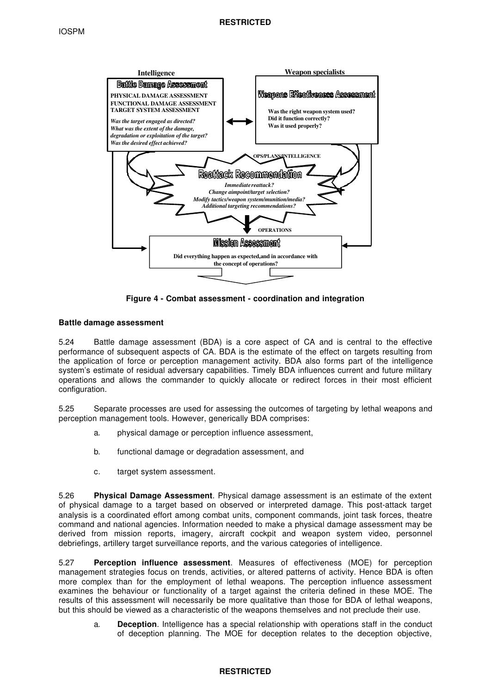

**Figure 4 - Combat assessment - coordination and integration**

# **Battle damage assessment**

5.24 Battle damage assessment (BDA) is a core aspect of CA and is central to the effective performance of subsequent aspects of CA. BDA is the estimate of the effect on targets resulting from the application of force or perception management activity. BDA also forms part of the intelligence system's estimate of residual adversary capabilities. Timely BDA influences current and future military operations and allows the commander to quickly allocate or redirect forces in their most efficient configuration.

5.25 Separate processes are used for assessing the outcomes of targeting by lethal weapons and perception management tools. However, generically BDA comprises:

- a. physical damage or perception influence assessment,
- b. functional damage or degradation assessment, and
- c. target system assessment.

5.26 **Physical Damage Assessment**. Physical damage assessment is an estimate of the extent of physical damage to a target based on observed or interpreted damage. This post-attack target analysis is a coordinated effort among combat units, component commands, joint task forces, theatre command and national agencies. Information needed to make a physical damage assessment may be derived from mission reports, imagery, aircraft cockpit and weapon system video, personnel debriefings, artillery target surveillance reports, and the various categories of intelligence.

5.27 **Perception influence assessment**. Measures of effectiveness (MOE) for perception management strategies focus on trends, activities, or altered patterns of activity. Hence BDA is often more complex than for the employment of lethal weapons. The perception influence assessment examines the behaviour or functionality of a target against the criteria defined in these MOE. The results of this assessment will necessarily be more qualitative than those for BDA of lethal weapons, but this should be viewed as a characteristic of the weapons themselves and not preclude their use.

a. **Deception**. Intelligence has a special relationship with operations staff in the conduct of deception planning. The MOE for deception relates to the deception objective,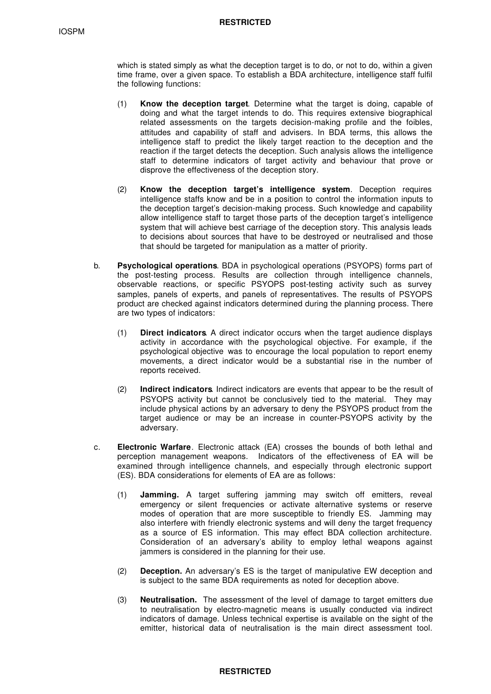which is stated simply as what the deception target is to do, or not to do, within a given time frame, over a given space. To establish a BDA architecture, intelligence staff fulfil the following functions:

- (1) **Know the deception target**. Determine what the target is doing, capable of doing and what the target intends to do. This requires extensive biographical related assessments on the targets decision-making profile and the foibles, attitudes and capability of staff and advisers. In BDA terms, this allows the intelligence staff to predict the likely target reaction to the deception and the reaction if the target detects the deception. Such analysis allows the intelligence staff to determine indicators of target activity and behaviour that prove or disprove the effectiveness of the deception story.
- (2) **Know the deception target's intelligence system**. Deception requires intelligence staffs know and be in a position to control the information inputs to the deception target's decision-making process. Such knowledge and capability allow intelligence staff to target those parts of the deception target's intelligence system that will achieve best carriage of the deception story. This analysis leads to decisions about sources that have to be destroyed or neutralised and those that should be targeted for manipulation as a matter of priority.
- b. **Psychological operations**. BDA in psychological operations (PSYOPS) forms part of the post-testing process. Results are collection through intelligence channels, observable reactions, or specific PSYOPS post-testing activity such as survey samples, panels of experts, and panels of representatives. The results of PSYOPS product are checked against indicators determined during the planning process. There are two types of indicators:
	- (1) **Direct indicators**. A direct indicator occurs when the target audience displays activity in accordance with the psychological objective. For example, if the psychological objective was to encourage the local population to report enemy movements, a direct indicator would be a substantial rise in the number of reports received.
	- (2) **Indirect indicators**. Indirect indicators are events that appear to be the result of PSYOPS activity but cannot be conclusively tied to the material. They may include physical actions by an adversary to deny the PSYOPS product from the target audience or may be an increase in counter-PSYOPS activity by the adversary.
- c. **Electronic Warfare**. Electronic attack (EA) crosses the bounds of both lethal and perception management weapons. Indicators of the effectiveness of EA will be examined through intelligence channels, and especially through electronic support (ES). BDA considerations for elements of EA are as follows:
	- (1) **Jamming.** A target suffering jamming may switch off emitters, reveal emergency or silent frequencies or activate alternative systems or reserve modes of operation that are more susceptible to friendly ES. Jamming may also interfere with friendly electronic systems and will deny the target frequency as a source of ES information. This may effect BDA collection architecture. Consideration of an adversary's ability to employ lethal weapons against jammers is considered in the planning for their use.
	- (2) **Deception.** An adversary's ES is the target of manipulative EW deception and is subject to the same BDA requirements as noted for deception above.
	- (3) **Neutralisation.** The assessment of the level of damage to target emitters due to neutralisation by electro-magnetic means is usually conducted via indirect indicators of damage. Unless technical expertise is available on the sight of the emitter, historical data of neutralisation is the main direct assessment tool.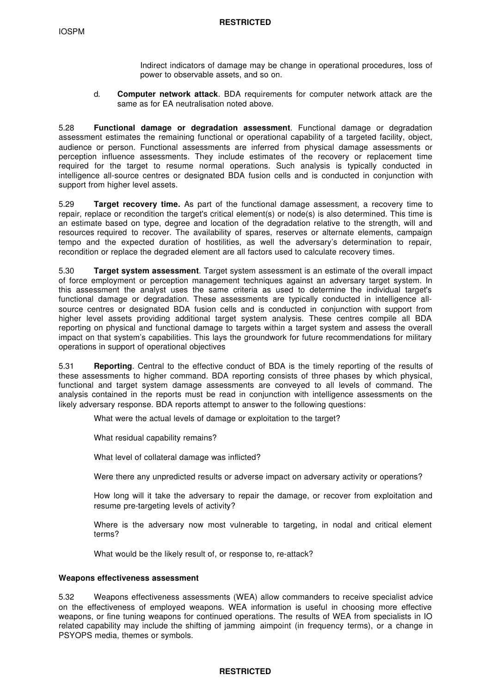Indirect indicators of damage may be change in operational procedures, loss of power to observable assets, and so on.

d. **Computer network attack**. BDA requirements for computer network attack are the same as for EA neutralisation noted above.

5.28 **Functional damage or degradation assessment**. Functional damage or degradation assessment estimates the remaining functional or operational capability of a targeted facility, object, audience or person. Functional assessments are inferred from physical damage assessments or perception influence assessments. They include estimates of the recovery or replacement time required for the target to resume normal operations. Such analysis is typically conducted in intelligence all-source centres or designated BDA fusion cells and is conducted in conjunction with support from higher level assets.

5.29 **Target recovery time.** As part of the functional damage assessment, a recovery time to repair, replace or recondition the target's critical element(s) or node(s) is also determined. This time is an estimate based on type, degree and location of the degradation relative to the strength, will and resources required to recover. The availability of spares, reserves or alternate elements, campaign tempo and the expected duration of hostilities, as well the adversary's determination to repair, recondition or replace the degraded element are all factors used to calculate recovery times.

5.30 **Target system assessment**. Target system assessment is an estimate of the overall impact of force employment or perception management techniques against an adversary target system. In this assessment the analyst uses the same criteria as used to determine the individual target's functional damage or degradation. These assessments are typically conducted in intelligence allsource centres or designated BDA fusion cells and is conducted in conjunction with support from higher level assets providing additional target system analysis. These centres compile all BDA reporting on physical and functional damage to targets within a target system and assess the overall impact on that system's capabilities. This lays the groundwork for future recommendations for military operations in support of operational objectives

5.31 **Reporting**. Central to the effective conduct of BDA is the timely reporting of the results of these assessments to higher command. BDA reporting consists of three phases by which physical, functional and target system damage assessments are conveyed to all levels of command. The analysis contained in the reports must be read in conjunction with intelligence assessments on the likely adversary response. BDA reports attempt to answer to the following questions:

What were the actual levels of damage or exploitation to the target?

What residual capability remains?

What level of collateral damage was inflicted?

Were there any unpredicted results or adverse impact on adversary activity or operations?

How long will it take the adversary to repair the damage, or recover from exploitation and resume pre-targeting levels of activity?

Where is the adversary now most vulnerable to targeting, in nodal and critical element terms?

What would be the likely result of, or response to, re-attack?

## **Weapons effectiveness assessment**

5.32 Weapons effectiveness assessments (WEA) allow commanders to receive specialist advice on the effectiveness of employed weapons. WEA information is useful in choosing more effective weapons, or fine tuning weapons for continued operations. The results of WEA from specialists in IO related capability may include the shifting of jamming aimpoint (in frequency terms), or a change in PSYOPS media, themes or symbols.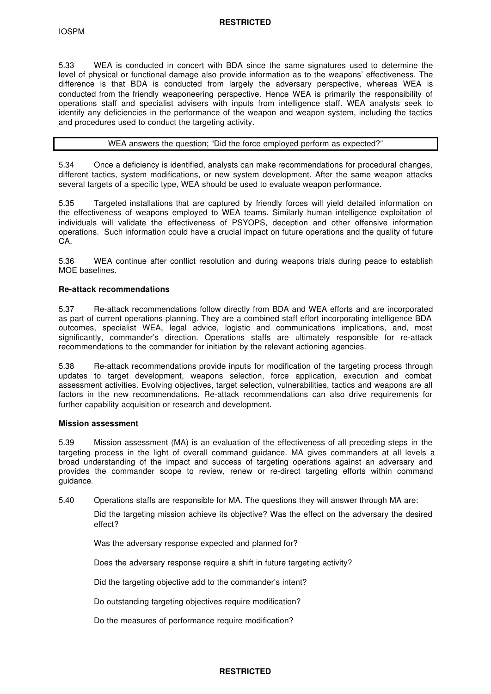5.33 WEA is conducted in concert with BDA since the same signatures used to determine the level of physical or functional damage also provide information as to the weapons' effectiveness. The difference is that BDA is conducted from largely the adversary perspective, whereas WEA is conducted from the friendly weaponeering perspective. Hence WEA is primarily the responsibility of operations staff and specialist advisers with inputs from intelligence staff. WEA analysts seek to identify any deficiencies in the performance of the weapon and weapon system, including the tactics and procedures used to conduct the targeting activity.

## WEA answers the question; "Did the force employed perform as expected?"

5.34 Once a deficiency is identified, analysts can make recommendations for procedural changes, different tactics, system modifications, or new system development. After the same weapon attacks several targets of a specific type, WEA should be used to evaluate weapon performance.

5.35 Targeted installations that are captured by friendly forces will yield detailed information on the effectiveness of weapons employed to WEA teams. Similarly human intelligence exploitation of individuals will validate the effectiveness of PSYOPS, deception and other offensive information operations. Such information could have a crucial impact on future operations and the quality of future CA.

5.36 WEA continue after conflict resolution and during weapons trials during peace to establish MOE baselines.

## **Re-attack recommendations**

5.37 Re-attack recommendations follow directly from BDA and WEA efforts and are incorporated as part of current operations planning. They are a combined staff effort incorporating intelligence BDA outcomes, specialist WEA, legal advice, logistic and communications implications, and, most significantly, commander's direction. Operations staffs are ultimately responsible for re-attack recommendations to the commander for initiation by the relevant actioning agencies.

5.38 Re-attack recommendations provide inputs for modification of the targeting process through updates to target development, weapons selection, force application, execution and combat assessment activities. Evolving objectives, target selection, vulnerabilities, tactics and weapons are all factors in the new recommendations. Re-attack recommendations can also drive requirements for further capability acquisition or research and development.

## **Mission assessment**

5.39 Mission assessment (MA) is an evaluation of the effectiveness of all preceding steps in the targeting process in the light of overall command guidance. MA gives commanders at all levels a broad understanding of the impact and success of targeting operations against an adversary and provides the commander scope to review, renew or re-direct targeting efforts within command guidance.

5.40 Operations staffs are responsible for MA. The questions they will answer through MA are:

Did the targeting mission achieve its objective? Was the effect on the adversary the desired effect?

Was the adversary response expected and planned for?

Does the adversary response require a shift in future targeting activity?

Did the targeting objective add to the commander's intent?

Do outstanding targeting objectives require modification?

Do the measures of performance require modification?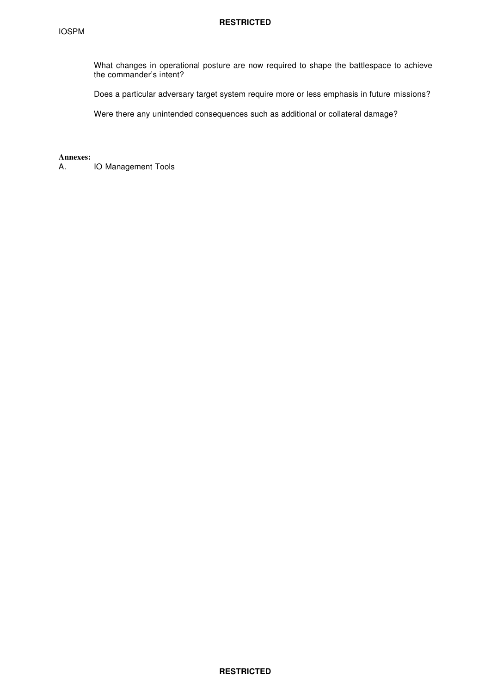What changes in operational posture are now required to shape the battlespace to achieve the commander's intent?

Does a particular adversary target system require more or less emphasis in future missions?

Were there any unintended consequences such as additional or collateral damage?

**Annexes:**

A. IO Management Tools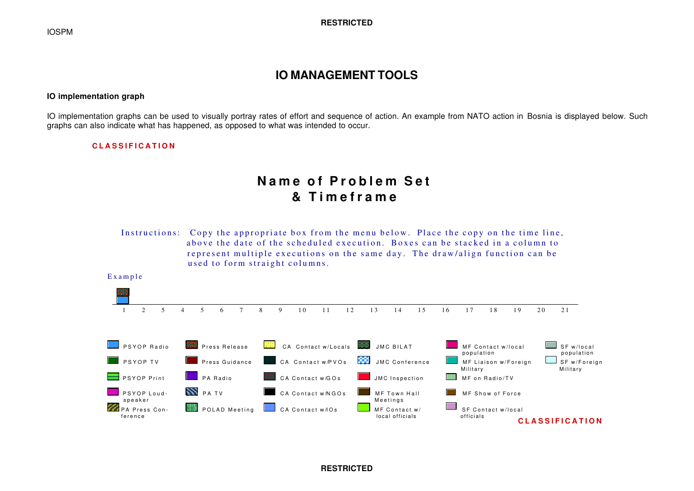# **IO MANAGEMENT TOOLS**

## **IO implementation graph**

IO implementation graphs can be used to visually portray rates of effort and sequence of action. An example from NATO action in Bosnia is displayed below. Such graphs can also indicate what has happened, as opposed to what was intended to occur.

## **CLASSIFICATION**

# **Name of Problem Set & Timeframe**

Instructions: Copy the appropriate box from the menu below. Place the copy on the time line, above the date of the scheduled execution. Boxes can be stacked in a column to represent multiple executions on the same day. The draw/align function can be used to form straight columns.



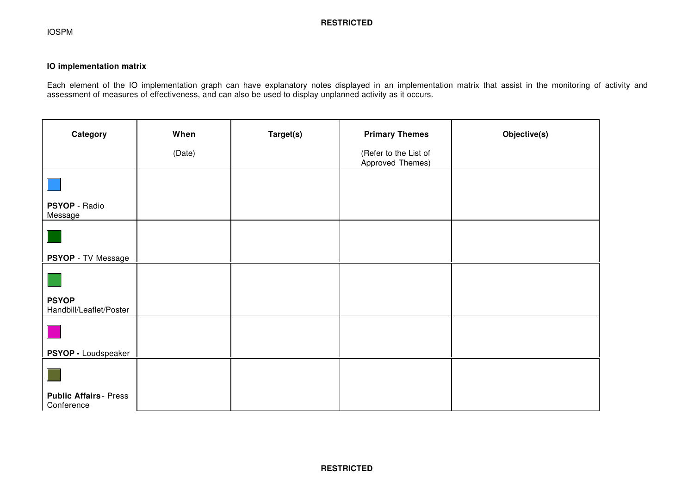# **IO implementation matrix**

Each element of the IO implementation graph can have explanatory notes displayed in an implementation matrix that assist in the monitoring of activity and assessment of measures of effectiveness, and can also be used to display unplanned activity as it occurs.

| Category                                                                                                              | When   | Target(s) | <b>Primary Themes</b>                     | Objective(s) |
|-----------------------------------------------------------------------------------------------------------------------|--------|-----------|-------------------------------------------|--------------|
|                                                                                                                       | (Date) |           | (Refer to the List of<br>Approved Themes) |              |
| <b>Contract Contract Contract Contract Contract Contract Contract Contract Contract Contract Contract Contract Co</b> |        |           |                                           |              |
| PSYOP - Radio<br>Message                                                                                              |        |           |                                           |              |
|                                                                                                                       |        |           |                                           |              |
| PSYOP - TV Message                                                                                                    |        |           |                                           |              |
|                                                                                                                       |        |           |                                           |              |
| <b>PSYOP</b><br>Handbill/Leaflet/Poster                                                                               |        |           |                                           |              |
|                                                                                                                       |        |           |                                           |              |
| PSYOP - Loudspeaker                                                                                                   |        |           |                                           |              |
|                                                                                                                       |        |           |                                           |              |
| <b>Public Affairs - Press</b><br>Conference                                                                           |        |           |                                           |              |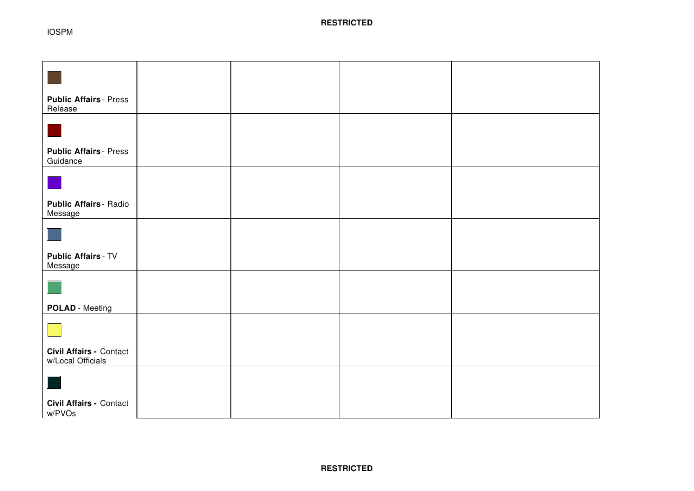IOSPM

| <b>Public Affairs - Press</b>                       |  |  |
|-----------------------------------------------------|--|--|
| Release                                             |  |  |
|                                                     |  |  |
| <b>Public Affairs - Press</b><br>Guidance           |  |  |
|                                                     |  |  |
| Public Affairs - Radio<br>Message                   |  |  |
|                                                     |  |  |
| <b>Public Affairs - TV</b><br>Message               |  |  |
|                                                     |  |  |
| <b>POLAD</b> - Meeting                              |  |  |
|                                                     |  |  |
| <b>Civil Affairs - Contact</b><br>w/Local Officials |  |  |
|                                                     |  |  |
| <b>Civil Affairs - Contact</b><br>w/PVOs            |  |  |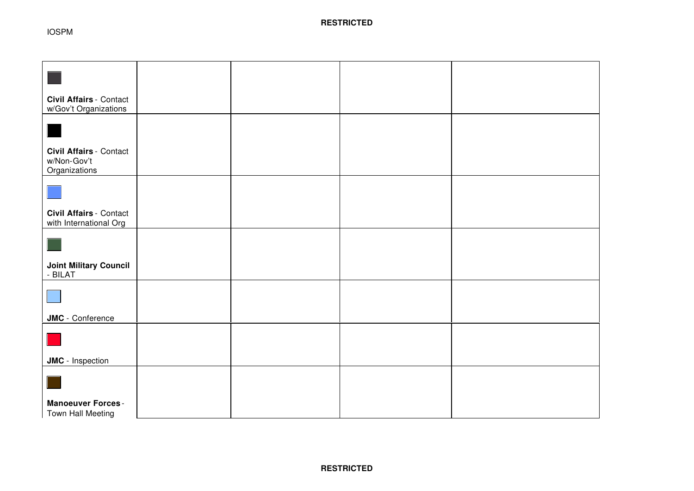| <b>Civil Affairs - Contact</b><br>w/Gov't Organizations        |  |  |
|----------------------------------------------------------------|--|--|
|                                                                |  |  |
| <b>Civil Affairs - Contact</b><br>w/Non-Gov't<br>Organizations |  |  |
|                                                                |  |  |
| <b>Civil Affairs - Contact</b><br>with International Org       |  |  |
|                                                                |  |  |
| <b>Joint Military Council</b><br>- BILAT                       |  |  |
|                                                                |  |  |
| <b>JMC</b> - Conference                                        |  |  |
|                                                                |  |  |
| <b>JMC</b> - Inspection                                        |  |  |
|                                                                |  |  |
| <b>Manoeuver Forces -</b><br>Town Hall Meeting                 |  |  |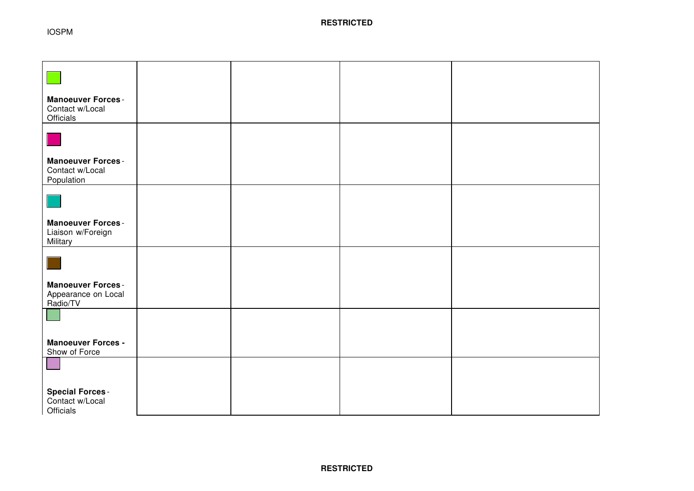IOSPM

| <b>Manoeuver Forces -</b><br>Contact w/Local<br>Officials         |  |  |
|-------------------------------------------------------------------|--|--|
| $\mathbb{R}^2$                                                    |  |  |
| <b>Manoeuver Forces -</b><br>Contact w/Local<br>Population        |  |  |
|                                                                   |  |  |
| <b>Manoeuver Forces -</b><br>Liaison w/Foreign<br><b>Military</b> |  |  |
|                                                                   |  |  |
| <b>Manoeuver Forces -</b><br>Appearance on Local<br>Radio/TV      |  |  |
|                                                                   |  |  |
| <b>Manoeuver Forces -</b><br>Show of Force                        |  |  |
|                                                                   |  |  |
| <b>Special Forces -</b><br>Contact w/Local<br>Officials           |  |  |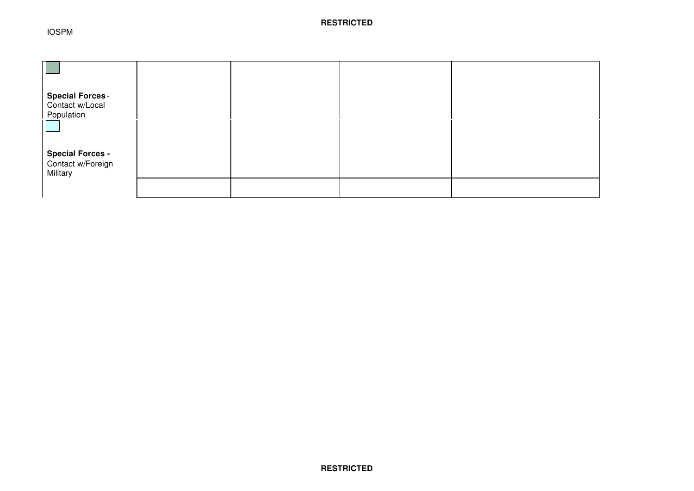| <b>Special Forces -</b><br>Contact w/Local                 |  |  |
|------------------------------------------------------------|--|--|
| Population<br><b>Special Forces -</b><br>Contact w/Foreign |  |  |
| Military                                                   |  |  |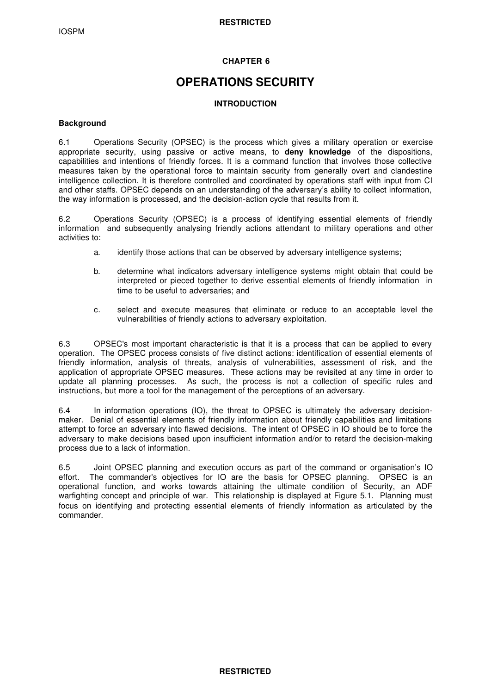# **CHAPTER 6**

# **OPERATIONS SECURITY**

# **INTRODUCTION**

# **Background**

6.1 Operations Security (OPSEC) is the process which gives a military operation or exercise appropriate security, using passive or active means, to **deny knowledge** of the dispositions, capabilities and intentions of friendly forces. It is a command function that involves those collective measures taken by the operational force to maintain security from generally overt and clandestine intelligence collection. It is therefore controlled and coordinated by operations staff with input from CI and other staffs. OPSEC depends on an understanding of the adversary's ability to collect information, the way information is processed, and the decision-action cycle that results from it.

6.2 Operations Security (OPSEC) is a process of identifying essential elements of friendly information and subsequently analysing friendly actions attendant to military operations and other activities to:

- a. identify those actions that can be observed by adversary intelligence systems;
- b. determine what indicators adversary intelligence systems might obtain that could be interpreted or pieced together to derive essential elements of friendly information in time to be useful to adversaries; and
- c. select and execute measures that eliminate or reduce to an acceptable level the vulnerabilities of friendly actions to adversary exploitation.

6.3 OPSEC's most important characteristic is that it is a process that can be applied to every operation. The OPSEC process consists of five distinct actions: identification of essential elements of friendly information, analysis of threats, analysis of vulnerabilities, assessment of risk, and the application of appropriate OPSEC measures. These actions may be revisited at any time in order to update all planning processes. As such, the process is not a collection of specific rules and instructions, but more a tool for the management of the perceptions of an adversary.

6.4 In information operations (IO), the threat to OPSEC is ultimately the adversary decisionmaker. Denial of essential elements of friendly information about friendly capabilities and limitations attempt to force an adversary into flawed decisions. The intent of OPSEC in IO should be to force the adversary to make decisions based upon insufficient information and/or to retard the decision-making process due to a lack of information.

6.5 Joint OPSEC planning and execution occurs as part of the command or organisation's IO effort. The commander's objectives for IO are the basis for OPSEC planning. OPSEC is an operational function, and works towards attaining the ultimate condition of Security, an ADF warfighting concept and principle of war. This relationship is displayed at Figure 5.1. Planning must focus on identifying and protecting essential elements of friendly information as articulated by the commander.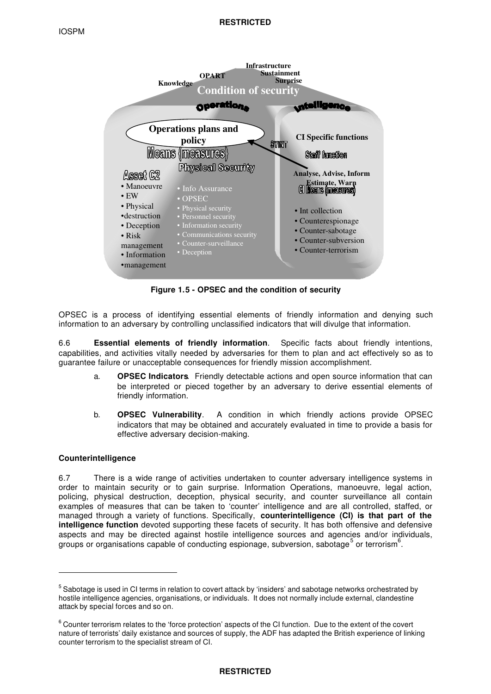

**Figure 1.5 - OPSEC and the condition of security**

OPSEC is a process of identifying essential elements of friendly information and denying such information to an adversary by controlling unclassified indicators that will divulge that information.

6.6 **Essential elements of friendly information**. Specific facts about friendly intentions, capabilities, and activities vitally needed by adversaries for them to plan and act effectively so as to guarantee failure or unacceptable consequences for friendly mission accomplishment.

- a. **OPSEC Indicators**. Friendly detectable actions and open source information that can be interpreted or pieced together by an adversary to derive essential elements of friendly information.
- b. **OPSEC Vulnerability**. A condition in which friendly actions provide OPSEC indicators that may be obtained and accurately evaluated in time to provide a basis for effective adversary decision-making.

# **Counterintelligence**

ı

6.7 There is a wide range of activities undertaken to counter adversary intelligence systems in order to maintain security or to gain surprise. Information Operations, manoeuvre, legal action, policing, physical destruction, deception, physical security, and counter surveillance all contain examples of measures that can be taken to 'counter' intelligence and are all controlled, staffed, or managed through a variety of functions. Specifically, **counterintelligence (CI) is that part of the intelligence function** devoted supporting these facets of security. It has both offensive and defensive aspects and may be directed against hostile intelligence sources and agencies and/or individuals, groups or organisations capable of conducting espionage, subversion, sabotage<sup>5</sup> or terrorism<sup>6</sup>.

<sup>&</sup>lt;sup>5</sup> Sabotage is used in CI terms in relation to covert attack by 'insiders' and sabotage networks orchestrated by hostile intelligence agencies, organisations, or individuals. It does not normally include external, clandestine attack by special forces and so on.

 $^6$  Counter terrorism relates to the 'force protection' aspects of the CI function. Due to the extent of the covert nature of terrorists' daily existance and sources of supply, the ADF has adapted the British experience of linking counter terrorism to the specialist stream of CI.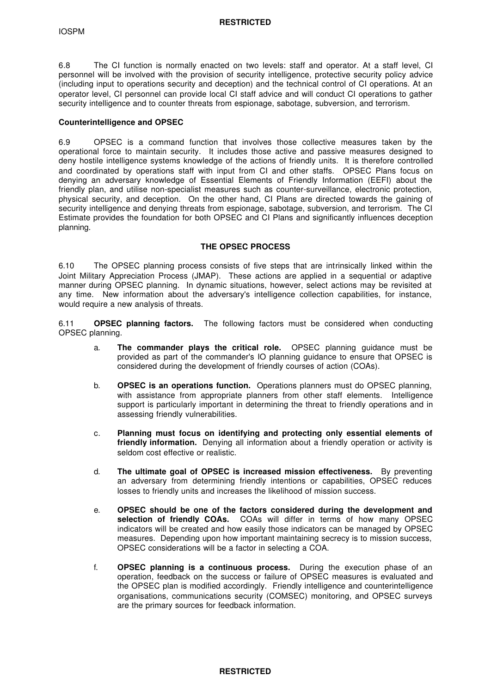6.8 The CI function is normally enacted on two levels: staff and operator. At a staff level, CI personnel will be involved with the provision of security intelligence, protective security policy advice (including input to operations security and deception) and the technical control of CI operations. At an operator level, CI personnel can provide local CI staff advice and will conduct CI operations to gather security intelligence and to counter threats from espionage, sabotage, subversion, and terrorism.

## **Counterintelligence and OPSEC**

6.9 OPSEC is a command function that involves those collective measures taken by the operational force to maintain security. It includes those active and passive measures designed to deny hostile intelligence systems knowledge of the actions of friendly units. It is therefore controlled and coordinated by operations staff with input from CI and other staffs. OPSEC Plans focus on denying an adversary knowledge of Essential Elements of Friendly Information (EEFI) about the friendly plan, and utilise non-specialist measures such as counter-surveillance, electronic protection, physical security, and deception. On the other hand, CI Plans are directed towards the gaining of security intelligence and denying threats from espionage, sabotage, subversion, and terrorism. The CI Estimate provides the foundation for both OPSEC and CI Plans and significantly influences deception planning.

# **THE OPSEC PROCESS**

6.10 The OPSEC planning process consists of five steps that are intrinsically linked within the Joint Military Appreciation Process (JMAP). These actions are applied in a sequential or adaptive manner during OPSEC planning. In dynamic situations, however, select actions may be revisited at any time. New information about the adversary's intelligence collection capabilities, for instance, would require a new analysis of threats.

6.11 **OPSEC planning factors.** The following factors must be considered when conducting OPSEC planning.

- a. **The commander plays the critical role.** OPSEC planning guidance must be provided as part of the commander's IO planning guidance to ensure that OPSEC is considered during the development of friendly courses of action (COAs).
- b. **OPSEC is an operations function.** Operations planners must do OPSEC planning, with assistance from appropriate planners from other staff elements. Intelligence support is particularly important in determining the threat to friendly operations and in assessing friendly vulnerabilities.
- c. **Planning must focus on identifying and protecting only essential elements of friendly information.** Denying all information about a friendly operation or activity is seldom cost effective or realistic.
- d. **The ultimate goal of OPSEC is increased mission effectiveness.** By preventing an adversary from determining friendly intentions or capabilities, OPSEC reduces losses to friendly units and increases the likelihood of mission success.
- e. **OPSEC should be one of the factors considered during the development and selection of friendly COAs.** COAs will differ in terms of how many OPSEC indicators will be created and how easily those indicators can be managed by OPSEC measures. Depending upon how important maintaining secrecy is to mission success, OPSEC considerations will be a factor in selecting a COA.
- f. **OPSEC planning is a continuous process.** During the execution phase of an operation, feedback on the success or failure of OPSEC measures is evaluated and the OPSEC plan is modified accordingly. Friendly intelligence and counterintelligence organisations, communications security (COMSEC) monitoring, and OPSEC surveys are the primary sources for feedback information.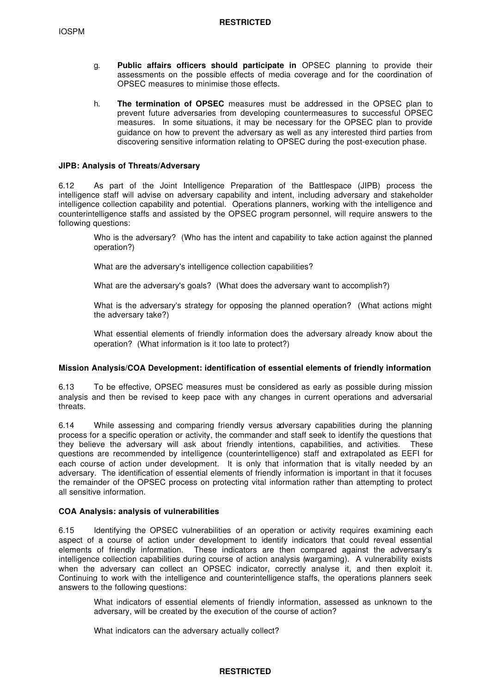- g. **Public affairs officers should participate in** OPSEC planning to provide their assessments on the possible effects of media coverage and for the coordination of OPSEC measures to minimise those effects.
- h. **The termination of OPSEC** measures must be addressed in the OPSEC plan to prevent future adversaries from developing countermeasures to successful OPSEC measures. In some situations, it may be necessary for the OPSEC plan to provide guidance on how to prevent the adversary as well as any interested third parties from discovering sensitive information relating to OPSEC during the post-execution phase.

## **JIPB: Analysis of Threats/Adversary**

6.12 As part of the Joint Intelligence Preparation of the Battlespace (JIPB) process the intelligence staff will advise on adversary capability and intent, including adversary and stakeholder intelligence collection capability and potential. Operations planners, working with the intelligence and counterintelligence staffs and assisted by the OPSEC program personnel, will require answers to the following questions:

Who is the adversary? (Who has the intent and capability to take action against the planned operation?)

What are the adversary's intelligence collection capabilities?

What are the adversary's goals? (What does the adversary want to accomplish?)

What is the adversary's strategy for opposing the planned operation? (What actions might the adversary take?)

What essential elements of friendly information does the adversary already know about the operation? (What information is it too late to protect?)

## **Mission Analysis/COA Development: identification of essential elements of friendly information**

6.13 To be effective, OPSEC measures must be considered as early as possible during mission analysis and then be revised to keep pace with any changes in current operations and adversarial threats.

6.14 While assessing and comparing friendly versus adversary capabilities during the planning process for a specific operation or activity, the commander and staff seek to identify the questions that they believe the adversary will ask about friendly intentions, capabilities, and activities. These questions are recommended by intelligence (counterintelligence) staff and extrapolated as EEFI for each course of action under development. It is only that information that is vitally needed by an adversary. The identification of essential elements of friendly information is important in that it focuses the remainder of the OPSEC process on protecting vital information rather than attempting to protect all sensitive information.

# **COA Analysis: analysis of vulnerabilities**

6.15 Identifying the OPSEC vulnerabilities of an operation or activity requires examining each aspect of a course of action under development to identify indicators that could reveal essential elements of friendly information. These indicators are then compared against the adversary's intelligence collection capabilities during course of action analysis (wargaming). A vulnerability exists when the adversary can collect an OPSEC indicator, correctly analyse it, and then exploit it. Continuing to work with the intelligence and counterintelligence staffs, the operations planners seek answers to the following questions:

What indicators of essential elements of friendly information, assessed as unknown to the adversary, will be created by the execution of the course of action?

What indicators can the adversary actually collect?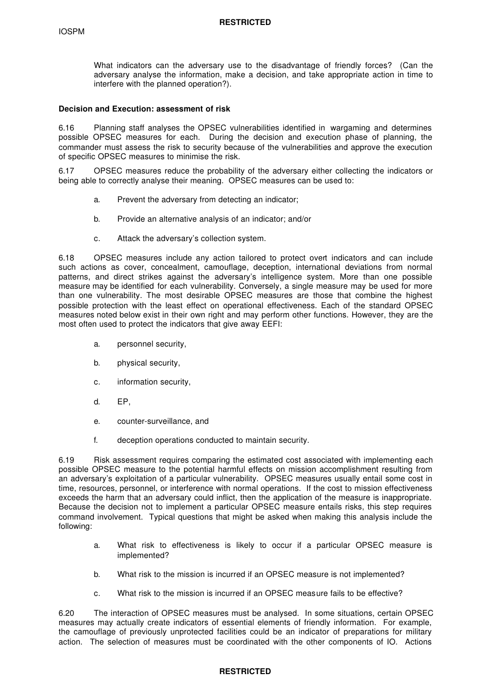What indicators can the adversary use to the disadvantage of friendly forces? (Can the adversary analyse the information, make a decision, and take appropriate action in time to interfere with the planned operation?).

## **Decision and Execution: assessment of risk**

6.16 Planning staff analyses the OPSEC vulnerabilities identified in wargaming and determines possible OPSEC measures for each. During the decision and execution phase of planning, the commander must assess the risk to security because of the vulnerabilities and approve the execution of specific OPSEC measures to minimise the risk.

6.17 OPSEC measures reduce the probability of the adversary either collecting the indicators or being able to correctly analyse their meaning. OPSEC measures can be used to:

- a. Prevent the adversary from detecting an indicator;
- b. Provide an alternative analysis of an indicator; and/or
- c. Attack the adversary's collection system.

6.18 OPSEC measures include any action tailored to protect overt indicators and can include such actions as cover, concealment, camouflage, deception, international deviations from normal patterns, and direct strikes against the adversary's intelligence system. More than one possible measure may be identified for each vulnerability. Conversely, a single measure may be used for more than one vulnerability. The most desirable OPSEC measures are those that combine the highest possible protection with the least effect on operational effectiveness. Each of the standard OPSEC measures noted below exist in their own right and may perform other functions. However, they are the most often used to protect the indicators that give away EEFI:

- a. personnel security,
- b. physical security,
- c. information security,
- d. EP,
- e. counter-surveillance, and
- f. deception operations conducted to maintain security.

6.19 Risk assessment requires comparing the estimated cost associated with implementing each possible OPSEC measure to the potential harmful effects on mission accomplishment resulting from an adversary's exploitation of a particular vulnerability. OPSEC measures usually entail some cost in time, resources, personnel, or interference with normal operations. If the cost to mission effectiveness exceeds the harm that an adversary could inflict, then the application of the measure is inappropriate. Because the decision not to implement a particular OPSEC measure entails risks, this step requires command involvement. Typical questions that might be asked when making this analysis include the following:

- a. What risk to effectiveness is likely to occur if a particular OPSEC measure is implemented?
- b. What risk to the mission is incurred if an OPSEC measure is not implemented?
- c. What risk to the mission is incurred if an OPSEC measure fails to be effective?

6.20 The interaction of OPSEC measures must be analysed. In some situations, certain OPSEC measures may actually create indicators of essential elements of friendly information. For example, the camouflage of previously unprotected facilities could be an indicator of preparations for military action. The selection of measures must be coordinated with the other components of IO. Actions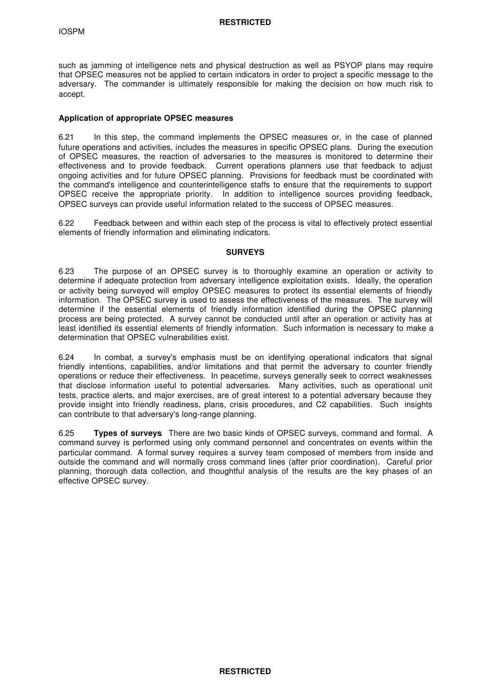such as jamming of intelligence nets and physical destruction as well as PSYOP plans may require that OPSEC measures not be applied to certain indicators in order to project a specific message to the adversary. The commander is ultimately responsible for making the decision on how much risk to accept.

## **Application of appropriate OPSEC measures**

6.21 In this step, the command implements the OPSEC measures or, in the case of planned future operations and activities, includes the measures in specific OPSEC plans. During the execution of OPSEC measures, the reaction of adversaries to the measures is monitored to determine their effectiveness and to provide feedback. Current operations planners use that feedback to adjust ongoing activities and for future OPSEC planning. Provisions for feedback must be coordinated with the command's intelligence and counterintelligence staffs to ensure that the requirements to support OPSEC receive the appropriate priority. In addition to intelligence sources providing feedback, OPSEC surveys can provide useful information related to the success of OPSEC measures.

6.22 Feedback between and within each step of the process is vital to effectively protect essential elements of friendly information and eliminating indicators.

## **SURVEYS**

6.23 The purpose of an OPSEC survey is to thoroughly examine an operation or activity to determine if adequate protection from adversary intelligence exploitation exists. Ideally, the operation or activity being surveyed will employ OPSEC measures to protect its essential elements of friendly information. The OPSEC survey is used to assess the effectiveness of the measures. The survey will determine if the essential elements of friendly information identified during the OPSEC planning process are being protected. A survey cannot be conducted until after an operation or activity has at least identified its essential elements of friendly information. Such information is necessary to make a determination that OPSEC vulnerabilities exist.

6.24 In combat, a survey's emphasis must be on identifying operational indicators that signal friendly intentions, capabilities, and/or limitations and that permit the adversary to counter friendly operations or reduce their effectiveness. In peacetime, surveys generally seek to correct weaknesses that disclose information useful to potential adversaries. Many activities, such as operational unit tests, practice alerts, and major exercises, are of great interest to a potential adversary because they provide insight into friendly readiness, plans, crisis procedures, and C2 capabilities. Such insights can contribute to that adversary's long-range planning.

6.25 **Types of surveys**. There are two basic kinds of OPSEC surveys, command and formal. A command survey is performed using only command personnel and concentrates on events within the particular command. A formal survey requires a survey team composed of members from inside and outside the command and will normally cross command lines (after prior coordination). Careful prior planning, thorough data collection, and thoughtful analysis of the results are the key phases of an effective OPSEC survey.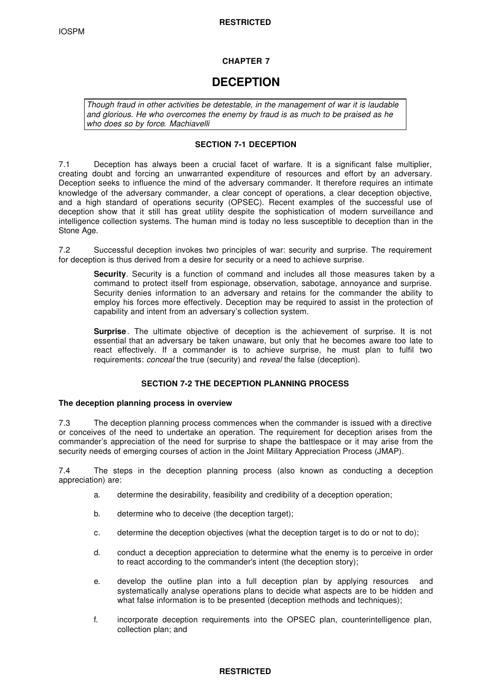# **CHAPTER 7**

# **DECEPTION**

*Though fraud in other activities be detestable, in the management of war it is laudable and glorious. He who overcomes the enemy by fraud is as much to be praised as he who does so by force. Machiavelli*

# **SECTION 7-1 DECEPTION**

7.1 Deception has always been a crucial facet of warfare. It is a significant false multiplier, creating doubt and forcing an unwarranted expenditure of resources and effort by an adversary. Deception seeks to influence the mind of the adversary commander. It therefore requires an intimate knowledge of the adversary commander, a clear concept of operations, a clear deception objective, and a high standard of operations security (OPSEC). Recent examples of the successful use of deception show that it still has great utility despite the sophistication of modern surveillance and intelligence collection systems. The human mind is today no less susceptible to deception than in the Stone Age.

7.2 Successful deception invokes two principles of war: security and surprise. The requirement for deception is thus derived from a desire for security or a need to achieve surprise.

**Security**. Security is a function of command and includes all those measures taken by a command to protect itself from espionage, observation, sabotage, annoyance and surprise. Security denies information to an adversary and retains for the commander the ability to employ his forces more effectively. Deception may be required to assist in the protection of capability and intent from an adversary's collection system.

**Surprise** . The ultimate objective of deception is the achievement of surprise. It is not essential that an adversary be taken unaware, but only that he becomes aware too late to react effectively. If a commander is to achieve surprise, he must plan to fulfil two requirements: *conceal* the true (security) and *reveal* the false (deception).

# **SECTION 7-2 THE DECEPTION PLANNING PROCESS**

## **The deception planning process in overview**

7.3 The deception planning process commences when the commander is issued with a directive or conceives of the need to undertake an operation. The requirement for deception arises from the commander's appreciation of the need for surprise to shape the battlespace or it may arise from the security needs of emerging courses of action in the Joint Military Appreciation Process (JMAP).

7.4 The steps in the deception planning process (also known as conducting a deception appreciation) are:

- a. determine the desirability, feasibility and credibility of a deception operation;
- b. determine who to deceive (the deception target);
- c. determine the deception objectives (what the deception target is to do or not to do);
- d. conduct a deception appreciation to determine what the enemy is to perceive in order to react according to the commander's intent (the deception story);
- e. develop the outline plan into a full deception plan by applying resources and systematically analyse operations plans to decide what aspects are to be hidden and what false information is to be presented (deception methods and techniques);
- f. incorporate deception requirements into the OPSEC plan, counterintelligence plan, collection plan; and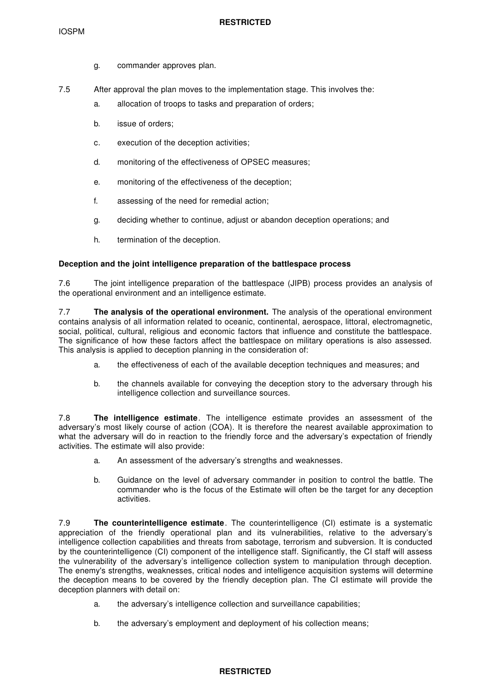- g. commander approves plan.
- 7.5 After approval the plan moves to the implementation stage. This involves the:
	- a. allocation of troops to tasks and preparation of orders;
	- b. issue of orders;
	- c. execution of the deception activities;
	- d. monitoring of the effectiveness of OPSEC measures;
	- e. monitoring of the effectiveness of the deception;
	- f. assessing of the need for remedial action;
	- g. deciding whether to continue, adjust or abandon deception operations; and
	- h. termination of the deception.

# **Deception and the joint intelligence preparation of the battlespace process**

7.6 The joint intelligence preparation of the battlespace (JIPB) process provides an analysis of the operational environment and an intelligence estimate.

7.7 **The analysis of the operational environment.** The analysis of the operational environment contains analysis of all information related to oceanic, continental, aerospace, littoral, electromagnetic, social, political, cultural, religious and economic factors that influence and constitute the battlespace. The significance of how these factors affect the battlespace on military operations is also assessed. This analysis is applied to deception planning in the consideration of:

- a. the effectiveness of each of the available deception techniques and measures; and
- b. the channels available for conveying the deception story to the adversary through his intelligence collection and surveillance sources.

7.8 **The intelligence estimate**. The intelligence estimate provides an assessment of the adversary's most likely course of action (COA). It is therefore the nearest available approximation to what the adversary will do in reaction to the friendly force and the adversary's expectation of friendly activities. The estimate will also provide:

- a. An assessment of the adversary's strengths and weaknesses.
- b. Guidance on the level of adversary commander in position to control the battle. The commander who is the focus of the Estimate will often be the target for any deception activities.

7.9 **The counterintelligence estimate**. The counterintelligence (CI) estimate is a systematic appreciation of the friendly operational plan and its vulnerabilities, relative to the adversary's intelligence collection capabilities and threats from sabotage, terrorism and subversion. It is conducted by the counterintelligence (CI) component of the intelligence staff. Significantly, the CI staff will assess the vulnerability of the adversary's intelligence collection system to manipulation through deception. The enemy's strengths, weaknesses, critical nodes and intelligence acquisition systems will determine the deception means to be covered by the friendly deception plan. The CI estimate will provide the deception planners with detail on:

- a. the adversary's intelligence collection and surveillance capabilities;
- b. the adversary's employment and deployment of his collection means;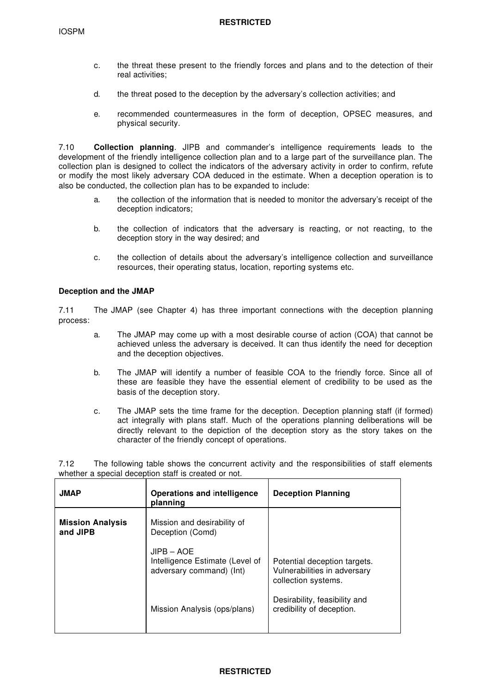- c. the threat these present to the friendly forces and plans and to the detection of their real activities;
- d. the threat posed to the deception by the adversary's collection activities; and
- e. recommended countermeasures in the form of deception, OPSEC measures, and physical security.

7.10 **Collection planning**. JIPB and commander's intelligence requirements leads to the development of the friendly intelligence collection plan and to a large part of the surveillance plan. The collection plan is designed to collect the indicators of the adversary activity in order to confirm, refute or modify the most likely adversary COA deduced in the estimate. When a deception operation is to also be conducted, the collection plan has to be expanded to include:

- a. the collection of the information that is needed to monitor the adversary's receipt of the deception indicators;
- b. the collection of indicators that the adversary is reacting, or not reacting, to the deception story in the way desired; and
- c. the collection of details about the adversary's intelligence collection and surveillance resources, their operating status, location, reporting systems etc.

## **Deception and the JMAP**

7.11 The JMAP (see Chapter 4) has three important connections with the deception planning process:

- a. The JMAP may come up with a most desirable course of action (COA) that cannot be achieved unless the adversary is deceived. It can thus identify the need for deception and the deception objectives.
- b. The JMAP will identify a number of feasible COA to the friendly force. Since all of these are feasible they have the essential element of credibility to be used as the basis of the deception story.
- c. The JMAP sets the time frame for the deception. Deception planning staff (if formed) act integrally with plans staff. Much of the operations planning deliberations will be directly relevant to the depiction of the deception story as the story takes on the character of the friendly concept of operations.

7.12 The following table shows the concurrent activity and the responsibilities of staff elements whether a special deception staff is created or not.

| <b>JMAP</b>                         | Operations and intelligence<br>planning                                     | <b>Deception Planning</b>                                                           |
|-------------------------------------|-----------------------------------------------------------------------------|-------------------------------------------------------------------------------------|
| <b>Mission Analysis</b><br>and JIPB | Mission and desirability of<br>Deception (Comd)                             |                                                                                     |
|                                     | $JIPB - AOE$<br>Intelligence Estimate (Level of<br>adversary command) (Int) | Potential deception targets.<br>Vulnerabilities in adversary<br>collection systems. |
|                                     | Mission Analysis (ops/plans)                                                | Desirability, feasibility and<br>credibility of deception.                          |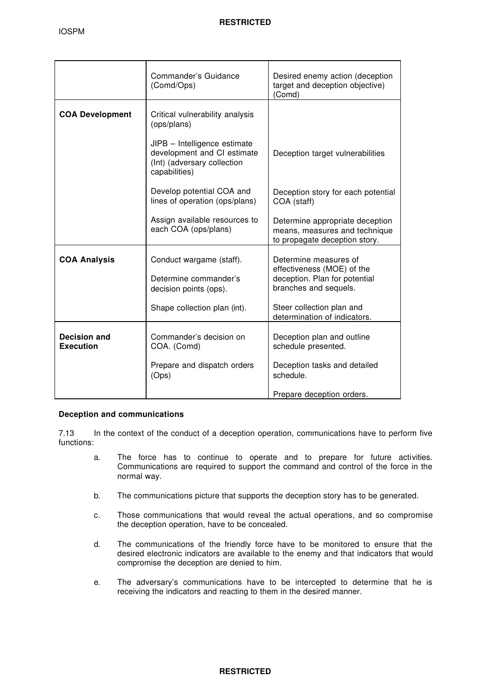|                                         | Commander's Guidance<br>(Comd/Ops)                                                                          | Desired enemy action (deception<br>target and deception objective)<br>(Comd)                                                                                               |
|-----------------------------------------|-------------------------------------------------------------------------------------------------------------|----------------------------------------------------------------------------------------------------------------------------------------------------------------------------|
| <b>COA Development</b>                  | Critical vulnerability analysis<br>(ops/plans)                                                              |                                                                                                                                                                            |
|                                         | JIPB - Intelligence estimate<br>development and CI estimate<br>(Int) (adversary collection<br>capabilities) | Deception target vulnerabilities                                                                                                                                           |
|                                         | Develop potential COA and<br>lines of operation (ops/plans)                                                 | Deception story for each potential<br>COA (staff)                                                                                                                          |
|                                         | Assign available resources to<br>each COA (ops/plans)                                                       | Determine appropriate deception<br>means, measures and technique<br>to propagate deception story.                                                                          |
| <b>COA Analysis</b>                     | Conduct wargame (staff).<br>Determine commander's<br>decision points (ops).<br>Shape collection plan (int). | Determine measures of<br>effectiveness (MOE) of the<br>deception. Plan for potential<br>branches and sequels.<br>Steer collection plan and<br>determination of indicators. |
| <b>Decision and</b><br><b>Execution</b> | Commander's decision on<br>COA. (Comd)                                                                      | Deception plan and outline<br>schedule presented.                                                                                                                          |
|                                         | Prepare and dispatch orders<br>(Ops)                                                                        | Deception tasks and detailed<br>schedule.                                                                                                                                  |
|                                         |                                                                                                             | Prepare deception orders.                                                                                                                                                  |

# **Deception and communications**

7.13 In the context of the conduct of a deception operation, communications have to perform five functions:

- a. The force has to continue to operate and to prepare for future activities. Communications are required to support the command and control of the force in the normal way.
- b. The communications picture that supports the deception story has to be generated.
- c. Those communications that would reveal the actual operations, and so compromise the deception operation, have to be concealed.
- d. The communications of the friendly force have to be monitored to ensure that the desired electronic indicators are available to the enemy and that indicators that would compromise the deception are denied to him.
- e. The adversary's communications have to be intercepted to determine that he is receiving the indicators and reacting to them in the desired manner.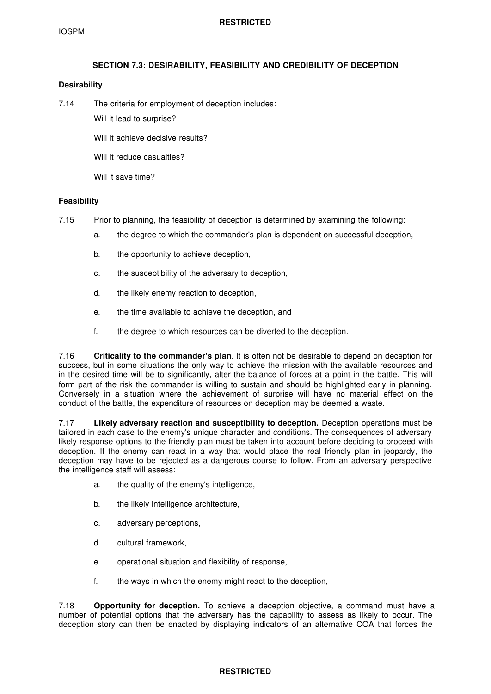# **SECTION 7.3: DESIRABILITY, FEASIBILITY AND CREDIBILITY OF DECEPTION**

## **Desirability**

7.14 The criteria for employment of deception includes:

Will it lead to surprise?

Will it achieve decisive results?

Will it reduce casualties?

Will it save time?

## **Feasibility**

- 7.15 Prior to planning, the feasibility of deception is determined by examining the following:
	- a. the degree to which the commander's plan is dependent on successful deception,
	- b. the opportunity to achieve deception,
	- c. the susceptibility of the adversary to deception,
	- d. the likely enemy reaction to deception,
	- e. the time available to achieve the deception, and
	- f. the degree to which resources can be diverted to the deception.

7.16 **Criticality to the commander's plan**. It is often not be desirable to depend on deception for success, but in some situations the only way to achieve the mission with the available resources and in the desired time will be to significantly, alter the balance of forces at a point in the battle. This will form part of the risk the commander is willing to sustain and should be highlighted early in planning. Conversely in a situation where the achievement of surprise will have no material effect on the conduct of the battle, the expenditure of resources on deception may be deemed a waste.

7.17 **Likely adversary reaction and susceptibility to deception.** Deception operations must be tailored in each case to the enemy's unique character and conditions. The consequences of adversary likely response options to the friendly plan must be taken into account before deciding to proceed with deception. If the enemy can react in a way that would place the real friendly plan in jeopardy, the deception may have to be rejected as a dangerous course to follow. From an adversary perspective the intelligence staff will assess:

- a. the quality of the enemy's intelligence,
- b. the likely intelligence architecture,
- c. adversary perceptions,
- d. cultural framework,
- e. operational situation and flexibility of response,
- f. the ways in which the enemy might react to the deception,

7.18 **Opportunity for deception.** To achieve a deception objective, a command must have a number of potential options that the adversary has the capability to assess as likely to occur. The deception story can then be enacted by displaying indicators of an alternative COA that forces the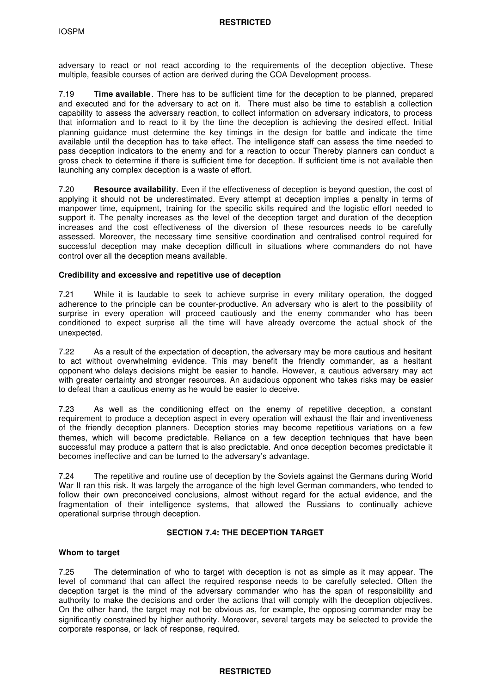adversary to react or not react according to the requirements of the deception objective. These multiple, feasible courses of action are derived during the COA Development process.

7.19 **Time available**. There has to be sufficient time for the deception to be planned, prepared and executed and for the adversary to act on it. There must also be time to establish a collection capability to assess the adversary reaction, to collect information on adversary indicators, to process that information and to react to it by the time the deception is achieving the desired effect. Initial planning guidance must determine the key timings in the design for battle and indicate the time available until the deception has to take effect. The intelligence staff can assess the time needed to pass deception indicators to the enemy and for a reaction to occur Thereby planners can conduct a gross check to determine if there is sufficient time for deception. If sufficient time is not available then launching any complex deception is a waste of effort.

7.20 **Resource availability**. Even if the effectiveness of deception is beyond question, the cost of applying it should not be underestimated. Every attempt at deception implies a penalty in terms of manpower time, equipment, training for the specific skills required and the logistic effort needed to support it. The penalty increases as the level of the deception target and duration of the deception increases and the cost effectiveness of the diversion of these resources needs to be carefully assessed. Moreover, the necessary time sensitive coordination and centralised control required for successful deception may make deception difficult in situations where commanders do not have control over all the deception means available.

## **Credibility and excessive and repetitive use of deception**

7.21 While it is laudable to seek to achieve surprise in every military operation, the dogged adherence to the principle can be counter-productive. An adversary who is alert to the possibility of surprise in every operation will proceed cautiously and the enemy commander who has been conditioned to expect surprise all the time will have already overcome the actual shock of the unexpected.

7.22 As a result of the expectation of deception, the adversary may be more cautious and hesitant to act without overwhelming evidence. This may benefit the friendly commander, as a hesitant opponent who delays decisions might be easier to handle. However, a cautious adversary may act with greater certainty and stronger resources. An audacious opponent who takes risks may be easier to defeat than a cautious enemy as he would be easier to deceive.

7.23 As well as the conditioning effect on the enemy of repetitive deception, a constant requirement to produce a deception aspect in every operation will exhaust the flair and inventiveness of the friendly deception planners. Deception stories may become repetitious variations on a few themes, which will become predictable. Reliance on a few deception techniques that have been successful may produce a pattern that is also predictable. And once deception becomes predictable it becomes ineffective and can be turned to the adversary's advantage.

7.24 The repetitive and routine use of deception by the Soviets against the Germans during World War II ran this risk. It was largely the arrogance of the high level German commanders, who tended to follow their own preconceived conclusions, almost without regard for the actual evidence, and the fragmentation of their intelligence systems, that allowed the Russians to continually achieve operational surprise through deception.

## **SECTION 7.4: THE DECEPTION TARGET**

## **Whom to target**

7.25 The determination of who to target with deception is not as simple as it may appear. The level of command that can affect the required response needs to be carefully selected. Often the deception target is the mind of the adversary commander who has the span of responsibility and authority to make the decisions and order the actions that will comply with the deception objectives. On the other hand, the target may not be obvious as, for example, the opposing commander may be significantly constrained by higher authority. Moreover, several targets may be selected to provide the corporate response, or lack of response, required.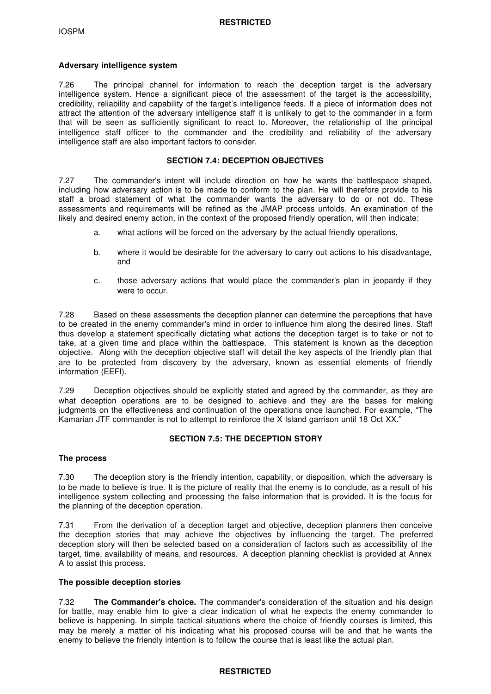## **Adversary intelligence system**

7.26 The principal channel for information to reach the deception target is the adversary intelligence system. Hence a significant piece of the assessment of the target is the accessibility, credibility, reliability and capability of the target's intelligence feeds. If a piece of information does not attract the attention of the adversary intelligence staff it is unlikely to get to the commander in a form that will be seen as sufficiently significant to react to. Moreover, the relationship of the principal intelligence staff officer to the commander and the credibility and reliability of the adversary intelligence staff are also important factors to consider.

## **SECTION 7.4: DECEPTION OBJECTIVES**

7.27 The commander's intent will include direction on how he wants the battlespace shaped, including how adversary action is to be made to conform to the plan. He will therefore provide to his staff a broad statement of what the commander wants the adversary to do or not do. These assessments and requirements will be refined as the JMAP process unfolds. An examination of the likely and desired enemy action, in the context of the proposed friendly operation, will then indicate:

- a. what actions will be forced on the adversary by the actual friendly operations,
- b. where it would be desirable for the adversary to carry out actions to his disadvantage, and
- c. those adversary actions that would place the commander's plan in jeopardy if they were to occur.

7.28 Based on these assessments the deception planner can determine the perceptions that have to be created in the enemy commander's mind in order to influence him along the desired lines. Staff thus develop a statement specifically dictating what actions the deception target is to take or not to take, at a given time and place within the battlespace. This statement is known as the deception objective. Along with the deception objective staff will detail the key aspects of the friendly plan that are to be protected from discovery by the adversary, known as essential elements of friendly information (EEFI).

7.29 Deception objectives should be explicitly stated and agreed by the commander, as they are what deception operations are to be designed to achieve and they are the bases for making judgments on the effectiveness and continuation of the operations once launched. For example, "The Kamarian JTF commander is not to attempt to reinforce the X Island garrison until 18 Oct XX."

# **SECTION 7.5: THE DECEPTION STORY**

## **The process**

7.30 The deception story is the friendly intention, capability, or disposition, which the adversary is to be made to believe is true. It is the picture of reality that the enemy is to conclude, as a result of his intelligence system collecting and processing the false information that is provided. It is the focus for the planning of the deception operation.

7.31 From the derivation of a deception target and objective, deception planners then conceive the deception stories that may achieve the objectives by influencing the target. The preferred deception story will then be selected based on a consideration of factors such as accessibility of the target, time, availability of means, and resources. A deception planning checklist is provided at Annex A to assist this process.

# **The possible deception stories**

7.32 **The Commander's choice.** The commander's consideration of the situation and his design for battle, may enable him to give a clear indication of what he expects the enemy commander to believe is happening. In simple tactical situations where the choice of friendly courses is limited, this may be merely a matter of his indicating what his proposed course will be and that he wants the enemy to believe the friendly intention is to follow the course that is least like the actual plan.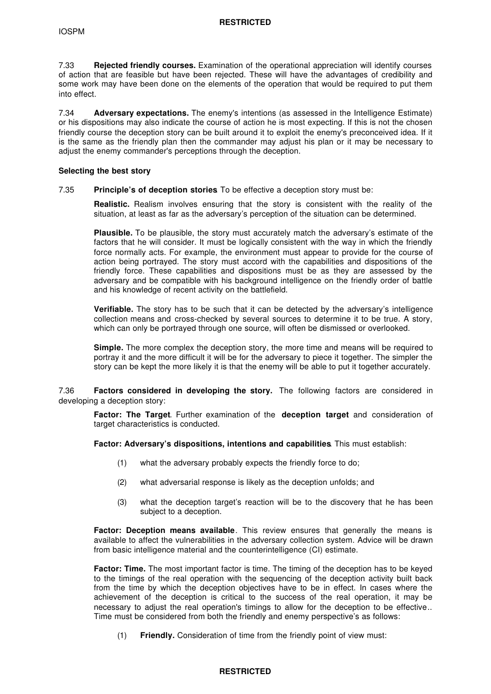7.33 **Rejected friendly courses.** Examination of the operational appreciation will identify courses of action that are feasible but have been rejected. These will have the advantages of credibility and some work may have been done on the elements of the operation that would be required to put them into effect.

7.34 **Adversary expectations.** The enemy's intentions (as assessed in the Intelligence Estimate) or his dispositions may also indicate the course of action he is most expecting. If this is not the chosen friendly course the deception story can be built around it to exploit the enemy's preconceived idea. If it is the same as the friendly plan then the commander may adjust his plan or it may be necessary to adjust the enemy commander's perceptions through the deception.

#### **Selecting the best story**

### 7.35 **Principle's of deception stories**. To be effective a deception story must be:

**Realistic.** Realism involves ensuring that the story is consistent with the reality of the situation, at least as far as the adversary's perception of the situation can be determined.

**Plausible.** To be plausible, the story must accurately match the adversary's estimate of the factors that he will consider. It must be logically consistent with the way in which the friendly force normally acts. For example, the environment must appear to provide for the course of action being portrayed. The story must accord with the capabilities and dispositions of the friendly force. These capabilities and dispositions must be as they are assessed by the adversary and be compatible with his background intelligence on the friendly order of battle and his knowledge of recent activity on the battlefield.

**Verifiable.** The story has to be such that it can be detected by the adversary's intelligence collection means and cross-checked by several sources to determine it to be true. A story, which can only be portrayed through one source, will often be dismissed or overlooked.

**Simple.** The more complex the deception story, the more time and means will be required to portray it and the more difficult it will be for the adversary to piece it together. The simpler the story can be kept the more likely it is that the enemy will be able to put it together accurately.

7.36 **Factors considered in developing the story.** The following factors are considered in developing a deception story:

**Factor: The Target**. Further examination of the **deception target** and consideration of target characteristics is conducted.

**Factor: Adversary's dispositions, intentions and capabilities**. This must establish:

- (1) what the adversary probably expects the friendly force to do;
- (2) what adversarial response is likely as the deception unfolds; and
- (3) what the deception target's reaction will be to the discovery that he has been subject to a deception.

**Factor: Deception means available**. This review ensures that generally the means is available to affect the vulnerabilities in the adversary collection system. Advice will be drawn from basic intelligence material and the counterintelligence (CI) estimate.

**Factor: Time.** The most important factor is time. The timing of the deception has to be keyed to the timings of the real operation with the sequencing of the deception activity built back from the time by which the deception objectives have to be in effect. In cases where the achievement of the deception is critical to the success of the real operation, it may be necessary to adjust the real operation's timings to allow for the deception to be effective.. Time must be considered from both the friendly and enemy perspective's as follows:

(1) **Friendly.** Consideration of time from the friendly point of view must: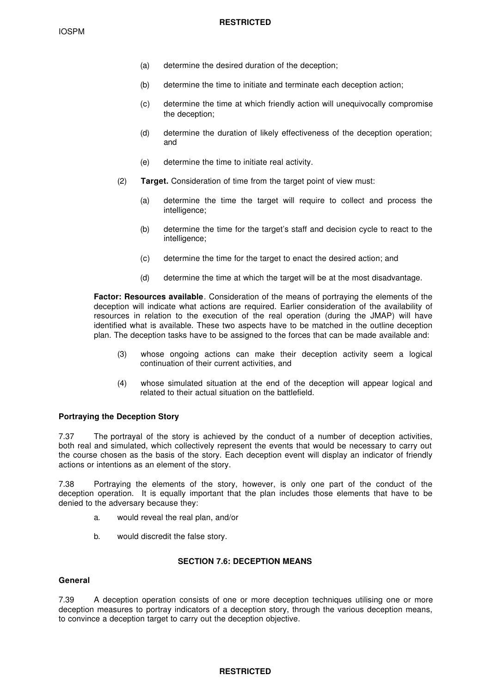- (a) determine the desired duration of the deception;
- (b) determine the time to initiate and terminate each deception action;
- (c) determine the time at which friendly action will unequivocally compromise the deception;
- (d) determine the duration of likely effectiveness of the deception operation; and
- (e) determine the time to initiate real activity.
- (2) **Target.** Consideration of time from the target point of view must:
	- (a) determine the time the target will require to collect and process the intelligence;
	- (b) determine the time for the target's staff and decision cycle to react to the intelligence;
	- (c) determine the time for the target to enact the desired action; and
	- (d) determine the time at which the target will be at the most disadvantage.

**Factor: Resources available**. Consideration of the means of portraying the elements of the deception will indicate what actions are required. Earlier consideration of the availability of resources in relation to the execution of the real operation (during the JMAP) will have identified what is available. These two aspects have to be matched in the outline deception plan. The deception tasks have to be assigned to the forces that can be made available and:

- (3) whose ongoing actions can make their deception activity seem a logical continuation of their current activities, and
- (4) whose simulated situation at the end of the deception will appear logical and related to their actual situation on the battlefield.

#### **Portraying the Deception Story**

7.37 The portrayal of the story is achieved by the conduct of a number of deception activities, both real and simulated, which collectively represent the events that would be necessary to carry out the course chosen as the basis of the story. Each deception event will display an indicator of friendly actions or intentions as an element of the story.

7.38 Portraying the elements of the story, however, is only one part of the conduct of the deception operation. It is equally important that the plan includes those elements that have to be denied to the adversary because they:

- a. would reveal the real plan, and/or
- b. would discredit the false story.

#### **SECTION 7.6: DECEPTION MEANS**

### **General**

7.39 A deception operation consists of one or more deception techniques utilising one or more deception measures to portray indicators of a deception story, through the various deception means, to convince a deception target to carry out the deception objective.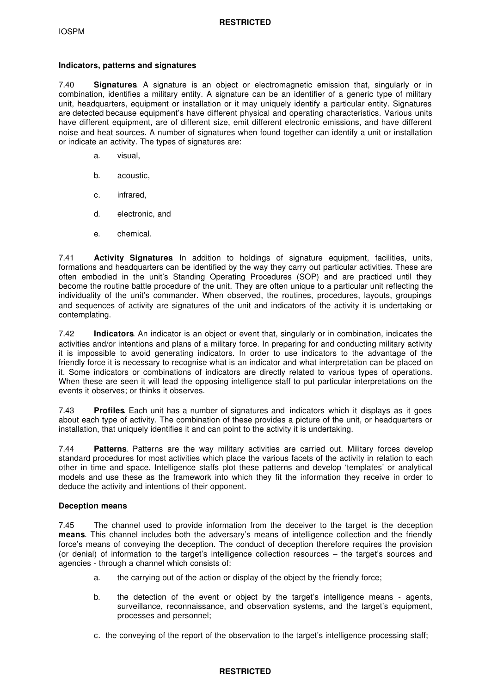### **Indicators, patterns and signatures**

7.40 **Signatures**. A signature is an object or electromagnetic emission that, singularly or in combination, identifies a military entity. A signature can be an identifier of a generic type of military unit, headquarters, equipment or installation or it may uniquely identify a particular entity. Signatures are detected because equipment's have different physical and operating characteristics. Various units have different equipment, are of different size, emit different electronic emissions, and have different noise and heat sources. A number of signatures when found together can identify a unit or installation or indicate an activity. The types of signatures are:

- a. visual,
- b. acoustic,
- c. infrared,
- d. electronic, and
- e. chemical.

7.41 **Activity Signatures**. In addition to holdings of signature equipment, facilities, units, formations and headquarters can be identified by the way they carry out particular activities. These are often embodied in the unit's Standing Operating Procedures (SOP) and are practiced until they become the routine battle procedure of the unit. They are often unique to a particular unit reflecting the individuality of the unit's commander. When observed, the routines, procedures, layouts, groupings and sequences of activity are signatures of the unit and indicators of the activity it is undertaking or contemplating.

7.42 **Indicators**. An indicator is an object or event that, singularly or in combination, indicates the activities and/or intentions and plans of a military force. In preparing for and conducting military activity it is impossible to avoid generating indicators. In order to use indicators to the advantage of the friendly force it is necessary to recognise what is an indicator and what interpretation can be placed on it. Some indicators or combinations of indicators are directly related to various types of operations. When these are seen it will lead the opposing intelligence staff to put particular interpretations on the events it observes; or thinks it observes.

7.43 **Profiles**. Each unit has a number of signatures and indicators which it displays as it goes about each type of activity. The combination of these provides a picture of the unit, or headquarters or installation, that uniquely identifies it and can point to the activity it is undertaking.

7.44 **Patterns**. Patterns are the way military activities are carried out. Military forces develop standard procedures for most activities which place the various facets of the activity in relation to each other in time and space. Intelligence staffs plot these patterns and develop 'templates' or analytical models and use these as the framework into which they fit the information they receive in order to deduce the activity and intentions of their opponent.

## **Deception means**

7.45 The channel used to provide information from the deceiver to the target is the deception **means**. This channel includes both the adversary's means of intelligence collection and the friendly force's means of conveying the deception. The conduct of deception therefore requires the provision (or denial) of information to the target's intelligence collection resources – the target's sources and agencies - through a channel which consists of:

- a. the carrying out of the action or display of the object by the friendly force;
- b. the detection of the event or object by the target's intelligence means agents, surveillance, reconnaissance, and observation systems, and the target's equipment, processes and personnel;
- c. the conveying of the report of the observation to the target's intelligence processing staff;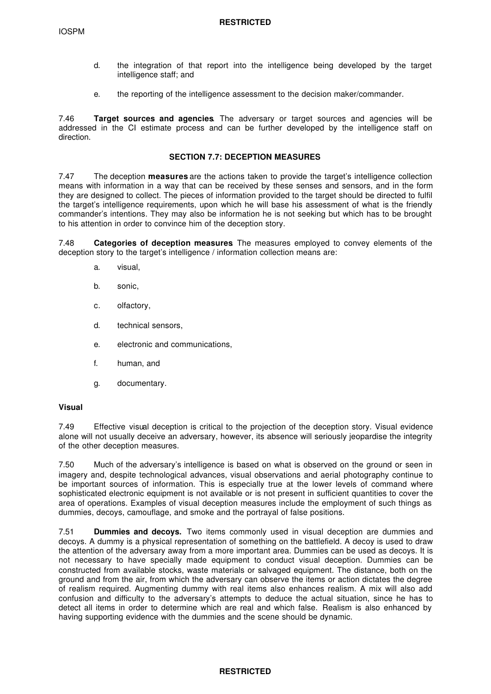- d. the integration of that report into the intelligence being developed by the target intelligence staff; and
- e. the reporting of the intelligence assessment to the decision maker/commander.

7.46 **Target sources and agencies**. The adversary or target sources and agencies will be addressed in the CI estimate process and can be further developed by the intelligence staff on direction.

#### **SECTION 7.7: DECEPTION MEASURES**

7.47 The deception **measures** are the actions taken to provide the target's intelligence collection means with information in a way that can be received by these senses and sensors, and in the form they are designed to collect. The pieces of information provided to the target should be directed to fulfil the target's intelligence requirements, upon which he will base his assessment of what is the friendly commander's intentions. They may also be information he is not seeking but which has to be brought to his attention in order to convince him of the deception story.

7.48 **Categories of deception measures**. The measures employed to convey elements of the deception story to the target's intelligence / information collection means are:

- a. visual,
- b. sonic,
- c. olfactory,
- d. technical sensors,
- e. electronic and communications,
- f. human, and
- g. documentary.

#### **Visual**

7.49 Effective visual deception is critical to the projection of the deception story. Visual evidence alone will not usually deceive an adversary, however, its absence will seriously jeopardise the integrity of the other deception measures.

7.50 Much of the adversary's intelligence is based on what is observed on the ground or seen in imagery and, despite technological advances, visual observations and aerial photography continue to be important sources of information. This is especially true at the lower levels of command where sophisticated electronic equipment is not available or is not present in sufficient quantities to cover the area of operations. Examples of visual deception measures include the employment of such things as dummies, decoys, camouflage, and smoke and the portrayal of false positions.

7.51 **Dummies and decoys.** Two items commonly used in visual deception are dummies and decoys. A dummy is a physical representation of something on the battlefield. A decoy is used to draw the attention of the adversary away from a more important area. Dummies can be used as decoys. It is not necessary to have specially made equipment to conduct visual deception. Dummies can be constructed from available stocks, waste materials or salvaged equipment. The distance, both on the ground and from the air, from which the adversary can observe the items or action dictates the degree of realism required. Augmenting dummy with real items also enhances realism. A mix will also add confusion and difficulty to the adversary's attempts to deduce the actual situation, since he has to detect all items in order to determine which are real and which false. Realism is also enhanced by having supporting evidence with the dummies and the scene should be dynamic.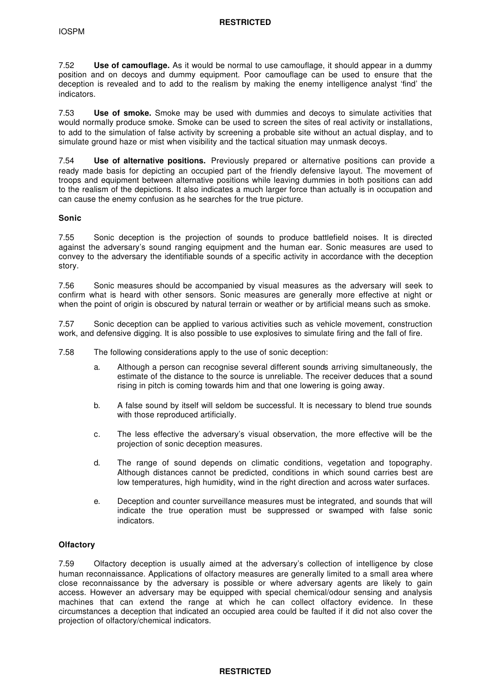7.52 **Use of camouflage.** As it would be normal to use camouflage, it should appear in a dummy position and on decoys and dummy equipment. Poor camouflage can be used to ensure that the deception is revealed and to add to the realism by making the enemy intelligence analyst 'find' the indicators.

7.53 **Use of smoke.** Smoke may be used with dummies and decoys to simulate activities that would normally produce smoke. Smoke can be used to screen the sites of real activity or installations, to add to the simulation of false activity by screening a probable site without an actual display, and to simulate ground haze or mist when visibility and the tactical situation may unmask decoys.

7.54 **Use of alternative positions.** Previously prepared or alternative positions can provide a ready made basis for depicting an occupied part of the friendly defensive layout. The movement of troops and equipment between alternative positions while leaving dummies in both positions can add to the realism of the depictions. It also indicates a much larger force than actually is in occupation and can cause the enemy confusion as he searches for the true picture.

### **Sonic**

7.55 Sonic deception is the projection of sounds to produce battlefield noises. It is directed against the adversary's sound ranging equipment and the human ear. Sonic measures are used to convey to the adversary the identifiable sounds of a specific activity in accordance with the deception story.

7.56 Sonic measures should be accompanied by visual measures as the adversary will seek to confirm what is heard with other sensors. Sonic measures are generally more effective at night or when the point of origin is obscured by natural terrain or weather or by artificial means such as smoke.

7.57 Sonic deception can be applied to various activities such as vehicle movement, construction work, and defensive digging. It is also possible to use explosives to simulate firing and the fall of fire.

- 7.58 The following considerations apply to the use of sonic deception:
	- a. Although a person can recognise several different sounds arriving simultaneously, the estimate of the distance to the source is unreliable. The receiver deduces that a sound rising in pitch is coming towards him and that one lowering is going away.
	- b. A false sound by itself will seldom be successful. It is necessary to blend true sounds with those reproduced artificially.
	- c. The less effective the adversary's visual observation, the more effective will be the projection of sonic deception measures.
	- d. The range of sound depends on climatic conditions, vegetation and topography. Although distances cannot be predicted, conditions in which sound carries best are low temperatures, high humidity, wind in the right direction and across water surfaces.
	- e. Deception and counter surveillance measures must be integrated, and sounds that will indicate the true operation must be suppressed or swamped with false sonic indicators.

## **Olfactory**

7.59 Olfactory deception is usually aimed at the adversary's collection of intelligence by close human reconnaissance. Applications of olfactory measures are generally limited to a small area where close reconnaissance by the adversary is possible or where adversary agents are likely to gain access. However an adversary may be equipped with special chemical/odour sensing and analysis machines that can extend the range at which he can collect olfactory evidence. In these circumstances a deception that indicated an occupied area could be faulted if it did not also cover the projection of olfactory/chemical indicators.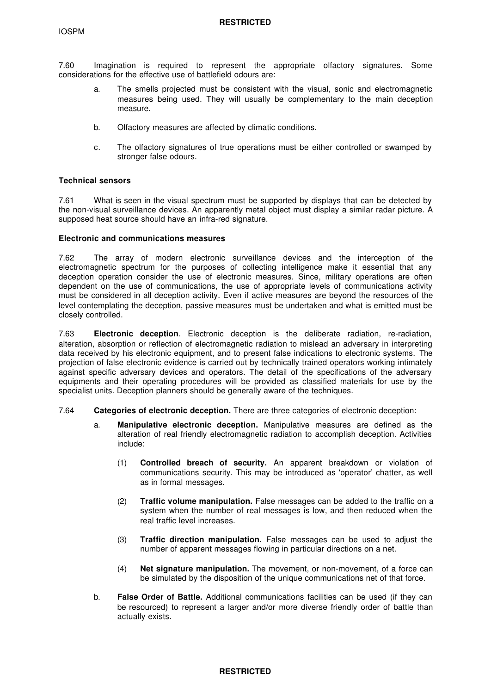7.60 Imagination is required to represent the appropriate olfactory signatures. Some considerations for the effective use of battlefield odours are:

- a. The smells projected must be consistent with the visual, sonic and electromagnetic measures being used. They will usually be complementary to the main deception measure.
- b. Olfactory measures are affected by climatic conditions.
- c. The olfactory signatures of true operations must be either controlled or swamped by stronger false odours.

#### **Technical sensors**

7.61 What is seen in the visual spectrum must be supported by displays that can be detected by the non-visual surveillance devices. An apparently metal object must display a similar radar picture. A supposed heat source should have an infra-red signature.

### **Electronic and communications measures**

7.62 The array of modern electronic surveillance devices and the interception of the electromagnetic spectrum for the purposes of collecting intelligence make it essential that any deception operation consider the use of electronic measures. Since, military operations are often dependent on the use of communications, the use of appropriate levels of communications activity must be considered in all deception activity. Even if active measures are beyond the resources of the level contemplating the deception, passive measures must be undertaken and what is emitted must be closely controlled.

7.63 **Electronic deception**. Electronic deception is the deliberate radiation, re-radiation, alteration, absorption or reflection of electromagnetic radiation to mislead an adversary in interpreting data received by his electronic equipment, and to present false indications to electronic systems. The projection of false electronic evidence is carried out by technically trained operators working intimately against specific adversary devices and operators. The detail of the specifications of the adversary equipments and their operating procedures will be provided as classified materials for use by the specialist units. Deception planners should be generally aware of the techniques.

- 7.64 **Categories of electronic deception.** There are three categories of electronic deception:
	- a. **Manipulative electronic deception.** Manipulative measures are defined as the alteration of real friendly electromagnetic radiation to accomplish deception. Activities include:
		- (1) **Controlled breach of security.** An apparent breakdown or violation of communications security. This may be introduced as 'operator' chatter, as well as in formal messages.
		- (2) **Traffic volume manipulation.** False messages can be added to the traffic on a system when the number of real messages is low, and then reduced when the real traffic level increases.
		- (3) **Traffic direction manipulation.** False messages can be used to adjust the number of apparent messages flowing in particular directions on a net.
		- (4) **Net signature manipulation.** The movement, or non-movement, of a force can be simulated by the disposition of the unique communications net of that force.
	- b. **False Order of Battle.** Additional communications facilities can be used (if they can be resourced) to represent a larger and/or more diverse friendly order of battle than actually exists.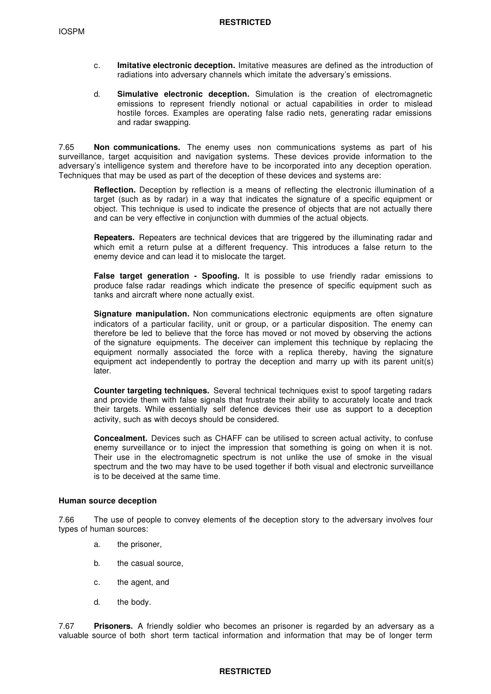- c. **Imitative electronic deception.** Imitative measures are defined as the introduction of radiations into adversary channels which imitate the adversary's emissions.
- d. **Simulative electronic deception.** Simulation is the creation of electromagnetic emissions to represent friendly notional or actual capabilities in order to mislead hostile forces. Examples are operating false radio nets, generating radar emissions and radar swapping.

7.65 **Non communications.** The enemy uses non communications systems as part of his surveillance, target acquisition and navigation systems. These devices provide information to the adversary's intelligence system and therefore have to be incorporated into any deception operation. Techniques that may be used as part of the deception of these devices and systems are:

**Reflection.** Deception by reflection is a means of reflecting the electronic illumination of a target (such as by radar) in a way that indicates the signature of a specific equipment or object. This technique is used to indicate the presence of objects that are not actually there and can be very effective in conjunction with dummies of the actual objects.

**Repeaters.** Repeaters are technical devices that are triggered by the illuminating radar and which emit a return pulse at a different frequency. This introduces a false return to the enemy device and can lead it to mislocate the target.

**False target generation - Spoofing.** It is possible to use friendly radar emissions to produce false radar readings which indicate the presence of specific equipment such as tanks and aircraft where none actually exist.

**Signature manipulation.** Non communications electronic equipments are often signature indicators of a particular facility, unit or group, or a particular disposition. The enemy can therefore be led to believe that the force has moved or not moved by observing the actions of the signature equipments. The deceiver can implement this technique by replacing the equipment normally associated the force with a replica thereby, having the signature equipment act independently to portray the deception and marry up with its parent unit(s) later.

**Counter targeting techniques.** Several technical techniques exist to spoof targeting radars and provide them with false signals that frustrate their ability to accurately locate and track their targets. While essentially self defence devices their use as support to a deception activity, such as with decoys should be considered.

**Concealment.** Devices such as CHAFF can be utilised to screen actual activity, to confuse enemy surveillance or to inject the impression that something is going on when it is not. Their use in the electromagnetic spectrum is not unlike the use of smoke in the visual spectrum and the two may have to be used together if both visual and electronic surveillance is to be deceived at the same time.

#### **Human source deception**

7.66 The use of people to convey elements of the deception story to the adversary involves four types of human sources:

- a. the prisoner,
- b. the casual source,
- c. the agent, and
- d. the body.

7.67 **Prisoners.** A friendly soldier who becomes an prisoner is regarded by an adversary as a valuable source of both short term tactical information and information that may be of longer term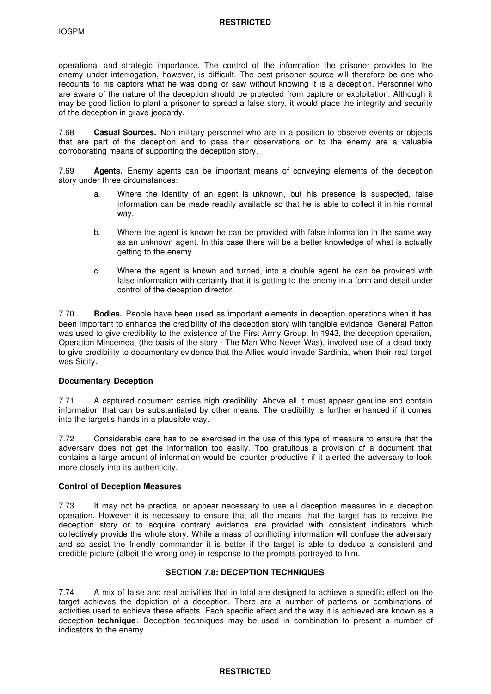#### **RESTRICTED**

operational and strategic importance. The control of the information the prisoner provides to the enemy under interrogation, however, is difficult. The best prisoner source will therefore be one who recounts to his captors what he was doing or saw without knowing it is a deception. Personnel who are aware of the nature of the deception should be protected from capture or exploitation. Although it may be good fiction to plant a prisoner to spread a false story, it would place the integrity and security of the deception in grave jeopardy.

7.68 **Casual Sources.** Non military personnel who are in a position to observe events or objects that are part of the deception and to pass their observations on to the enemy are a valuable corroborating means of supporting the deception story.

7.69 **Agents.** Enemy agents can be important means of conveying elements of the deception story under three circumstances:

- a. Where the identity of an agent is unknown, but his presence is suspected, false information can be made readily available so that he is able to collect it in his normal way.
- b. Where the agent is known he can be provided with false information in the same way as an unknown agent. In this case there will be a better knowledge of what is actually getting to the enemy.
- c. Where the agent is known and turned, into a double agent he can be provided with false information with certainty that it is getting to the enemy in a form and detail under control of the deception director.

7.70 **Bodies.** People have been used as important elements in deception operations when it has been important to enhance the credibility of the deception story with tangible evidence. General Patton was used to give credibility to the existence of the First Army Group. In 1943, the deception operation, Operation Mincemeat (the basis of the story - The Man Who Never Was), involved use of a dead body to give credibility to documentary evidence that the Allies would invade Sardinia, when their real target was Sicily.

## **Documentary Deception**

7.71 A captured document carries high credibility. Above all it must appear genuine and contain information that can be substantiated by other means. The credibility is further enhanced if it comes into the target's hands in a plausible way.

7.72 Considerable care has to be exercised in the use of this type of measure to ensure that the adversary does not get the information too easily. Too gratuitous a provision of a document that contains a large amount of information would be counter productive if it alerted the adversary to look more closely into its authenticity.

## **Control of Deception Measures**

7.73 It may not be practical or appear necessary to use all deception measures in a deception operation. However it is necessary to ensure that all the means that the target has to receive the deception story or to acquire contrary evidence are provided with consistent indicators which collectively provide the whole story. While a mass of conflicting information will confuse the adversary and so assist the friendly commander it is better if the target is able to deduce a consistent and credible picture (albeit the wrong one) in response to the prompts portrayed to him.

## **SECTION 7.8: DECEPTION TECHNIQUES**

7.74 A mix of false and real activities that in total are designed to achieve a specific effect on the target achieves the depiction of a deception. There are a number of patterns or combinations of activities used to achieve these effects. Each specific effect and the way it is achieved are known as a deception **technique**. Deception techniques may be used in combination to present a number of indicators to the enemy.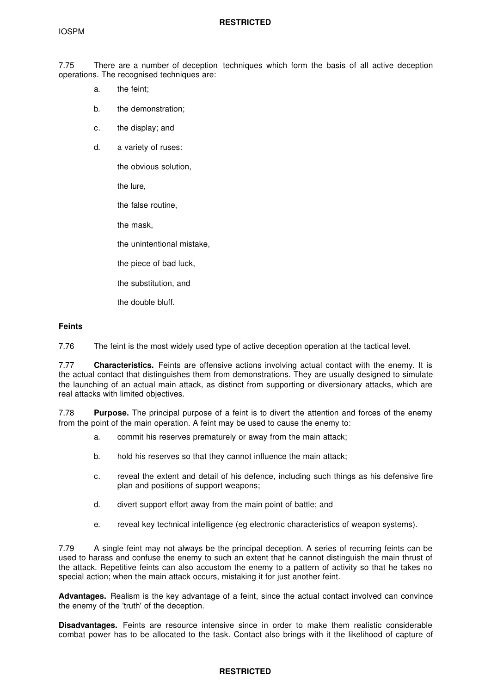### **RESTRICTED**

7.75 There are a number of deception techniques which form the basis of all active deception operations. The recognised techniques are:

- a. the feint;
- b. the demonstration;
- c. the display; and
- d. a variety of ruses:

the obvious solution,

the lure,

the false routine,

the mask,

the unintentional mistake,

- the piece of bad luck,
- the substitution, and

the double bluff.

#### **Feints**

7.76 The feint is the most widely used type of active deception operation at the tactical level.

7.77 **Characteristics.** Feints are offensive actions involving actual contact with the enemy. It is the actual contact that distinguishes them from demonstrations. They are usually designed to simulate the launching of an actual main attack, as distinct from supporting or diversionary attacks, which are real attacks with limited objectives.

7.78 **Purpose.** The principal purpose of a feint is to divert the attention and forces of the enemy from the point of the main operation. A feint may be used to cause the enemy to:

- a. commit his reserves prematurely or away from the main attack;
- b. hold his reserves so that they cannot influence the main attack;
- c. reveal the extent and detail of his defence, including such things as his defensive fire plan and positions of support weapons;
- d. divert support effort away from the main point of battle; and
- e. reveal key technical intelligence (eg electronic characteristics of weapon systems).

7.79 A single feint may not always be the principal deception. A series of recurring feints can be used to harass and confuse the enemy to such an extent that he cannot distinguish the main thrust of the attack. Repetitive feints can also accustom the enemy to a pattern of activity so that he takes no special action; when the main attack occurs, mistaking it for just another feint.

**Advantages.** Realism is the key advantage of a feint, since the actual contact involved can convince the enemy of the 'truth' of the deception.

**Disadvantages.** Feints are resource intensive since in order to make them realistic considerable combat power has to be allocated to the task. Contact also brings with it the likelihood of capture of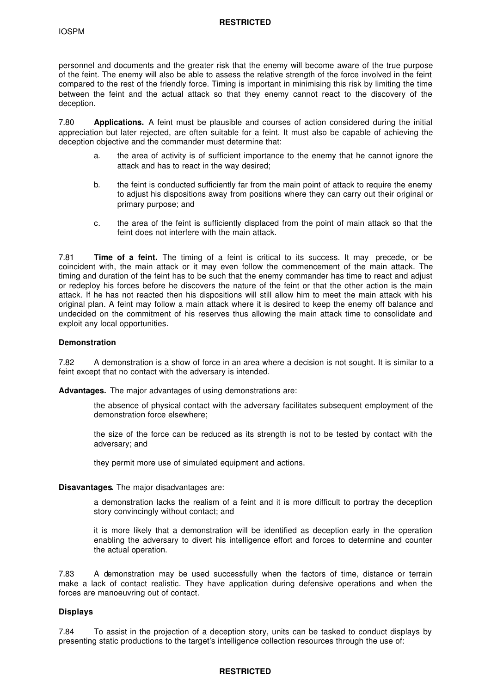personnel and documents and the greater risk that the enemy will become aware of the true purpose of the feint. The enemy will also be able to assess the relative strength of the force involved in the feint compared to the rest of the friendly force. Timing is important in minimising this risk by limiting the time between the feint and the actual attack so that they enemy cannot react to the discovery of the deception.

7.80 **Applications.** A feint must be plausible and courses of action considered during the initial appreciation but later rejected, are often suitable for a feint. It must also be capable of achieving the deception objective and the commander must determine that:

- a. the area of activity is of sufficient importance to the enemy that he cannot ignore the attack and has to react in the way desired;
- b. the feint is conducted sufficiently far from the main point of attack to require the enemy to adjust his dispositions away from positions where they can carry out their original or primary purpose; and
- c. the area of the feint is sufficiently displaced from the point of main attack so that the feint does not interfere with the main attack.

7.81 **Time of a feint.** The timing of a feint is critical to its success. It may precede, or be coincident with, the main attack or it may even follow the commencement of the main attack. The timing and duration of the feint has to be such that the enemy commander has time to react and adjust or redeploy his forces before he discovers the nature of the feint or that the other action is the main attack. If he has not reacted then his dispositions will still allow him to meet the main attack with his original plan. A feint may follow a main attack where it is desired to keep the enemy off balance and undecided on the commitment of his reserves thus allowing the main attack time to consolidate and exploit any local opportunities.

### **Demonstration**

7.82 A demonstration is a show of force in an area where a decision is not sought. It is similar to a feint except that no contact with the adversary is intended.

**Advantages.** The major advantages of using demonstrations are:

- the absence of physical contact with the adversary facilitates subsequent employment of the demonstration force elsewhere;
- the size of the force can be reduced as its strength is not to be tested by contact with the adversary; and

they permit more use of simulated equipment and actions.

### **Disavantages.** The major disadvantages are:

a demonstration lacks the realism of a feint and it is more difficult to portray the deception story convincingly without contact; and

it is more likely that a demonstration will be identified as deception early in the operation enabling the adversary to divert his intelligence effort and forces to determine and counter the actual operation.

7.83 A demonstration may be used successfully when the factors of time, distance or terrain make a lack of contact realistic. They have application during defensive operations and when the forces are manoeuvring out of contact.

## **Displays**

7.84 To assist in the projection of a deception story, units can be tasked to conduct displays by presenting static productions to the target's intelligence collection resources through the use of: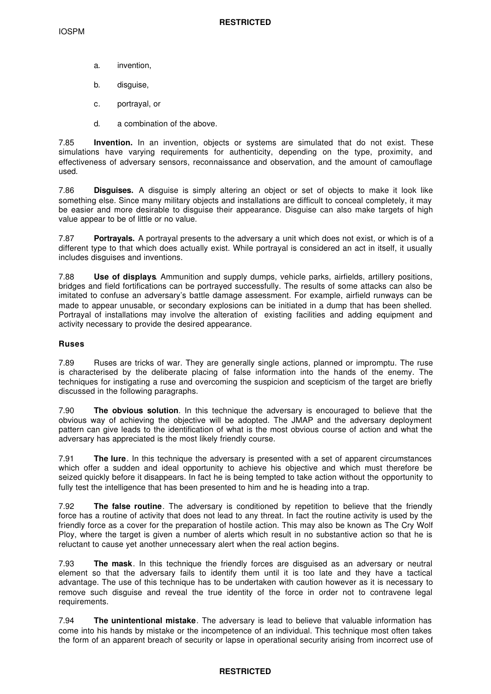- a. invention,
- b. disguise,
- c. portrayal, or
- d. a combination of the above.

7.85 **Invention.** In an invention, objects or systems are simulated that do not exist. These simulations have varying requirements for authenticity, depending on the type, proximity, and effectiveness of adversary sensors, reconnaissance and observation, and the amount of camouflage used.

7.86 **Disguises.** A disguise is simply altering an object or set of objects to make it look like something else. Since many military objects and installations are difficult to conceal completely, it may be easier and more desirable to disguise their appearance. Disguise can also make targets of high value appear to be of little or no value.

7.87 **Portrayals.** A portrayal presents to the adversary a unit which does not exist, or which is of a different type to that which does actually exist. While portrayal is considered an act in itself, it usually includes disguises and inventions.

7.88 **Use of displays**. Ammunition and supply dumps, vehicle parks, airfields, artillery positions, bridges and field fortifications can be portrayed successfully. The results of some attacks can also be imitated to confuse an adversary's battle damage assessment. For example, airfield runways can be made to appear unusable, or secondary explosions can be initiated in a dump that has been shelled. Portrayal of installations may involve the alteration of existing facilities and adding equipment and activity necessary to provide the desired appearance.

## **Ruses**

7.89 Ruses are tricks of war. They are generally single actions, planned or impromptu. The ruse is characterised by the deliberate placing of false information into the hands of the enemy. The techniques for instigating a ruse and overcoming the suspicion and scepticism of the target are briefly discussed in the following paragraphs.

7.90 **The obvious solution**. In this technique the adversary is encouraged to believe that the obvious way of achieving the objective will be adopted. The JMAP and the adversary deployment pattern can give leads to the identification of what is the most obvious course of action and what the adversary has appreciated is the most likely friendly course.

7.91 **The lure**. In this technique the adversary is presented with a set of apparent circumstances which offer a sudden and ideal opportunity to achieve his objective and which must therefore be seized quickly before it disappears. In fact he is being tempted to take action without the opportunity to fully test the intelligence that has been presented to him and he is heading into a trap.

7.92 **The false routine**. The adversary is conditioned by repetition to believe that the friendly force has a routine of activity that does not lead to any threat. In fact the routine activity is used by the friendly force as a cover for the preparation of hostile action. This may also be known as The Cry Wolf Ploy, where the target is given a number of alerts which result in no substantive action so that he is reluctant to cause yet another unnecessary alert when the real action begins.

7.93 **The mask**. In this technique the friendly forces are disguised as an adversary or neutral element so that the adversary fails to identify them until it is too late and they have a tactical advantage. The use of this technique has to be undertaken with caution however as it is necessary to remove such disguise and reveal the true identity of the force in order not to contravene legal requirements.

7.94 **The unintentional mistake**. The adversary is lead to believe that valuable information has come into his hands by mistake or the incompetence of an individual. This technique most often takes the form of an apparent breach of security or lapse in operational security arising from incorrect use of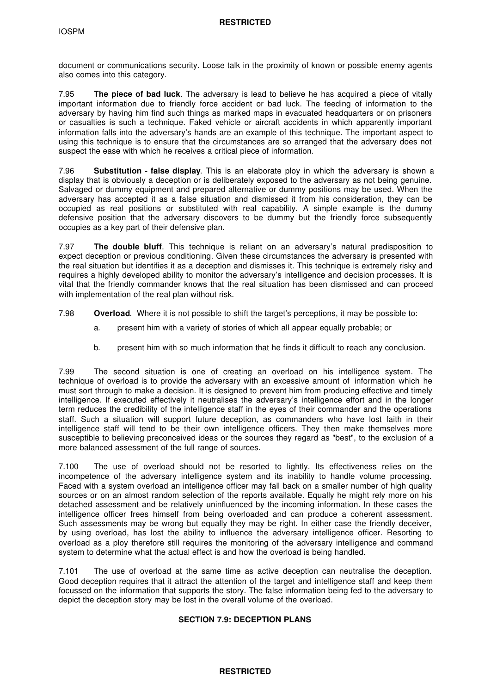document or communications security. Loose talk in the proximity of known or possible enemy agents also comes into this category.

7.95 **The piece of bad luck**. The adversary is lead to believe he has acquired a piece of vitally important information due to friendly force accident or bad luck. The feeding of information to the adversary by having him find such things as marked maps in evacuated headquarters or on prisoners or casualties is such a technique. Faked vehicle or aircraft accidents in which apparently important information falls into the adversary's hands are an example of this technique. The important aspect to using this technique is to ensure that the circumstances are so arranged that the adversary does not suspect the ease with which he receives a critical piece of information.

7.96 **Substitution - false display**. This is an elaborate ploy in which the adversary is shown a display that is obviously a deception or is deliberately exposed to the adversary as not being genuine. Salvaged or dummy equipment and prepared alternative or dummy positions may be used. When the adversary has accepted it as a false situation and dismissed it from his consideration, they can be occupied as real positions or substituted with real capability. A simple example is the dummy defensive position that the adversary discovers to be dummy but the friendly force subsequently occupies as a key part of their defensive plan.

7.97 **The double bluff**. This technique is reliant on an adversary's natural predisposition to expect deception or previous conditioning. Given these circumstances the adversary is presented with the real situation but identifies it as a deception and dismisses it. This technique is extremely risky and requires a highly developed ability to monitor the adversary's intelligence and decision processes. It is vital that the friendly commander knows that the real situation has been dismissed and can proceed with implementation of the real plan without risk.

- 7.98 **Overload**. Where it is not possible to shift the target's perceptions, it may be possible to:
	- a. present him with a variety of stories of which all appear equally probable; or
	- b. present him with so much information that he finds it difficult to reach any conclusion.

7.99 The second situation is one of creating an overload on his intelligence system. The technique of overload is to provide the adversary with an excessive amount of information which he must sort through to make a decision. It is designed to prevent him from producing effective and timely intelligence. If executed effectively it neutralises the adversary's intelligence effort and in the longer term reduces the credibility of the intelligence staff in the eyes of their commander and the operations staff. Such a situation will support future deception, as commanders who have lost faith in their intelligence staff will tend to be their own intelligence officers. They then make themselves more susceptible to believing preconceived ideas or the sources they regard as "best", to the exclusion of a more balanced assessment of the full range of sources.

7.100 The use of overload should not be resorted to lightly. Its effectiveness relies on the incompetence of the adversary intelligence system and its inability to handle volume processing. Faced with a system overload an intelligence officer may fall back on a smaller number of high quality sources or on an almost random selection of the reports available. Equally he might rely more on his detached assessment and be relatively uninfluenced by the incoming information. In these cases the intelligence officer frees himself from being overloaded and can produce a coherent assessment. Such assessments may be wrong but equally they may be right. In either case the friendly deceiver, by using overload, has lost the ability to influence the adversary intelligence officer. Resorting to overload as a ploy therefore still requires the monitoring of the adversary intelligence and command system to determine what the actual effect is and how the overload is being handled.

7.101 The use of overload at the same time as active deception can neutralise the deception. Good deception requires that it attract the attention of the target and intelligence staff and keep them focussed on the information that supports the story. The false information being fed to the adversary to depict the deception story may be lost in the overall volume of the overload.

# **SECTION 7.9: DECEPTION PLANS**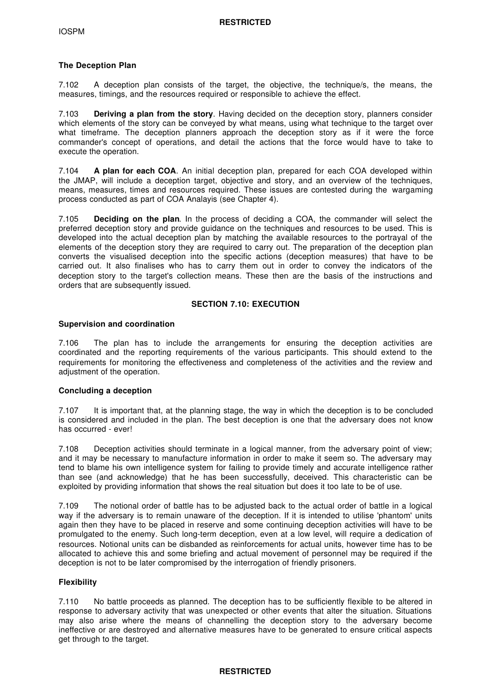## **The Deception Plan**

7.102 A deception plan consists of the target, the objective, the technique/s, the means, the measures, timings, and the resources required or responsible to achieve the effect.

7.103 **Deriving a plan from the story**. Having decided on the deception story, planners consider which elements of the story can be conveyed by what means, using what technique to the target over what timeframe. The deception planners approach the deception story as if it were the force commander's concept of operations, and detail the actions that the force would have to take to execute the operation.

7.104 **A plan for each COA**. An initial deception plan, prepared for each COA developed within the JMAP, will include a deception target, objective and story, and an overview of the techniques, means, measures, times and resources required. These issues are contested during the wargaming process conducted as part of COA Analayis (see Chapter 4).

7.105 **Deciding on the plan**. In the process of deciding a COA, the commander will select the preferred deception story and provide guidance on the techniques and resources to be used. This is developed into the actual deception plan by matching the available resources to the portrayal of the elements of the deception story they are required to carry out. The preparation of the deception plan converts the visualised deception into the specific actions (deception measures) that have to be carried out. It also finalises who has to carry them out in order to convey the indicators of the deception story to the target's collection means. These then are the basis of the instructions and orders that are subsequently issued.

## **SECTION 7.10: EXECUTION**

#### **Supervision and coordination**

7.106 The plan has to include the arrangements for ensuring the deception activities are coordinated and the reporting requirements of the various participants. This should extend to the requirements for monitoring the effectiveness and completeness of the activities and the review and adjustment of the operation.

#### **Concluding a deception**

7.107 It is important that, at the planning stage, the way in which the deception is to be concluded is considered and included in the plan. The best deception is one that the adversary does not know has occurred - ever!

7.108 Deception activities should terminate in a logical manner, from the adversary point of view; and it may be necessary to manufacture information in order to make it seem so. The adversary may tend to blame his own intelligence system for failing to provide timely and accurate intelligence rather than see (and acknowledge) that he has been successfully, deceived. This characteristic can be exploited by providing information that shows the real situation but does it too late to be of use.

7.109 The notional order of battle has to be adjusted back to the actual order of battle in a logical way if the adversary is to remain unaware of the deception. If it is intended to utilise 'phantom' units again then they have to be placed in reserve and some continuing deception activities will have to be promulgated to the enemy. Such long-term deception, even at a low level, will require a dedication of resources. Notional units can be disbanded as reinforcements for actual units, however time has to be allocated to achieve this and some briefing and actual movement of personnel may be required if the deception is not to be later compromised by the interrogation of friendly prisoners.

## **Flexibility**

7.110 No battle proceeds as planned. The deception has to be sufficiently flexible to be altered in response to adversary activity that was unexpected or other events that alter the situation. Situations may also arise where the means of channelling the deception story to the adversary become ineffective or are destroyed and alternative measures have to be generated to ensure critical aspects get through to the target.